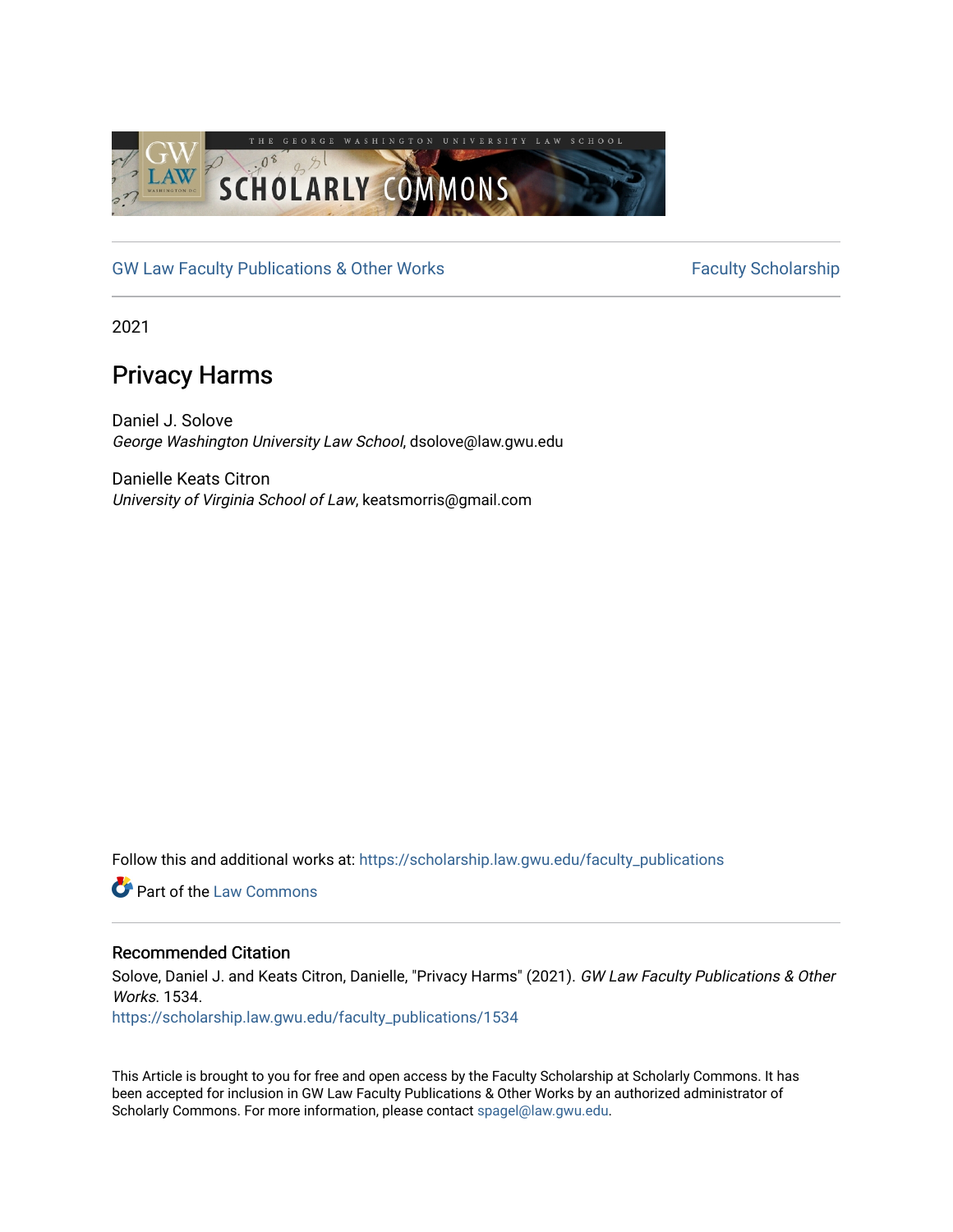

[GW Law Faculty Publications & Other Works](https://scholarship.law.gwu.edu/faculty_publications) Faculty Scholarship

2021

# Privacy Harms

Daniel J. Solove George Washington University Law School, dsolove@law.gwu.edu

Danielle Keats Citron University of Virginia School of Law, keatsmorris@gmail.com

Follow this and additional works at: [https://scholarship.law.gwu.edu/faculty\\_publications](https://scholarship.law.gwu.edu/faculty_publications?utm_source=scholarship.law.gwu.edu%2Ffaculty_publications%2F1534&utm_medium=PDF&utm_campaign=PDFCoverPages) 

**C** Part of the [Law Commons](http://network.bepress.com/hgg/discipline/578?utm_source=scholarship.law.gwu.edu%2Ffaculty_publications%2F1534&utm_medium=PDF&utm_campaign=PDFCoverPages)

# Recommended Citation

Solove, Daniel J. and Keats Citron, Danielle, "Privacy Harms" (2021). GW Law Faculty Publications & Other Works. 1534.

[https://scholarship.law.gwu.edu/faculty\\_publications/1534](https://scholarship.law.gwu.edu/faculty_publications/1534?utm_source=scholarship.law.gwu.edu%2Ffaculty_publications%2F1534&utm_medium=PDF&utm_campaign=PDFCoverPages)

This Article is brought to you for free and open access by the Faculty Scholarship at Scholarly Commons. It has been accepted for inclusion in GW Law Faculty Publications & Other Works by an authorized administrator of Scholarly Commons. For more information, please contact [spagel@law.gwu.edu](mailto:spagel@law.gwu.edu).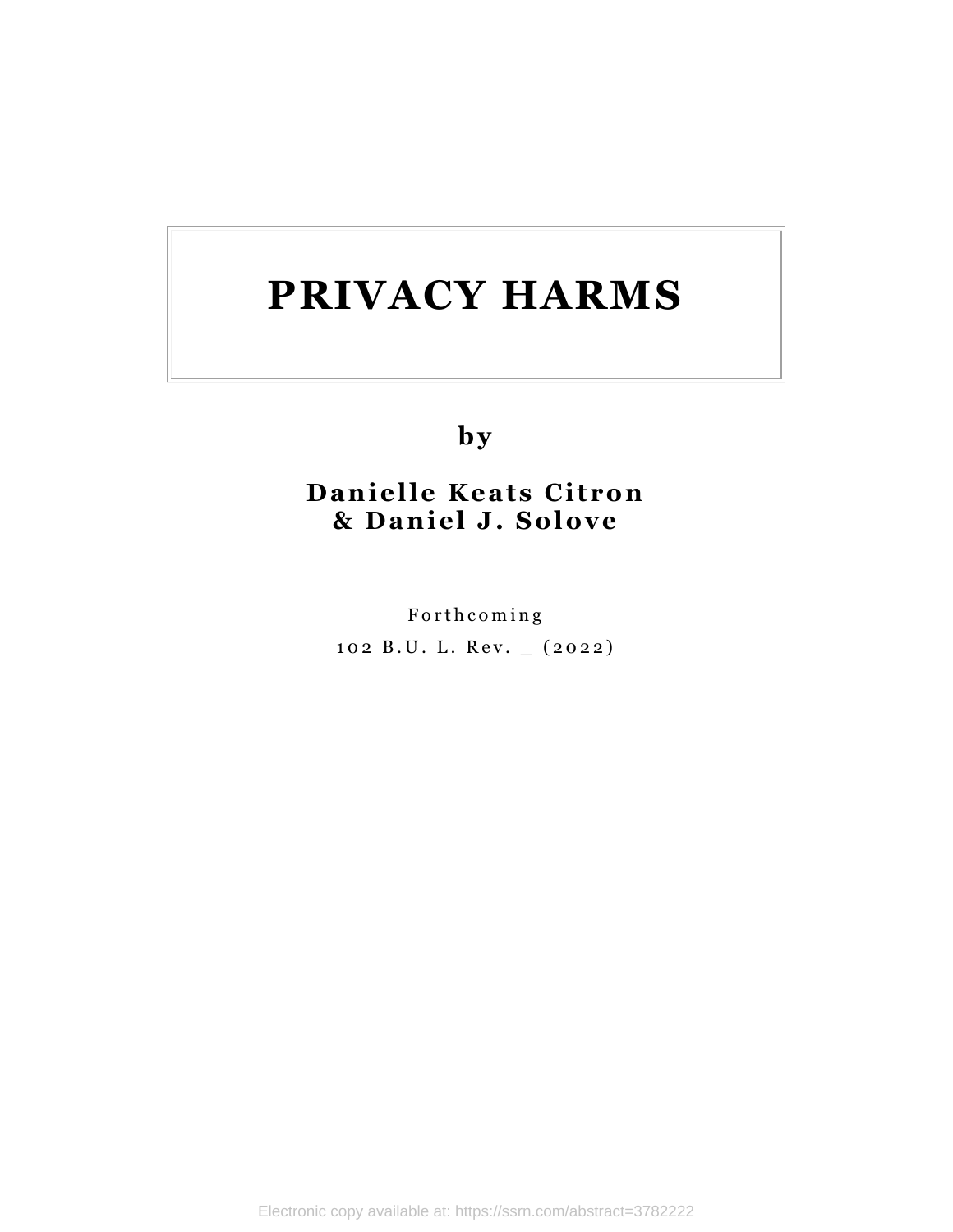**b y**

# **Danielle Keats Citron & D an iel J. So l o ve**

Forth coming 102 B.U. L. Rev. \_ (2022)

Electronic copy available at: https://ssrn.com/abstract=3782222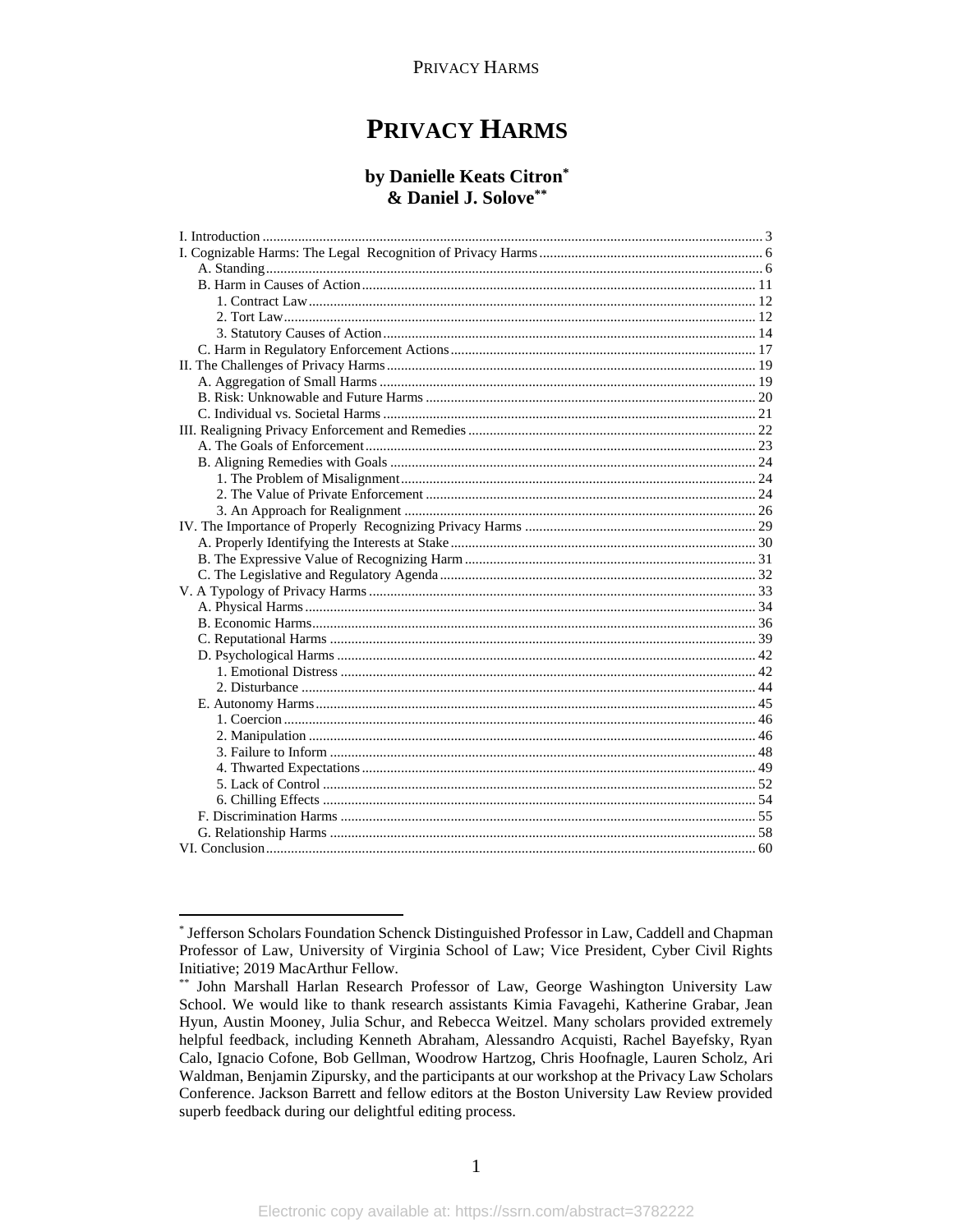#### by Danielle Keats Citron\* & Daniel J. Solove\*\*

<sup>\*</sup> Jefferson Scholars Foundation Schenck Distinguished Professor in Law, Caddell and Chapman Professor of Law, University of Virginia School of Law; Vice President, Cyber Civil Rights Initiative; 2019 MacArthur Fellow.

<sup>\*\*</sup> John Marshall Harlan Research Professor of Law, George Washington University Law School. We would like to thank research assistants Kimia Favagehi, Katherine Grabar, Jean Hyun, Austin Mooney, Julia Schur, and Rebecca Weitzel. Many scholars provided extremely helpful feedback, including Kenneth Abraham, Alessandro Acquisti, Rachel Bayefsky, Ryan Calo, Ignacio Cofone, Bob Gellman, Woodrow Hartzog, Chris Hoofnagle, Lauren Scholz, Ari Waldman, Benjamin Zipursky, and the participants at our workshop at the Privacy Law Scholars Conference. Jackson Barrett and fellow editors at the Boston University Law Review provided superb feedback during our delightful editing process.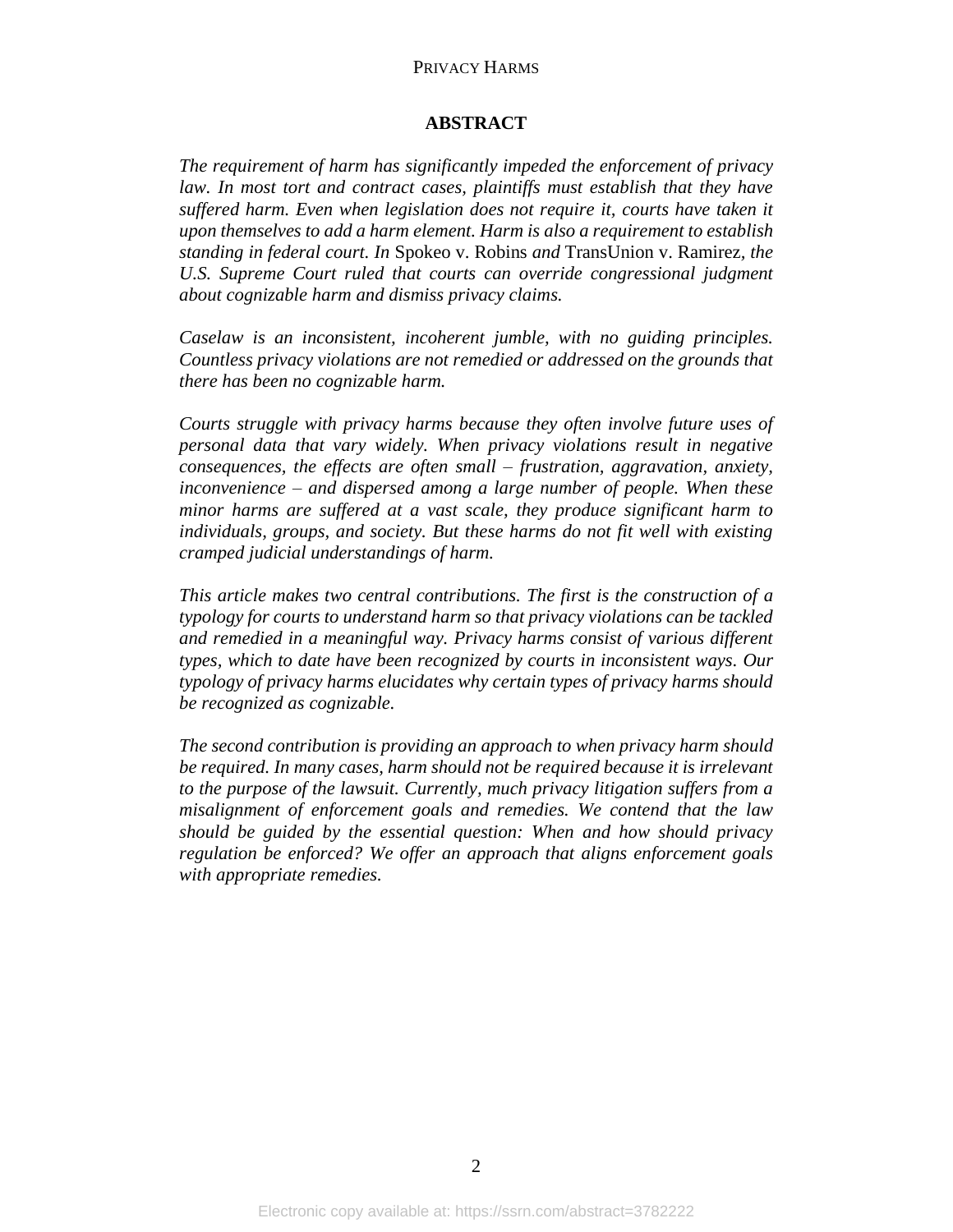# **ABSTRACT**

*The requirement of harm has significantly impeded the enforcement of privacy*  law. In most tort and contract cases, plaintiffs must establish that they have *suffered harm. Even when legislation does not require it, courts have taken it upon themselves to add a harm element. Harm is also a requirement to establish standing in federal court. In* Spokeo v. Robins *and* TransUnion v. Ramirez*, the U.S. Supreme Court ruled that courts can override congressional judgment about cognizable harm and dismiss privacy claims.* 

*Caselaw is an inconsistent, incoherent jumble, with no guiding principles. Countless privacy violations are not remedied or addressed on the grounds that there has been no cognizable harm.* 

*Courts struggle with privacy harms because they often involve future uses of personal data that vary widely. When privacy violations result in negative consequences, the effects are often small – frustration, aggravation, anxiety, inconvenience – and dispersed among a large number of people. When these minor harms are suffered at a vast scale, they produce significant harm to individuals, groups, and society. But these harms do not fit well with existing cramped judicial understandings of harm.* 

*This article makes two central contributions. The first is the construction of a typology for courts to understand harm so that privacy violations can be tackled and remedied in a meaningful way. Privacy harms consist of various different types, which to date have been recognized by courts in inconsistent ways. Our typology of privacy harms elucidates why certain types of privacy harms should be recognized as cognizable.* 

*The second contribution is providing an approach to when privacy harm should be required. In many cases, harm should not be required because it is irrelevant to the purpose of the lawsuit. Currently, much privacy litigation suffers from a misalignment of enforcement goals and remedies. We contend that the law should be guided by the essential question: When and how should privacy regulation be enforced? We offer an approach that aligns enforcement goals with appropriate remedies.*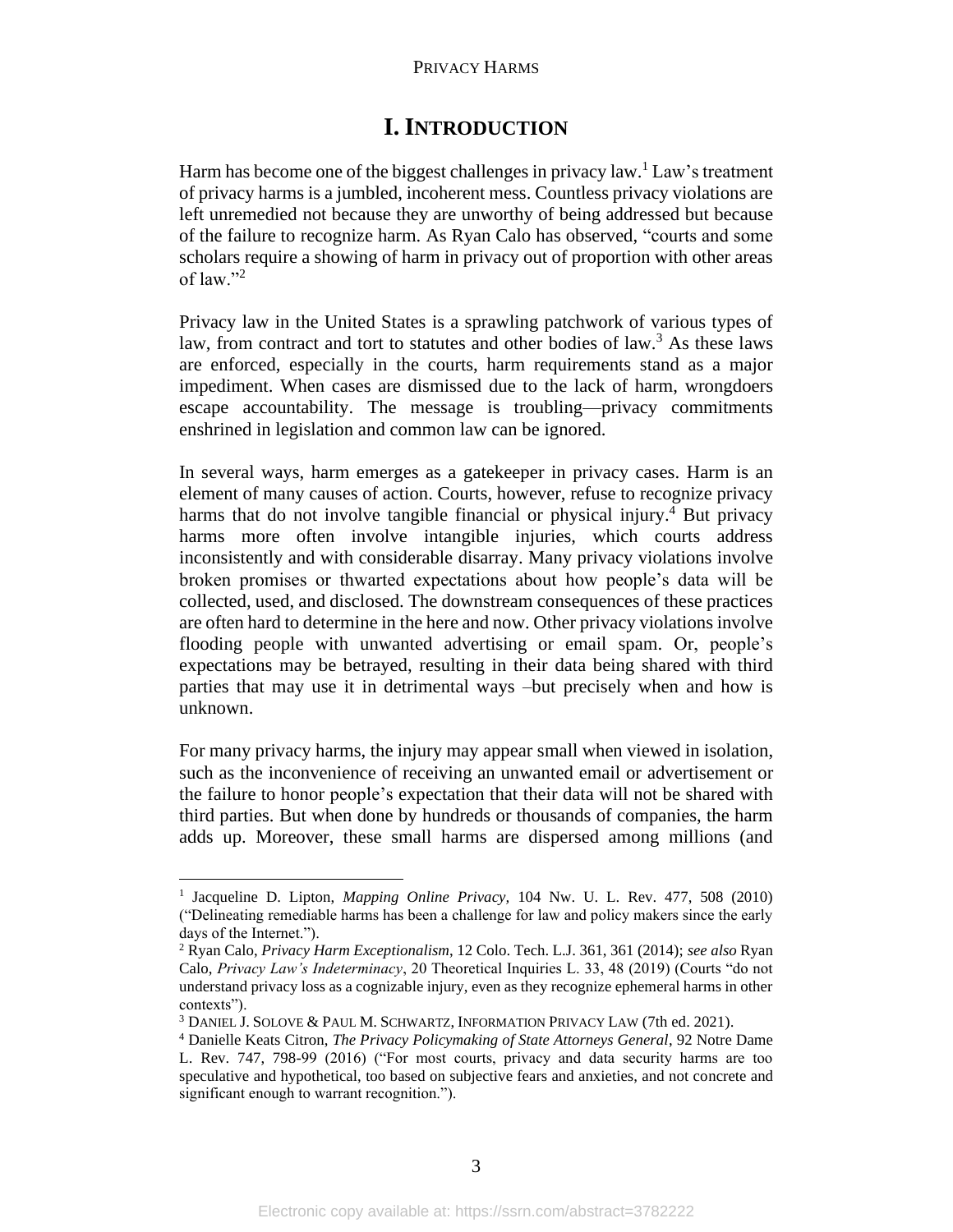# **I. INTRODUCTION**

Harm has become one of the biggest challenges in privacy law.<sup>1</sup> Law's treatment of privacy harms is a jumbled, incoherent mess. Countless privacy violations are left unremedied not because they are unworthy of being addressed but because of the failure to recognize harm. As Ryan Calo has observed, "courts and some scholars require a showing of harm in privacy out of proportion with other areas of law." $^2$ 

Privacy law in the United States is a sprawling patchwork of various types of law, from contract and tort to statutes and other bodies of  $law<sup>3</sup>$ . As these laws are enforced, especially in the courts, harm requirements stand as a major impediment. When cases are dismissed due to the lack of harm, wrongdoers escape accountability. The message is troubling—privacy commitments enshrined in legislation and common law can be ignored.

In several ways, harm emerges as a gatekeeper in privacy cases. Harm is an element of many causes of action. Courts, however, refuse to recognize privacy harms that do not involve tangible financial or physical injury.<sup>4</sup> But privacy harms more often involve intangible injuries, which courts address inconsistently and with considerable disarray. Many privacy violations involve broken promises or thwarted expectations about how people's data will be collected, used, and disclosed. The downstream consequences of these practices are often hard to determine in the here and now. Other privacy violations involve flooding people with unwanted advertising or email spam. Or, people's expectations may be betrayed, resulting in their data being shared with third parties that may use it in detrimental ways –but precisely when and how is unknown.

For many privacy harms, the injury may appear small when viewed in isolation, such as the inconvenience of receiving an unwanted email or advertisement or the failure to honor people's expectation that their data will not be shared with third parties. But when done by hundreds or thousands of companies, the harm adds up. Moreover, these small harms are dispersed among millions (and

<sup>1</sup> Jacqueline D. Lipton, *Mapping Online Privacy,* 104 Nw. U. L. Rev. 477, 508 (2010) ("Delineating remediable harms has been a challenge for law and policy makers since the early days of the Internet.").

<sup>2</sup> Ryan Calo, *Privacy Harm Exceptionalism*, 12 Colo. Tech. L.J. 361, 361 (2014); *see also* Ryan Calo, *Privacy Law's Indeterminacy*, 20 Theoretical Inquiries L. 33, 48 (2019) (Courts "do not understand privacy loss as a cognizable injury, even as they recognize ephemeral harms in other contexts").

<sup>3</sup> DANIEL J. SOLOVE & PAUL M. SCHWARTZ, INFORMATION PRIVACY LAW (7th ed. 2021).

<sup>4</sup> Danielle Keats Citron, *The Privacy Policymaking of State Attorneys General*, 92 Notre Dame L. Rev. 747, 798-99 (2016) ("For most courts, privacy and data security harms are too speculative and hypothetical, too based on subjective fears and anxieties, and not concrete and significant enough to warrant recognition.").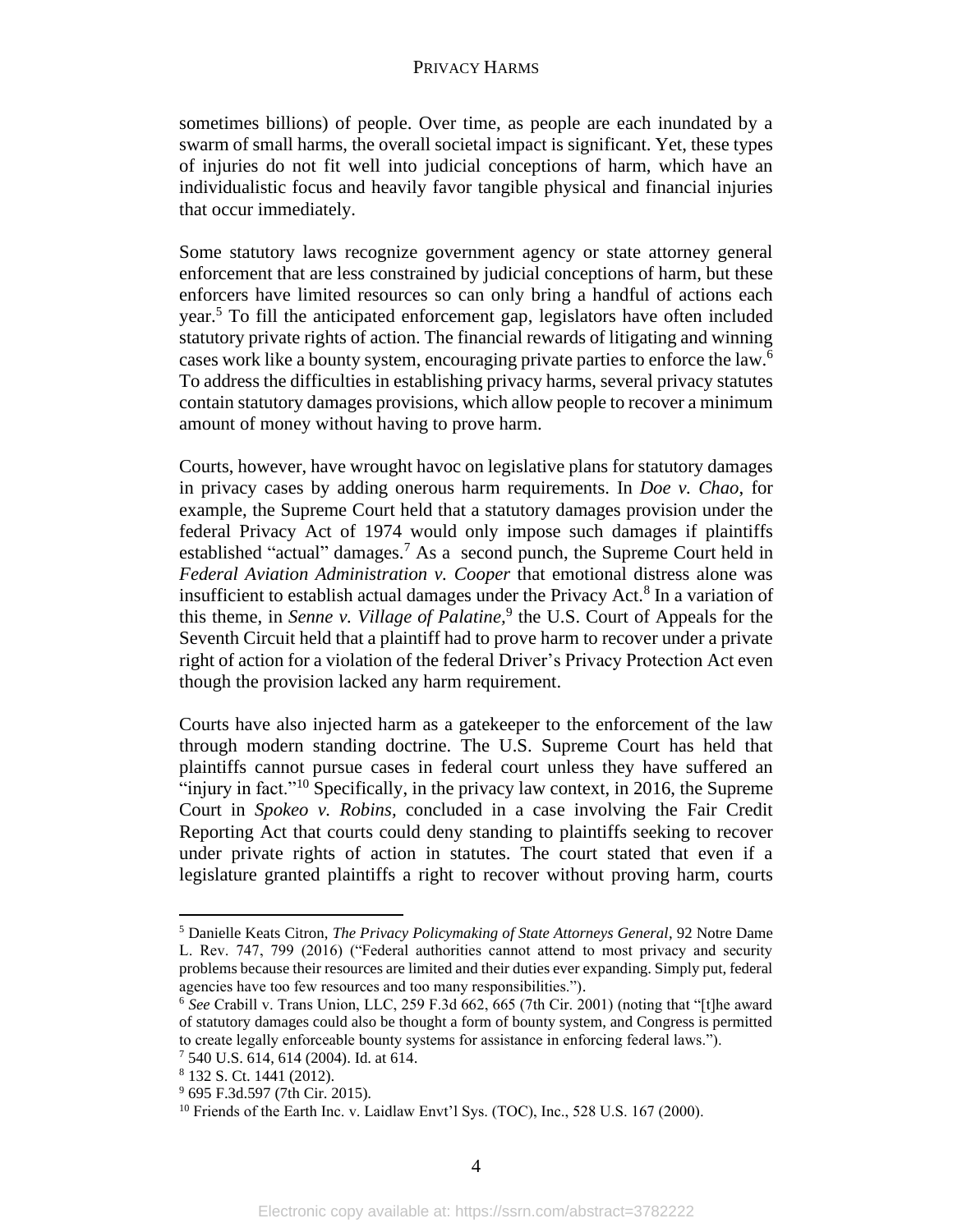sometimes billions) of people. Over time, as people are each inundated by a swarm of small harms, the overall societal impact is significant. Yet, these types of injuries do not fit well into judicial conceptions of harm, which have an individualistic focus and heavily favor tangible physical and financial injuries that occur immediately.

Some statutory laws recognize government agency or state attorney general enforcement that are less constrained by judicial conceptions of harm, but these enforcers have limited resources so can only bring a handful of actions each year.<sup>5</sup> To fill the anticipated enforcement gap, legislators have often included statutory private rights of action. The financial rewards of litigating and winning cases work like a bounty system, encouraging private parties to enforce the law.<sup>6</sup> To address the difficulties in establishing privacy harms, several privacy statutes contain statutory damages provisions, which allow people to recover a minimum amount of money without having to prove harm.

Courts, however, have wrought havoc on legislative plans for statutory damages in privacy cases by adding onerous harm requirements. In *Doe v. Chao*, for example, the Supreme Court held that a statutory damages provision under the federal Privacy Act of 1974 would only impose such damages if plaintiffs established "actual" damages.<sup>7</sup> As a second punch, the Supreme Court held in *Federal Aviation Administration v. Cooper* that emotional distress alone was insufficient to establish actual damages under the Privacy Act.<sup>8</sup> In a variation of this theme, in *Senne v. Village of Palatine*,<sup>9</sup> the U.S. Court of Appeals for the Seventh Circuit held that a plaintiff had to prove harm to recover under a private right of action for a violation of the federal Driver's Privacy Protection Act even though the provision lacked any harm requirement.

Courts have also injected harm as a gatekeeper to the enforcement of the law through modern standing doctrine. The U.S. Supreme Court has held that plaintiffs cannot pursue cases in federal court unless they have suffered an "injury in fact."<sup>10</sup> Specifically, in the privacy law context, in 2016, the Supreme Court in *Spokeo v. Robins,* concluded in a case involving the Fair Credit Reporting Act that courts could deny standing to plaintiffs seeking to recover under private rights of action in statutes. The court stated that even if a legislature granted plaintiffs a right to recover without proving harm, courts

<sup>5</sup> Danielle Keats Citron, *The Privacy Policymaking of State Attorneys General*, 92 Notre Dame L. Rev. 747, 799 (2016) ("Federal authorities cannot attend to most privacy and security problems because their resources are limited and their duties ever expanding. Simply put, federal agencies have too few resources and too many responsibilities.").

<sup>6</sup> *See* Crabill v. Trans Union, LLC, 259 F.3d 662, 665 (7th Cir. 2001) (noting that "[t]he award of statutory damages could also be thought a form of bounty system, and Congress is permitted to create legally enforceable bounty systems for assistance in enforcing federal laws."). <sup>7</sup> 540 U.S. 614, 614 (2004). Id. at 614.

<sup>8</sup> 132 S. Ct. 1441 (2012).

<sup>9</sup> 695 F.3d.597 (7th Cir. 2015).

<sup>&</sup>lt;sup>10</sup> Friends of the Earth Inc. v. Laidlaw Envt'l Sys. (TOC), Inc., 528 U.S. 167 (2000).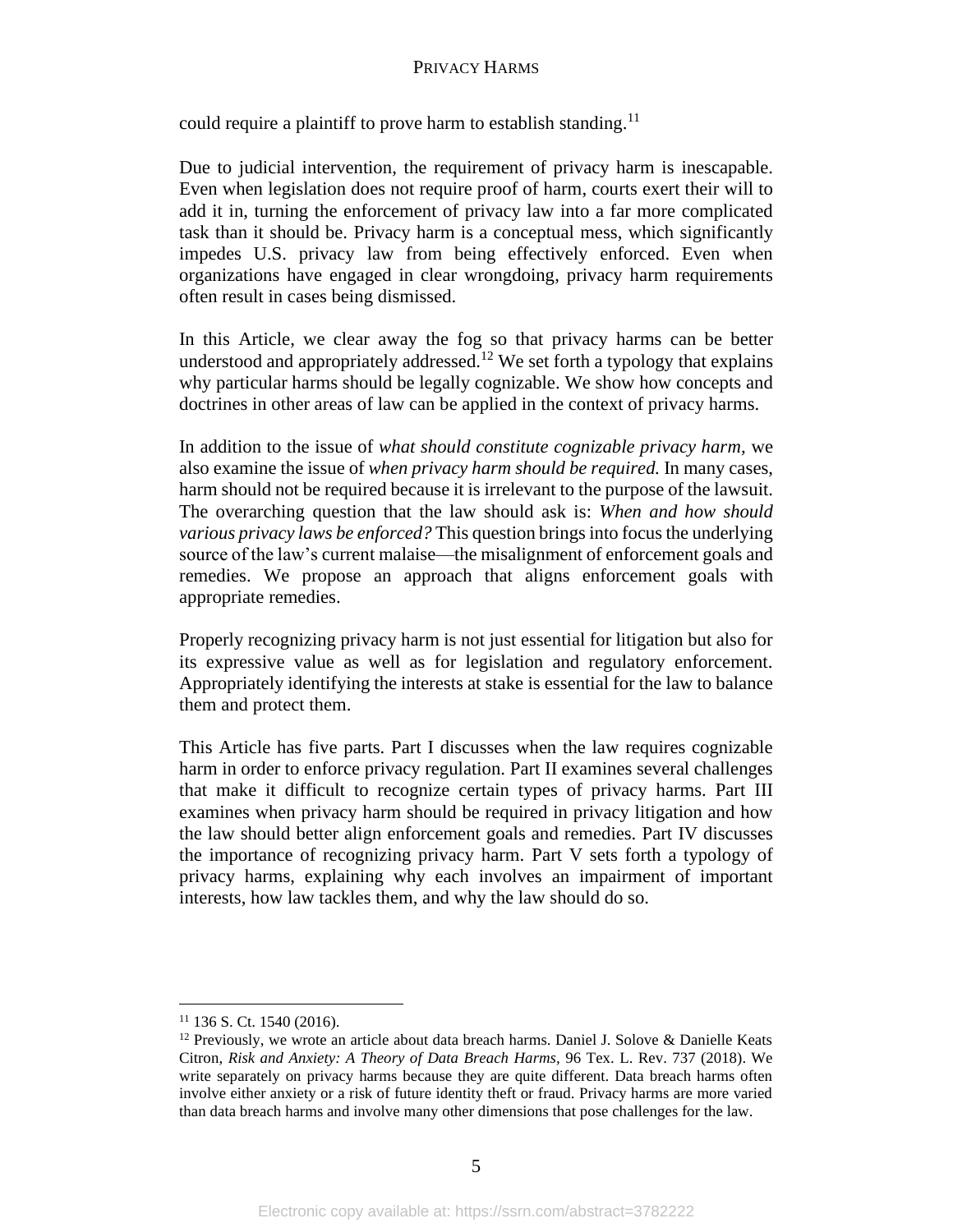could require a plaintiff to prove harm to establish standing.<sup>11</sup>

Due to judicial intervention, the requirement of privacy harm is inescapable. Even when legislation does not require proof of harm, courts exert their will to add it in, turning the enforcement of privacy law into a far more complicated task than it should be. Privacy harm is a conceptual mess, which significantly impedes U.S. privacy law from being effectively enforced. Even when organizations have engaged in clear wrongdoing, privacy harm requirements often result in cases being dismissed.

In this Article, we clear away the fog so that privacy harms can be better understood and appropriately addressed.<sup>12</sup> We set forth a typology that explains why particular harms should be legally cognizable. We show how concepts and doctrines in other areas of law can be applied in the context of privacy harms.

In addition to the issue of *what should constitute cognizable privacy harm,* we also examine the issue of *when privacy harm should be required.* In many cases, harm should not be required because it is irrelevant to the purpose of the lawsuit. The overarching question that the law should ask is: *When and how should various privacy laws be enforced?* This question brings into focus the underlying source of the law's current malaise—the misalignment of enforcement goals and remedies. We propose an approach that aligns enforcement goals with appropriate remedies.

Properly recognizing privacy harm is not just essential for litigation but also for its expressive value as well as for legislation and regulatory enforcement. Appropriately identifying the interests at stake is essential for the law to balance them and protect them.

This Article has five parts. Part I discusses when the law requires cognizable harm in order to enforce privacy regulation. Part II examines several challenges that make it difficult to recognize certain types of privacy harms. Part III examines when privacy harm should be required in privacy litigation and how the law should better align enforcement goals and remedies. Part IV discusses the importance of recognizing privacy harm. Part V sets forth a typology of privacy harms, explaining why each involves an impairment of important interests, how law tackles them, and why the law should do so.

<sup>11</sup> 136 S. Ct. 1540 (2016).

 $12$  Previously, we wrote an article about data breach harms. Daniel J. Solove & Danielle Keats Citron, *Risk and Anxiety: A Theory of Data Breach Harms,* 96 Tex. L. Rev. 737 (2018). We write separately on privacy harms because they are quite different. Data breach harms often involve either anxiety or a risk of future identity theft or fraud. Privacy harms are more varied than data breach harms and involve many other dimensions that pose challenges for the law.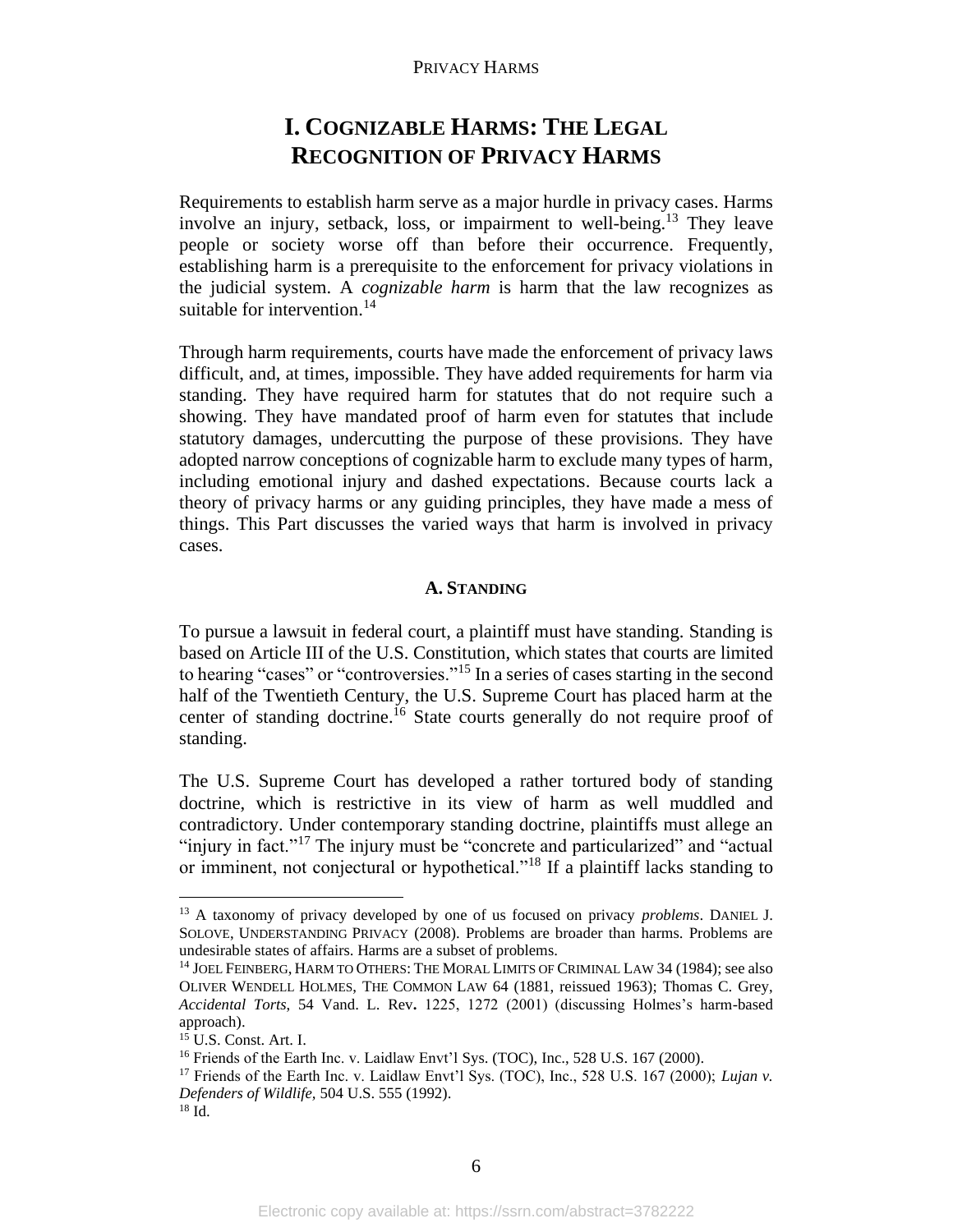# **I. COGNIZABLE HARMS: THE LEGAL RECOGNITION OF PRIVACY HARMS**

Requirements to establish harm serve as a major hurdle in privacy cases. Harms involve an injury, setback, loss, or impairment to well-being.<sup>13</sup> They leave people or society worse off than before their occurrence. Frequently, establishing harm is a prerequisite to the enforcement for privacy violations in the judicial system. A *cognizable harm* is harm that the law recognizes as suitable for intervention.<sup>14</sup>

Through harm requirements, courts have made the enforcement of privacy laws difficult, and, at times, impossible. They have added requirements for harm via standing. They have required harm for statutes that do not require such a showing. They have mandated proof of harm even for statutes that include statutory damages, undercutting the purpose of these provisions. They have adopted narrow conceptions of cognizable harm to exclude many types of harm, including emotional injury and dashed expectations. Because courts lack a theory of privacy harms or any guiding principles, they have made a mess of things. This Part discusses the varied ways that harm is involved in privacy cases.

# **A. STANDING**

To pursue a lawsuit in federal court, a plaintiff must have standing. Standing is based on Article III of the U.S. Constitution, which states that courts are limited to hearing "cases" or "controversies."<sup>15</sup> In a series of cases starting in the second half of the Twentieth Century, the U.S. Supreme Court has placed harm at the center of standing doctrine. <sup>16</sup> State courts generally do not require proof of standing.

The U.S. Supreme Court has developed a rather tortured body of standing doctrine, which is restrictive in its view of harm as well muddled and contradictory. Under contemporary standing doctrine, plaintiffs must allege an "injury in fact."<sup>17</sup> The injury must be "concrete and particularized" and "actual or imminent, not conjectural or hypothetical."<sup>18</sup> If a plaintiff lacks standing to

<sup>13</sup> A taxonomy of privacy developed by one of us focused on privacy *problems*. DANIEL J. SOLOVE, UNDERSTANDING PRIVACY (2008). Problems are broader than harms. Problems are undesirable states of affairs. Harms are a subset of problems.

<sup>&</sup>lt;sup>14</sup> JOEL FEINBERG, HARM TO OTHERS: THE MORAL LIMITS OF CRIMINAL LAW 34 (1984); see also OLIVER WENDELL HOLMES, THE COMMON LAW 64 (1881, reissued 1963); Thomas C. Grey, *Accidental Torts*, 54 Vand. L. Rev**.** 1225, 1272 (2001) (discussing Holmes's harm-based approach).

<sup>15</sup> U.S. Const. Art. I.

<sup>&</sup>lt;sup>16</sup> Friends of the Earth Inc. v. Laidlaw Envt'l Sys. (TOC), Inc., 528 U.S. 167 (2000).

<sup>17</sup> Friends of the Earth Inc. v. Laidlaw Envt'l Sys. (TOC), Inc., 528 U.S. 167 (2000); *Lujan v. Defenders of Wildlife,* 504 U.S. 555 (1992).

<sup>18</sup> Id.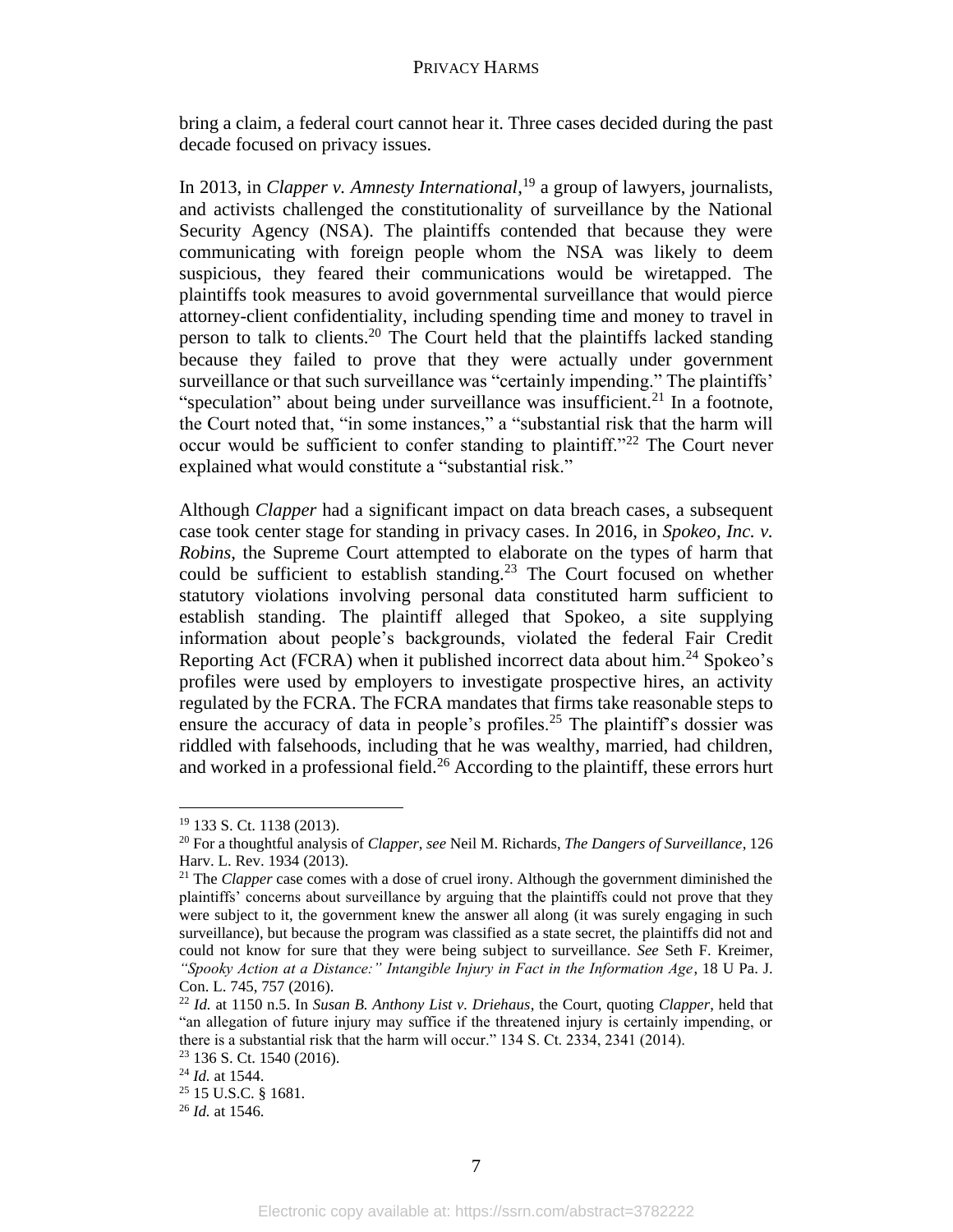bring a claim, a federal court cannot hear it. Three cases decided during the past decade focused on privacy issues.

In 2013, in *Clapper v. Amnesty International*, <sup>19</sup> a group of lawyers, journalists, and activists challenged the constitutionality of surveillance by the National Security Agency (NSA). The plaintiffs contended that because they were communicating with foreign people whom the NSA was likely to deem suspicious, they feared their communications would be wiretapped. The plaintiffs took measures to avoid governmental surveillance that would pierce attorney-client confidentiality, including spending time and money to travel in person to talk to clients.<sup>20</sup> The Court held that the plaintiffs lacked standing because they failed to prove that they were actually under government surveillance or that such surveillance was "certainly impending." The plaintiffs' "speculation" about being under surveillance was insufficient. $^{21}$  In a footnote, the Court noted that, "in some instances," a "substantial risk that the harm will occur would be sufficient to confer standing to plaintiff."<sup>22</sup> The Court never explained what would constitute a "substantial risk."

Although *Clapper* had a significant impact on data breach cases, a subsequent case took center stage for standing in privacy cases. In 2016, in *Spokeo, Inc. v. Robins*, the Supreme Court attempted to elaborate on the types of harm that could be sufficient to establish standing.<sup>23</sup> The Court focused on whether statutory violations involving personal data constituted harm sufficient to establish standing. The plaintiff alleged that Spokeo, a site supplying information about people's backgrounds, violated the federal Fair Credit Reporting Act (FCRA) when it published incorrect data about him.<sup>24</sup> Spokeo's profiles were used by employers to investigate prospective hires, an activity regulated by the FCRA. The FCRA mandates that firms take reasonable steps to ensure the accuracy of data in people's profiles.<sup>25</sup> The plaintiff's dossier was riddled with falsehoods, including that he was wealthy, married, had children, and worked in a professional field.<sup>26</sup> According to the plaintiff, these errors hurt

<sup>19</sup> 133 S. Ct. 1138 (2013).

<sup>20</sup> For a thoughtful analysis of *Clapper*, *see* Neil M. Richards, *The Dangers of Surveillance*, 126 Harv. L. Rev. 1934 (2013).

<sup>21</sup> The *Clapper* case comes with a dose of cruel irony. Although the government diminished the plaintiffs' concerns about surveillance by arguing that the plaintiffs could not prove that they were subject to it, the government knew the answer all along (it was surely engaging in such surveillance), but because the program was classified as a state secret, the plaintiffs did not and could not know for sure that they were being subject to surveillance. *See* Seth F. Kreimer, *"Spooky Action at a Distance:" Intangible Injury in Fact in the Information Age*, 18 U Pa. J. Con. L. 745, 757 (2016).

<sup>22</sup> *Id.* at 1150 n.5. In *Susan B. Anthony List v. Driehaus*, the Court, quoting *Clapper*, held that "an allegation of future injury may suffice if the threatened injury is certainly impending, or there is a substantial risk that the harm will occur." 134 S. Ct. 2334, 2341 (2014).

<sup>23</sup> 136 S. Ct. 1540 (2016). <sup>24</sup> *Id.* at 1544.

<sup>25</sup> 15 U.S.C. § 1681.

<sup>26</sup> *Id.* at 1546.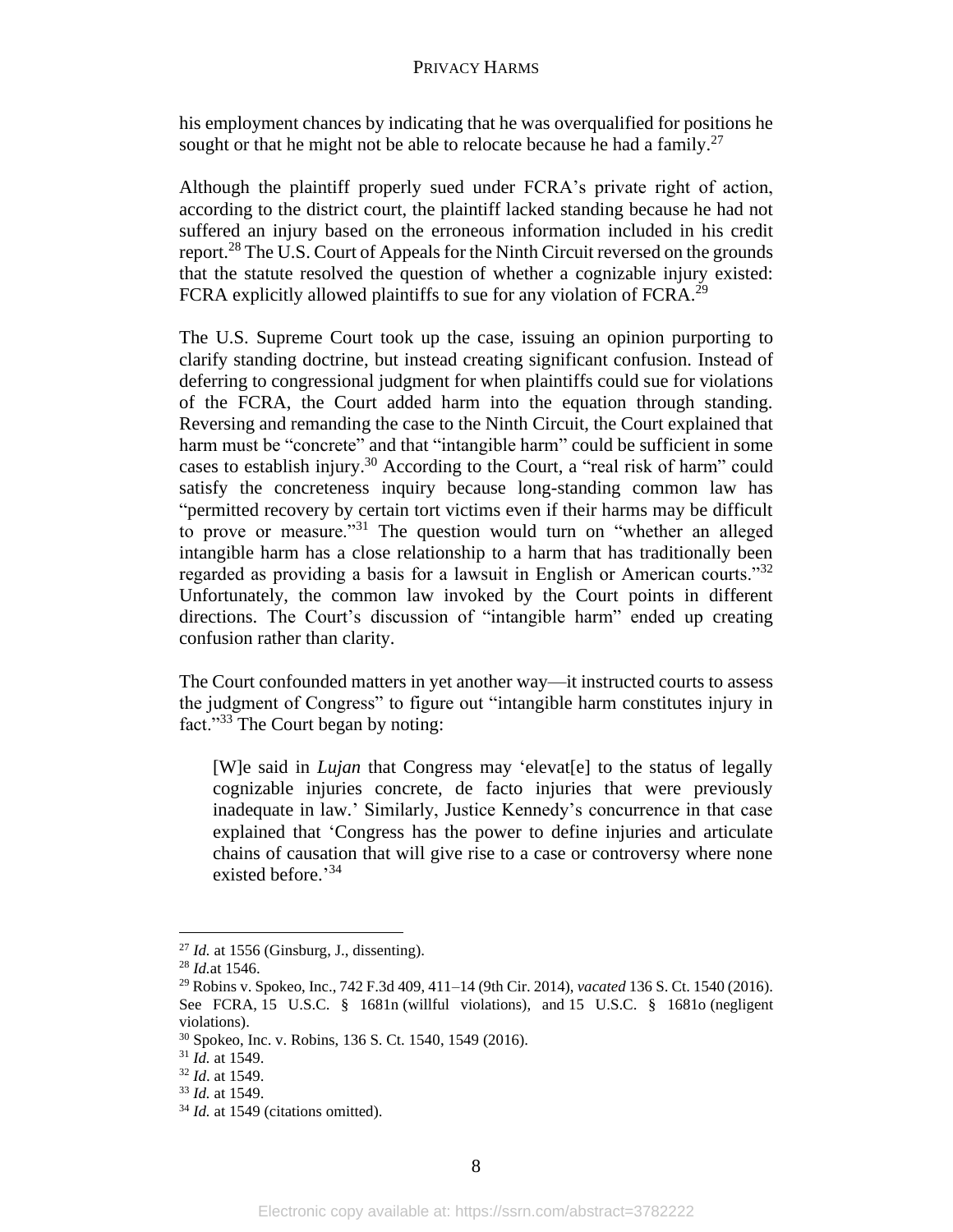his employment chances by indicating that he was overqualified for positions he sought or that he might not be able to relocate because he had a family.<sup>27</sup>

Although the plaintiff properly sued under FCRA's private right of action, according to the district court, the plaintiff lacked standing because he had not suffered an injury based on the erroneous information included in his credit report.<sup>28</sup> The U.S. Court of Appeals for the Ninth Circuit reversed on the grounds that the statute resolved the question of whether a cognizable injury existed: FCRA explicitly allowed plaintiffs to sue for any violation of FCRA.<sup>29</sup>

The U.S. Supreme Court took up the case, issuing an opinion purporting to clarify standing doctrine, but instead creating significant confusion. Instead of deferring to congressional judgment for when plaintiffs could sue for violations of the FCRA, the Court added harm into the equation through standing. Reversing and remanding the case to the Ninth Circuit, the Court explained that harm must be "concrete" and that "intangible harm" could be sufficient in some cases to establish injury.<sup>30</sup> According to the Court, a "real risk of harm" could satisfy the concreteness inquiry because long-standing common law has "permitted recovery by certain tort victims even if their harms may be difficult to prove or measure."<sup>31</sup> The question would turn on "whether an alleged intangible harm has a close relationship to a harm that has traditionally been regarded as providing a basis for a lawsuit in English or American courts."<sup>32</sup> Unfortunately, the common law invoked by the Court points in different directions. The Court's discussion of "intangible harm" ended up creating confusion rather than clarity.

The Court confounded matters in yet another way—it instructed courts to assess the judgment of Congress" to figure out "intangible harm constitutes injury in fact."<sup>33</sup> The Court began by noting:

[W]e said in *Lujan* that Congress may 'elevat[e] to the status of legally cognizable injuries concrete, de facto injuries that were previously inadequate in law.' Similarly, Justice Kennedy's concurrence in that case explained that 'Congress has the power to define injuries and articulate chains of causation that will give rise to a case or controversy where none existed before.' 34

 $^{27}$  *Id.* at 1556 (Ginsburg, J., dissenting).

<sup>28</sup> *Id.*at 1546.

<sup>29</sup> Robins v. Spokeo, Inc., 742 F.3d 409, 411–14 (9th Cir. 2014), *vacated* 136 S. Ct. 1540 (2016). See FCRA, 15 U.S.C. § 1681n (willful violations), and 15 U.S.C. § 1681o (negligent violations).

<sup>30</sup> Spokeo, Inc. v. Robins, 136 S. Ct. 1540, 1549 (2016).

<sup>31</sup> *Id.* at 1549.

<sup>32</sup> *Id*. at 1549.

<sup>33</sup> *Id.* at 1549.

<sup>&</sup>lt;sup>34</sup> *Id.* at 1549 (citations omitted).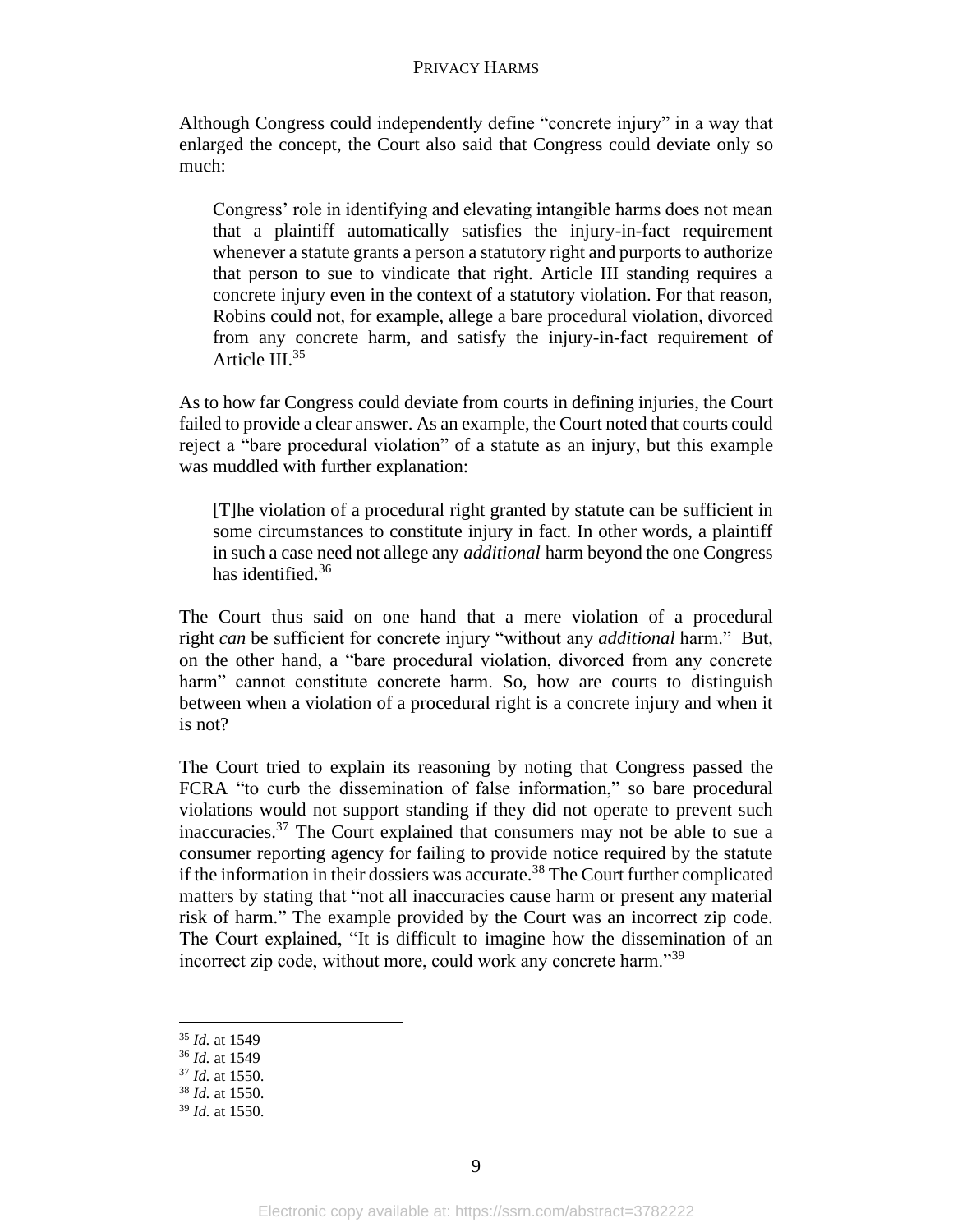Although Congress could independently define "concrete injury" in a way that enlarged the concept, the Court also said that Congress could deviate only so much:

Congress' role in identifying and elevating intangible harms does not mean that a plaintiff automatically satisfies the injury-in-fact requirement whenever a statute grants a person a statutory right and purports to authorize that person to sue to vindicate that right. Article III standing requires a concrete injury even in the context of a statutory violation. For that reason, Robins could not, for example, allege a bare procedural violation, divorced from any concrete harm, and satisfy the injury-in-fact requirement of Article III.<sup>35</sup>

As to how far Congress could deviate from courts in defining injuries, the Court failed to provide a clear answer. As an example, the Court noted that courts could reject a "bare procedural violation" of a statute as an injury, but this example was muddled with further explanation:

[T]he violation of a procedural right granted by statute can be sufficient in some circumstances to constitute injury in fact. In other words, a plaintiff in such a case need not allege any *additional* harm beyond the one Congress has identified.<sup>36</sup>

The Court thus said on one hand that a mere violation of a procedural right *can* be sufficient for concrete injury "without any *additional* harm." But, on the other hand, a "bare procedural violation, divorced from any concrete harm" cannot constitute concrete harm. So, how are courts to distinguish between when a violation of a procedural right is a concrete injury and when it is not?

The Court tried to explain its reasoning by noting that Congress passed the FCRA "to curb the dissemination of false information," so bare procedural violations would not support standing if they did not operate to prevent such inaccuracies. <sup>37</sup> The Court explained that consumers may not be able to sue a consumer reporting agency for failing to provide notice required by the statute if the information in their dossiers was accurate.<sup>38</sup> The Court further complicated matters by stating that "not all inaccuracies cause harm or present any material risk of harm." The example provided by the Court was an incorrect zip code. The Court explained, "It is difficult to imagine how the dissemination of an incorrect zip code, without more, could work any concrete harm."<sup>39</sup>

<sup>35</sup> *Id.* at 1549

<sup>36</sup> *Id.* at 1549

<sup>37</sup> *Id.* at 1550.

<sup>38</sup> *Id.* at 1550.

<sup>39</sup> *Id.* at 1550.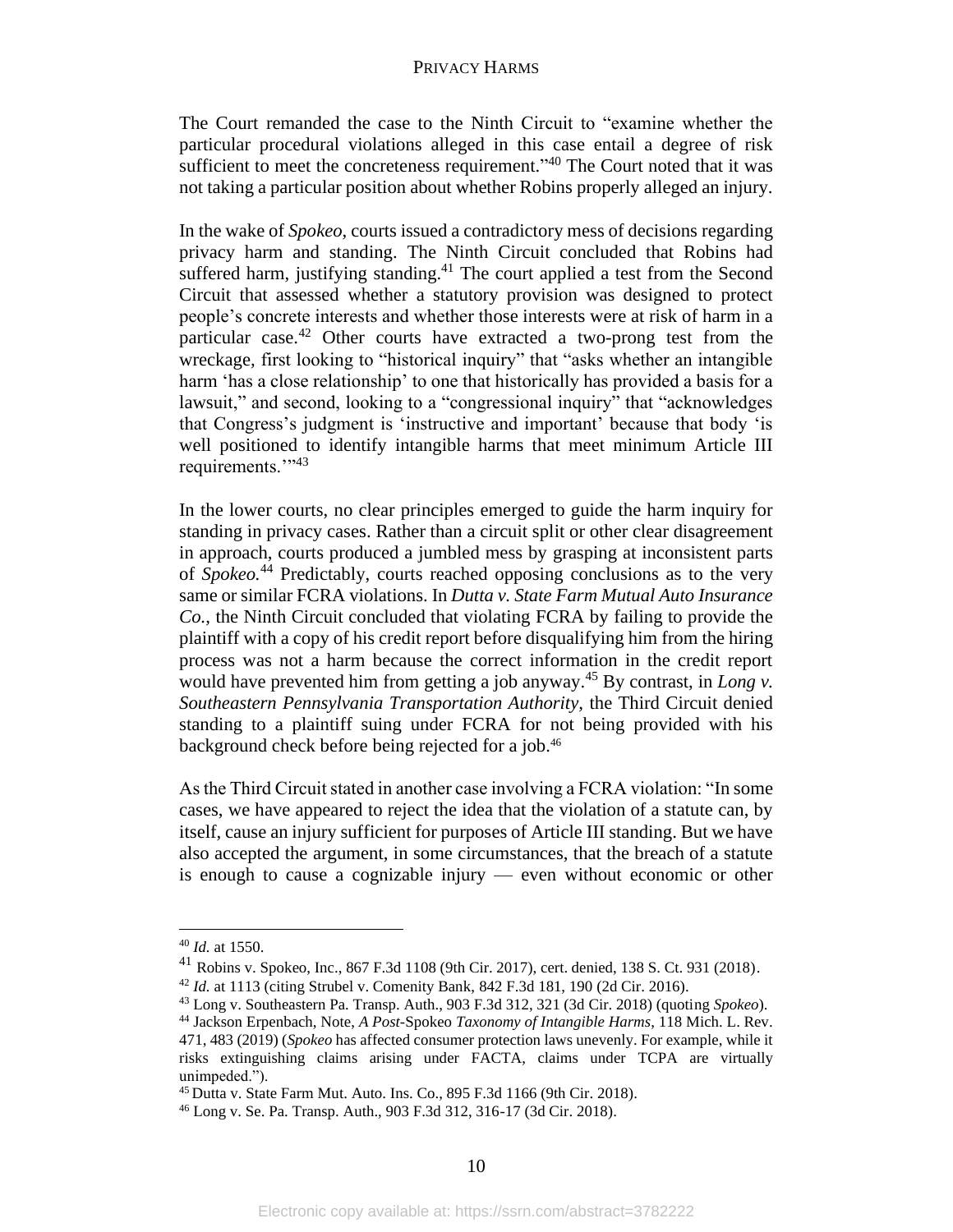The Court remanded the case to the Ninth Circuit to "examine whether the particular procedural violations alleged in this case entail a degree of risk sufficient to meet the concreteness requirement."<sup>40</sup> The Court noted that it was not taking a particular position about whether Robins properly alleged an injury.

In the wake of *Spokeo,* courts issued a contradictory mess of decisions regarding privacy harm and standing. The Ninth Circuit concluded that Robins had suffered harm, justifying standing.<sup>41</sup> The court applied a test from the Second Circuit that assessed whether a statutory provision was designed to protect people's concrete interests and whether those interests were at risk of harm in a particular case.<sup>42</sup> Other courts have extracted a two-prong test from the wreckage*,* first looking to "historical inquiry" that "asks whether an intangible harm 'has a close relationship' to one that historically has provided a basis for a lawsuit," and second, looking to a "congressional inquiry" that "acknowledges that Congress's judgment is 'instructive and important' because that body 'is well positioned to identify intangible harms that meet minimum Article III requirements."<sup>3</sup>

In the lower courts, no clear principles emerged to guide the harm inquiry for standing in privacy cases. Rather than a circuit split or other clear disagreement in approach, courts produced a jumbled mess by grasping at inconsistent parts of *Spokeo.*<sup>44</sup> Predictably, courts reached opposing conclusions as to the very same or similar FCRA violations. In *Dutta v. State Farm Mutual Auto Insurance Co.,* the Ninth Circuit concluded that violating FCRA by failing to provide the plaintiff with a copy of his credit report before disqualifying him from the hiring process was not a harm because the correct information in the credit report would have prevented him from getting a job anyway. <sup>45</sup> By contrast, in *Long v. Southeastern Pennsylvania Transportation Authority,* the Third Circuit denied standing to a plaintiff suing under FCRA for not being provided with his background check before being rejected for a job.<sup>46</sup>

As the Third Circuit stated in another case involving a FCRA violation: "In some cases, we have appeared to reject the idea that the violation of a statute can, by itself, cause an injury sufficient for purposes of Article III standing. But we have also accepted the argument, in some circumstances, that the breach of a statute is enough to cause a cognizable injury — even without economic or other

<sup>40</sup> *Id.* at 1550.

<sup>41</sup> Robins v. Spokeo, Inc., 867 F.3d 1108 (9th Cir. 2017), cert. denied, 138 S. Ct. 931 (2018).

<sup>42</sup> *Id.* at 1113 (citing Strubel v. Comenity Bank, 842 F.3d 181, 190 (2d Cir. 2016).

<sup>43</sup> Long v. Southeastern Pa. Transp. Auth., 903 F.3d 312, 321 (3d Cir. 2018) (quoting *Spokeo*).

<sup>44</sup> Jackson Erpenbach, Note, *A Post-*Spokeo *Taxonomy of Intangible Harms*, 118 Mich. L. Rev. 471, 483 (2019) (*Spokeo* has affected consumer protection laws unevenly. For example, while it risks extinguishing claims arising under FACTA, claims under TCPA are virtually unimpeded.").

<sup>45</sup> Dutta v. State Farm Mut. Auto. Ins. Co., 895 F.3d 1166 (9th Cir. 2018).

<sup>46</sup> Long v. Se. Pa. Transp. Auth., 903 F.3d 312, 316-17 (3d Cir. 2018).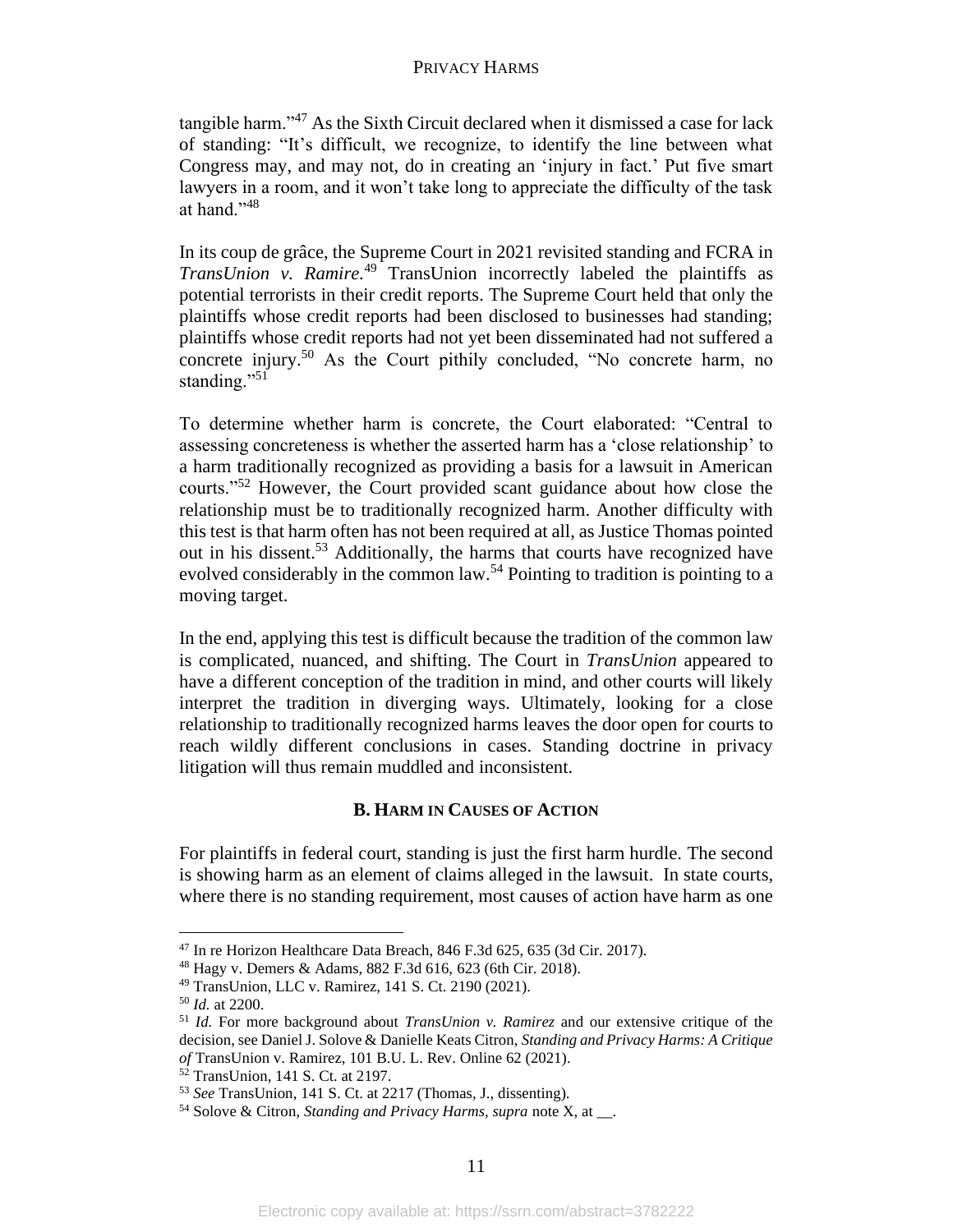tangible harm."<sup>47</sup> As the Sixth Circuit declared when it dismissed a case for lack of standing: "It's difficult, we recognize, to identify the line between what Congress may, and may not, do in creating an 'injury in fact.' Put five smart lawyers in a room, and it won't take long to appreciate the difficulty of the task at hand."<sup>48</sup>

In its coup de grâce, the Supreme Court in 2021 revisited standing and FCRA in *TransUnion v. Ramire.* <sup>49</sup> TransUnion incorrectly labeled the plaintiffs as potential terrorists in their credit reports. The Supreme Court held that only the plaintiffs whose credit reports had been disclosed to businesses had standing; plaintiffs whose credit reports had not yet been disseminated had not suffered a concrete injury.<sup>50</sup> As the Court pithily concluded, "No concrete harm, no standing."<sup>51</sup>

To determine whether harm is concrete, the Court elaborated: "Central to assessing concreteness is whether the asserted harm has a 'close relationship' to a harm traditionally recognized as providing a basis for a lawsuit in American courts."<sup>52</sup> However, the Court provided scant guidance about how close the relationship must be to traditionally recognized harm. Another difficulty with this test is that harm often has not been required at all, as Justice Thomas pointed out in his dissent.<sup>53</sup> Additionally, the harms that courts have recognized have evolved considerably in the common law.<sup>54</sup> Pointing to tradition is pointing to a moving target.

In the end, applying this test is difficult because the tradition of the common law is complicated, nuanced, and shifting. The Court in *TransUnion* appeared to have a different conception of the tradition in mind, and other courts will likely interpret the tradition in diverging ways. Ultimately, looking for a close relationship to traditionally recognized harms leaves the door open for courts to reach wildly different conclusions in cases. Standing doctrine in privacy litigation will thus remain muddled and inconsistent.

#### **B. HARM IN CAUSES OF ACTION**

For plaintiffs in federal court, standing is just the first harm hurdle. The second is showing harm as an element of claims alleged in the lawsuit. In state courts, where there is no standing requirement, most causes of action have harm as one

<sup>47</sup> In re Horizon Healthcare Data Breach, 846 F.3d 625, 635 (3d Cir. 2017).

<sup>48</sup> Hagy v. Demers & Adams, 882 F.3d 616, 623 (6th Cir. 2018).

<sup>49</sup> TransUnion, LLC v. Ramirez, 141 S. Ct. 2190 (2021).

<sup>50</sup> *Id.* at 2200.

<sup>51</sup> *Id.* For more background about *TransUnion v. Ramirez* and our extensive critique of the decision, see Daniel J. Solove & Danielle Keats Citron, *Standing and Privacy Harms: A Critique of* TransUnion v. Ramirez, 101 B.U. L. Rev. Online 62 (2021).

 $52$  TransUnion, 141 S. Ct. at 2197.

<sup>53</sup> *See* TransUnion, 141 S. Ct. at 2217 (Thomas, J., dissenting).

<sup>54</sup> Solove & Citron, *Standing and Privacy Harms, supra* note X, at \_\_.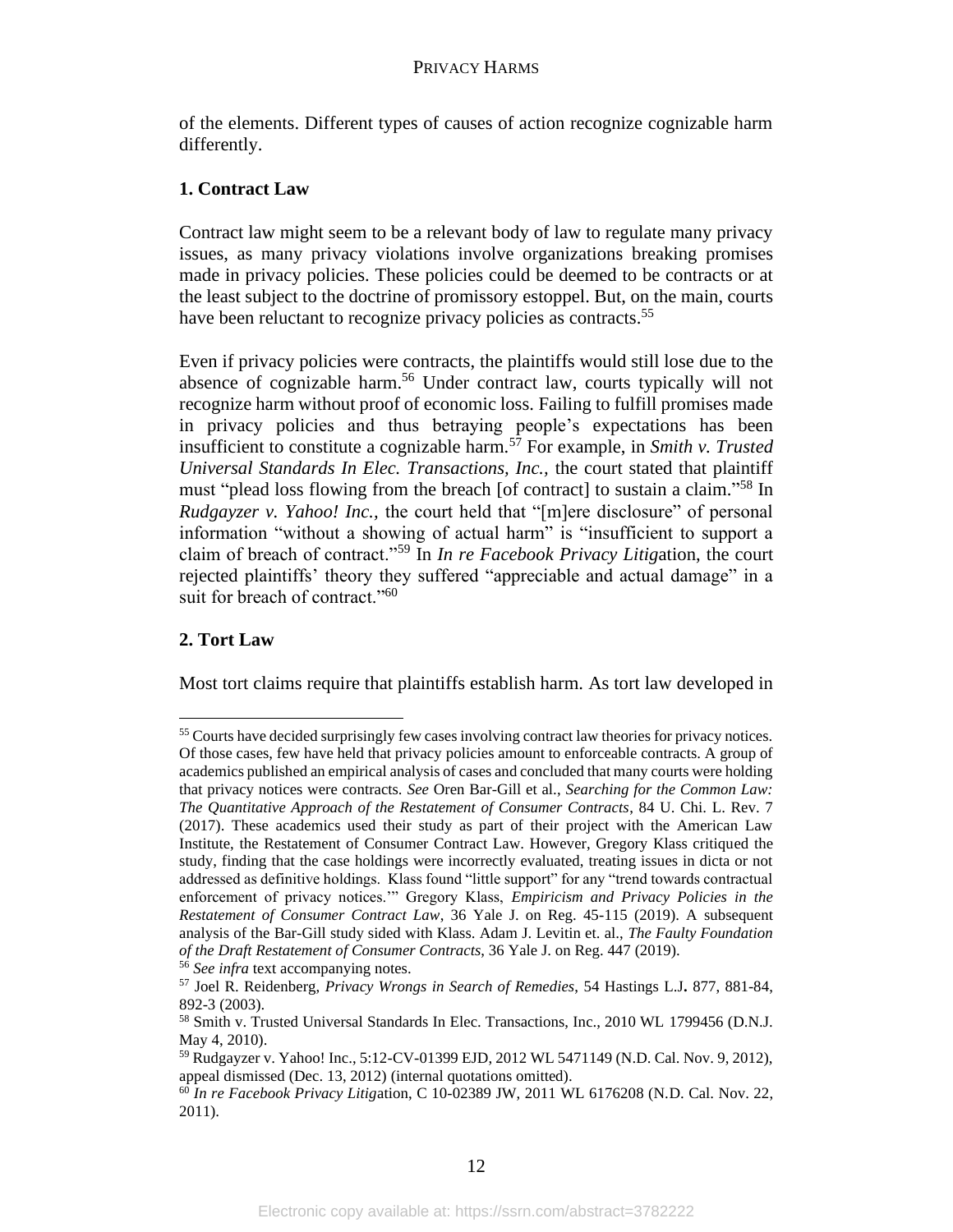of the elements. Different types of causes of action recognize cognizable harm differently.

# **1. Contract Law**

Contract law might seem to be a relevant body of law to regulate many privacy issues, as many privacy violations involve organizations breaking promises made in privacy policies. These policies could be deemed to be contracts or at the least subject to the doctrine of promissory estoppel. But, on the main, courts have been reluctant to recognize privacy policies as contracts.<sup>55</sup>

Even if privacy policies were contracts, the plaintiffs would still lose due to the absence of cognizable harm.<sup>56</sup> Under contract law, courts typically will not recognize harm without proof of economic loss. Failing to fulfill promises made in privacy policies and thus betraying people's expectations has been insufficient to constitute a cognizable harm.<sup>57</sup> For example, in *Smith v. Trusted Universal Standards In Elec. Transactions, Inc.,* the court stated that plaintiff must "plead loss flowing from the breach [of contract] to sustain a claim." <sup>58</sup> In *Rudgayzer v. Yahoo! Inc.,* the court held that "[m]ere disclosure" of personal information "without a showing of actual harm" is "insufficient to support a claim of breach of contract."<sup>59</sup> In *In re Facebook Privacy Litig*ation, the court rejected plaintiffs' theory they suffered "appreciable and actual damage" in a suit for breach of contract."<sup>60</sup>

# **2. Tort Law**

Most tort claims require that plaintiffs establish harm. As tort law developed in

<sup>&</sup>lt;sup>55</sup> Courts have decided surprisingly few cases involving contract law theories for privacy notices. Of those cases, few have held that privacy policies amount to enforceable contracts. A group of academics published an empirical analysis of cases and concluded that many courts were holding that privacy notices were contracts. *See* Oren Bar-Gill et al., *Searching for the Common Law: The Quantitative Approach of the Restatement of Consumer Contracts*, 84 U. Chi. L. Rev. 7 (2017). These academics used their study as part of their project with the American Law Institute, the Restatement of Consumer Contract Law. However, Gregory Klass critiqued the study, finding that the case holdings were incorrectly evaluated, treating issues in dicta or not addressed as definitive holdings. Klass found "little support" for any "trend towards contractual enforcement of privacy notices.'" Gregory Klass, *Empiricism and Privacy Policies in the Restatement of Consumer Contract Law*, 36 Yale J. on Reg. 45-115 (2019). A subsequent analysis of the Bar-Gill study sided with Klass. Adam J. Levitin et. al., *The Faulty Foundation of the Draft Restatement of Consumer Contracts*, 36 Yale J. on Reg. 447 (2019).

<sup>56</sup> *See infra* text accompanying notes.

<sup>57</sup> Joel R. Reidenberg, *Privacy Wrongs in Search of Remedies*, 54 Hastings L.J**.** 877, 881-84, 892-3 (2003).

<sup>58</sup> Smith v. Trusted Universal Standards In Elec. Transactions, Inc., 2010 WL 1799456 (D.N.J. May 4, 2010).

<sup>59</sup> Rudgayzer v. Yahoo! Inc., 5:12-CV-01399 EJD, 2012 WL 5471149 (N.D. Cal. Nov. 9, 2012), appeal dismissed (Dec. 13, 2012) (internal quotations omitted).

<sup>60</sup> *In re Facebook Privacy Litig*ation, C 10-02389 JW, 2011 WL 6176208 (N.D. Cal. Nov. 22, 2011).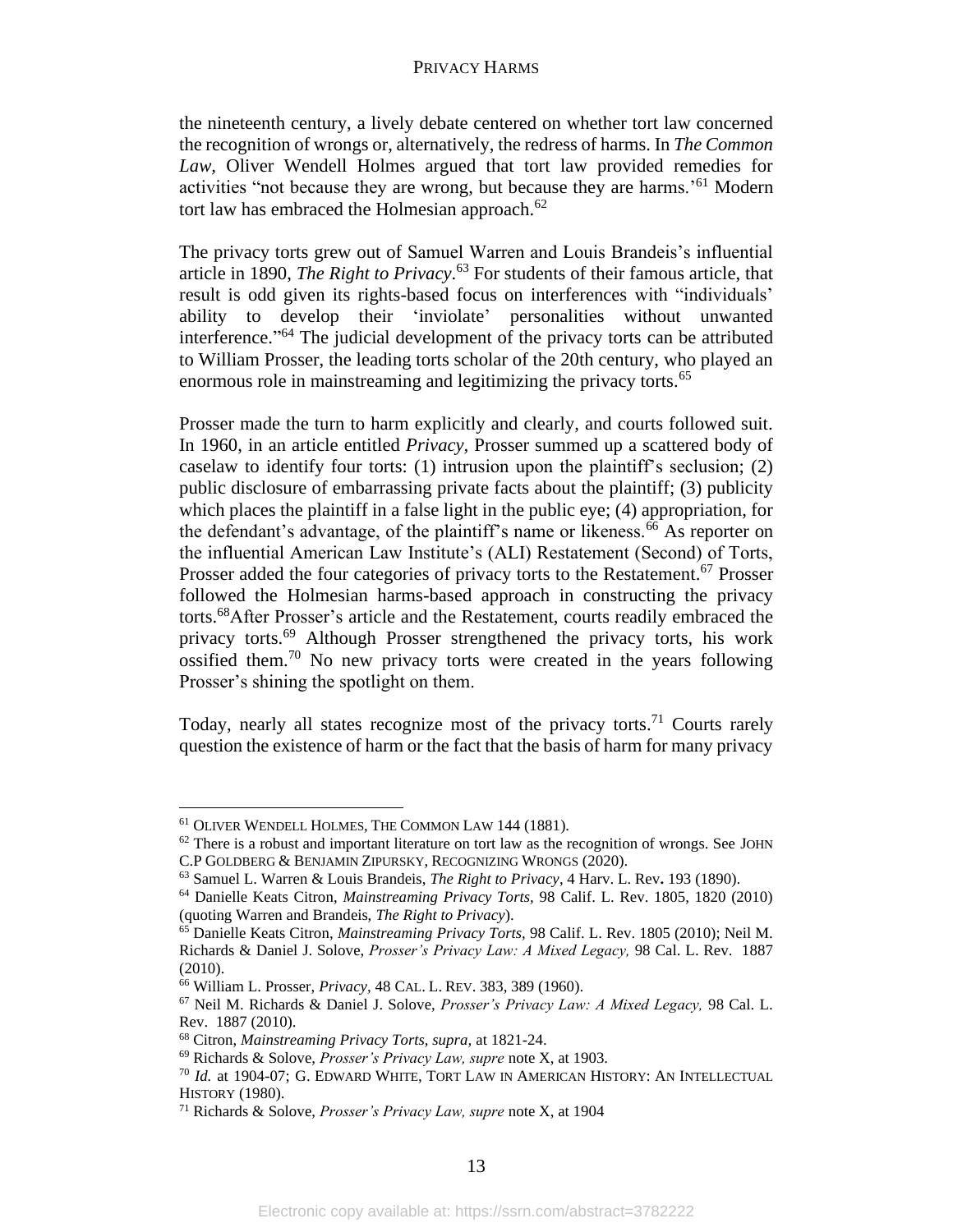the nineteenth century, a lively debate centered on whether tort law concerned the recognition of wrongs or, alternatively, the redress of harms. In *The Common Law,* Oliver Wendell Holmes argued that tort law provided remedies for activities "not because they are wrong, but because they are harms.'<sup>61</sup> Modern tort law has embraced the Holmesian approach. $62$ 

The privacy torts grew out of Samuel Warren and Louis Brandeis's influential article in 1890, *The Right to Privacy*. <sup>63</sup> For students of their famous article, that result is odd given its rights-based focus on interferences with "individuals' ability to develop their 'inviolate' personalities without unwanted interference." <sup>64</sup> The judicial development of the privacy torts can be attributed to William Prosser, the leading torts scholar of the 20th century, who played an enormous role in mainstreaming and legitimizing the privacy torts.<sup>65</sup>

Prosser made the turn to harm explicitly and clearly, and courts followed suit. In 1960, in an article entitled *Privacy,* Prosser summed up a scattered body of caselaw to identify four torts: (1) intrusion upon the plaintiff's seclusion; (2) public disclosure of embarrassing private facts about the plaintiff; (3) publicity which places the plaintiff in a false light in the public eye; (4) appropriation, for the defendant's advantage, of the plaintiff's name or likeness.<sup>66</sup> As reporter on the influential American Law Institute's (ALI) Restatement (Second) of Torts, Prosser added the four categories of privacy torts to the Restatement.<sup>67</sup> Prosser followed the Holmesian harms-based approach in constructing the privacy torts.<sup>68</sup>After Prosser's article and the Restatement, courts readily embraced the privacy torts.<sup>69</sup> Although Prosser strengthened the privacy torts, his work ossified them.<sup>70</sup> No new privacy torts were created in the years following Prosser's shining the spotlight on them.

Today, nearly all states recognize most of the privacy torts.<sup>71</sup> Courts rarely question the existence of harm or the fact that the basis of harm for many privacy

<sup>61</sup> OLIVER WENDELL HOLMES, THE COMMON LAW 144 (1881).

 $62$  There is a robust and important literature on tort law as the recognition of wrongs. See JOHN C.P GOLDBERG & BENJAMIN ZIPURSKY, RECOGNIZING WRONGS (2020).

<sup>63</sup> Samuel L. Warren & Louis Brandeis, *The Right to Privacy*, 4 Harv. L. Rev**.** 193 (1890).

<sup>64</sup> Danielle Keats Citron, *Mainstreaming Privacy Torts,* 98 Calif. L. Rev. 1805, 1820 (2010) (quoting Warren and Brandeis, *The Right to Privacy*).

<sup>65</sup> Danielle Keats Citron, *Mainstreaming Privacy Torts,* 98 Calif. L. Rev. 1805 (2010); Neil M. Richards & Daniel J. Solove, *Prosser's Privacy Law: A Mixed Legacy,* 98 Cal. L. Rev. 1887 (2010).

<sup>66</sup> William L. Prosser, *Privacy,* 48 CAL. L. REV. 383, 389 (1960).

<sup>67</sup> Neil M. Richards & Daniel J. Solove, *Prosser's Privacy Law: A Mixed Legacy,* 98 Cal. L. Rev. 1887 (2010).

<sup>68</sup> Citron, *Mainstreaming Privacy Torts, supra,* at 1821-24.

<sup>69</sup> Richards & Solove, *Prosser's Privacy Law, supre* note X, at 1903.

<sup>70</sup> *Id.* at 1904-07; G. EDWARD WHITE, TORT LAW IN AMERICAN HISTORY: AN INTELLECTUAL HISTORY (1980).

<sup>71</sup> Richards & Solove, *Prosser's Privacy Law, supre* note X, at 1904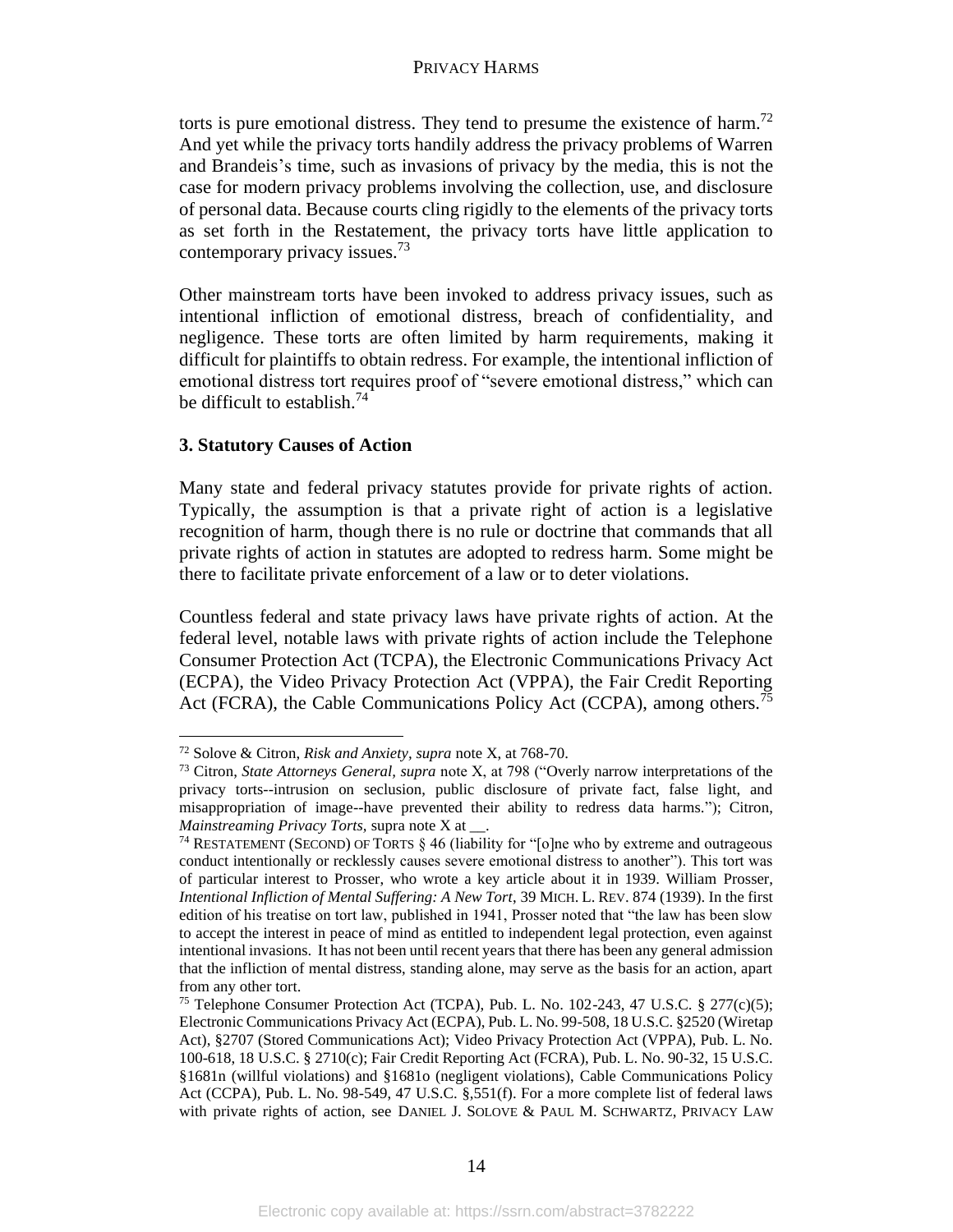torts is pure emotional distress. They tend to presume the existence of harm.<sup>72</sup> And yet while the privacy torts handily address the privacy problems of Warren and Brandeis's time, such as invasions of privacy by the media, this is not the case for modern privacy problems involving the collection, use, and disclosure of personal data. Because courts cling rigidly to the elements of the privacy torts as set forth in the Restatement, the privacy torts have little application to contemporary privacy issues.<sup>73</sup>

Other mainstream torts have been invoked to address privacy issues, such as intentional infliction of emotional distress, breach of confidentiality, and negligence. These torts are often limited by harm requirements, making it difficult for plaintiffs to obtain redress. For example, the intentional infliction of emotional distress tort requires proof of "severe emotional distress," which can be difficult to establish.<sup>74</sup>

# **3. Statutory Causes of Action**

Many state and federal privacy statutes provide for private rights of action. Typically, the assumption is that a private right of action is a legislative recognition of harm, though there is no rule or doctrine that commands that all private rights of action in statutes are adopted to redress harm. Some might be there to facilitate private enforcement of a law or to deter violations.

Countless federal and state privacy laws have private rights of action. At the federal level, notable laws with private rights of action include the Telephone Consumer Protection Act (TCPA), the Electronic Communications Privacy Act (ECPA), the Video Privacy Protection Act (VPPA), the Fair Credit Reporting Act (FCRA), the Cable Communications Policy Act (CCPA), among others.<sup>75</sup>

<sup>72</sup> Solove & Citron, *Risk and Anxiety, supra* note X, at 768-70.

<sup>73</sup> Citron, *State Attorneys General, supra* note X, at 798 ("Overly narrow interpretations of the privacy torts--intrusion on seclusion, public disclosure of private fact, false light, and misappropriation of image--have prevented their ability to redress data harms."); Citron, *Mainstreaming Privacy Torts, supra note X at...* 

<sup>&</sup>lt;sup>74</sup> RESTATEMENT (SECOND) OF TORTS  $\S$  46 (liability for "[o]ne who by extreme and outrageous conduct intentionally or recklessly causes severe emotional distress to another"). This tort was of particular interest to Prosser, who wrote a key article about it in 1939. William Prosser, *Intentional Infliction of Mental Suffering: A New Tort*, 39 MICH. L. REV. 874 (1939). In the first edition of his treatise on tort law, published in 1941, Prosser noted that "the law has been slow to accept the interest in peace of mind as entitled to independent legal protection, even against intentional invasions. It has not been until recent years that there has been any general admission that the infliction of mental distress, standing alone, may serve as the basis for an action, apart from any other tort.

<sup>&</sup>lt;sup>75</sup> Telephone Consumer Protection Act (TCPA), Pub. L. No. 102-243, 47 U.S.C. § 277(c)(5); Electronic Communications Privacy Act (ECPA), Pub. L. No. 99-508, 18 U.S.C. §2520 (Wiretap Act), §2707 (Stored Communications Act); Video Privacy Protection Act (VPPA), Pub. L. No. 100-618, 18 U.S.C. § 2710(c); Fair Credit Reporting Act (FCRA), Pub. L. No. 90-32, 15 U.S.C. §1681n (willful violations) and §1681o (negligent violations), Cable Communications Policy Act (CCPA), Pub. L. No. 98-549, 47 U.S.C. §,551(f). For a more complete list of federal laws with private rights of action, see DANIEL J. SOLOVE & PAUL M. SCHWARTZ, PRIVACY LAW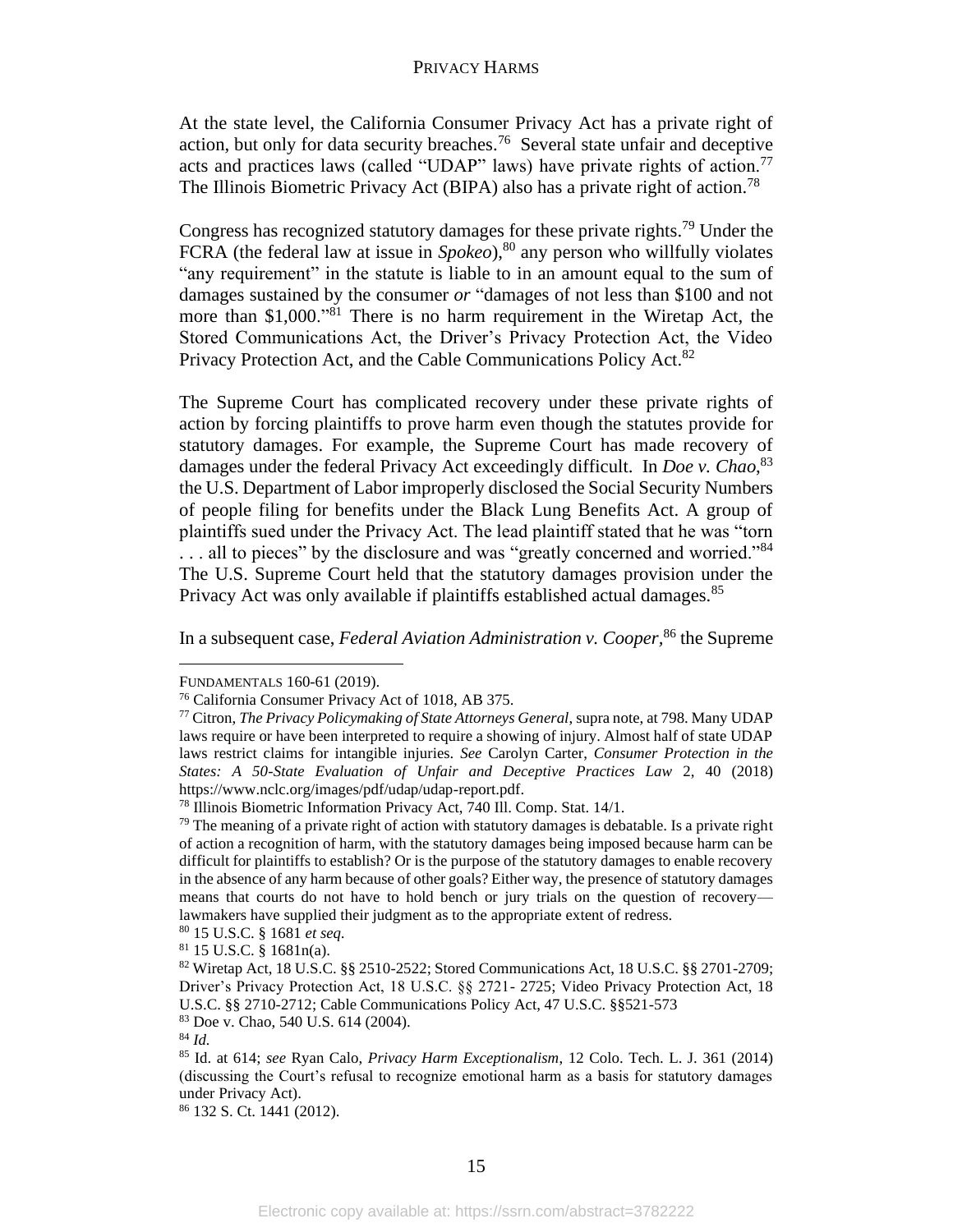At the state level, the California Consumer Privacy Act has a private right of action, but only for data security breaches.<sup>76</sup> Several state unfair and deceptive acts and practices laws (called "UDAP" laws) have private rights of action.<sup>77</sup> The Illinois Biometric Privacy Act (BIPA) also has a private right of action.<sup>78</sup>

Congress has recognized statutory damages for these private rights.<sup>79</sup> Under the FCRA (the federal law at issue in *Spokeo*), <sup>80</sup> any person who willfully violates "any requirement" in the statute is liable to in an amount equal to the sum of damages sustained by the consumer *or* "damages of not less than \$100 and not more than \$1,000."<sup>81</sup> There is no harm requirement in the Wiretap Act, the Stored Communications Act, the Driver's Privacy Protection Act, the Video Privacy Protection Act, and the Cable Communications Policy Act.<sup>82</sup>

The Supreme Court has complicated recovery under these private rights of action by forcing plaintiffs to prove harm even though the statutes provide for statutory damages. For example, the Supreme Court has made recovery of damages under the federal Privacy Act exceedingly difficult. In *Doe v. Chao*, 83 the U.S. Department of Labor improperly disclosed the Social Security Numbers of people filing for benefits under the Black Lung Benefits Act. A group of plaintiffs sued under the Privacy Act. The lead plaintiff stated that he was "torn ... all to pieces" by the disclosure and was "greatly concerned and worried."<sup>84</sup> The U.S. Supreme Court held that the statutory damages provision under the Privacy Act was only available if plaintiffs established actual damages.<sup>85</sup>

In a subsequent case, *Federal Aviation Administration v. Cooper,*<sup>86</sup> the Supreme

<sup>86</sup> 132 S. Ct. 1441 (2012).

FUNDAMENTALS 160-61 (2019).

<sup>76</sup> California Consumer Privacy Act of 1018, AB 375.

<sup>77</sup> Citron, *The Privacy Policymaking of State Attorneys General*, supra note, at 798. Many UDAP laws require or have been interpreted to require a showing of injury. Almost half of state UDAP laws restrict claims for intangible injuries. *See* Carolyn Carter, *Consumer Protection in the States: A 50-State Evaluation of Unfair and Deceptive Practices Law* 2, 40 (2018) https://www.nclc.org/images/pdf/udap/udap-report.pdf.

<sup>78</sup> Illinois Biometric Information Privacy Act, 740 Ill. Comp. Stat. 14/1.

 $79$  The meaning of a private right of action with statutory damages is debatable. Is a private right of action a recognition of harm, with the statutory damages being imposed because harm can be difficult for plaintiffs to establish? Or is the purpose of the statutory damages to enable recovery in the absence of any harm because of other goals? Either way, the presence of statutory damages means that courts do not have to hold bench or jury trials on the question of recovery lawmakers have supplied their judgment as to the appropriate extent of redress.

<sup>80</sup> 15 U.S.C. § 1681 *et seq.*

 $81$  15 U.S.C. § 1681n(a).

<sup>82</sup> Wiretap Act, 18 U.S.C. §§ 2510-2522; Stored Communications Act, 18 U.S.C. §§ 2701-2709; Driver's Privacy Protection Act, 18 U.S.C. §§ 2721- 2725; Video Privacy Protection Act, 18 U.S.C. §§ 2710-2712; Cable Communications Policy Act, 47 U.S.C. §§521-573

<sup>83</sup> Doe v. Chao, 540 U.S. 614 (2004).

<sup>84</sup> *Id.*

<sup>85</sup> Id. at 614; *see* Ryan Calo, *Privacy Harm Exceptionalism*, 12 Colo. Tech. L. J. 361 (2014) (discussing the Court's refusal to recognize emotional harm as a basis for statutory damages under Privacy Act).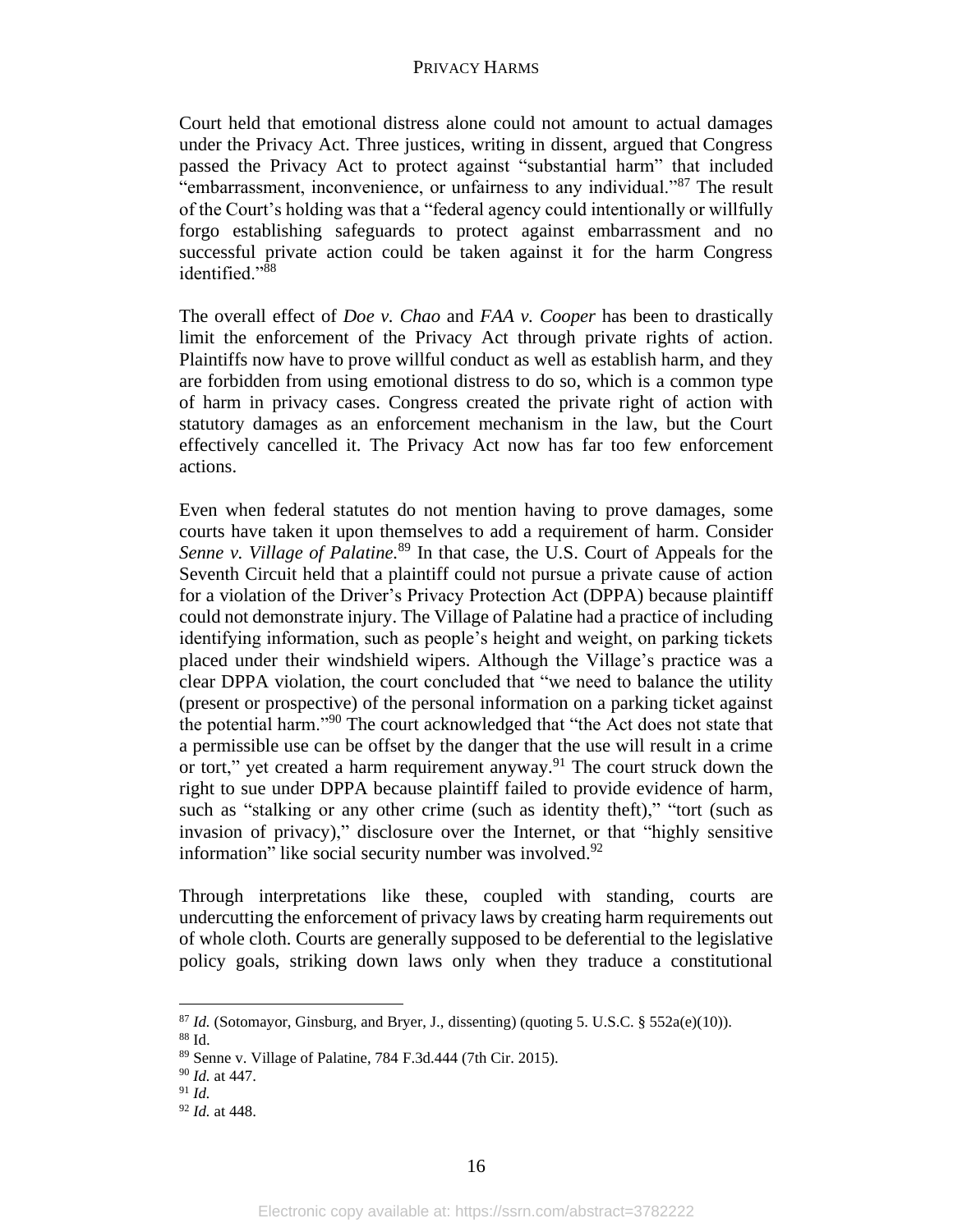Court held that emotional distress alone could not amount to actual damages under the Privacy Act. Three justices, writing in dissent, argued that Congress passed the Privacy Act to protect against "substantial harm" that included "embarrassment, inconvenience, or unfairness to any individual."<sup>87</sup> The result of the Court's holding was that a "federal agency could intentionally or willfully forgo establishing safeguards to protect against embarrassment and no successful private action could be taken against it for the harm Congress identified."<sup>88</sup>

The overall effect of *Doe v. Chao* and *FAA v. Cooper* has been to drastically limit the enforcement of the Privacy Act through private rights of action. Plaintiffs now have to prove willful conduct as well as establish harm, and they are forbidden from using emotional distress to do so, which is a common type of harm in privacy cases. Congress created the private right of action with statutory damages as an enforcement mechanism in the law, but the Court effectively cancelled it. The Privacy Act now has far too few enforcement actions.

Even when federal statutes do not mention having to prove damages, some courts have taken it upon themselves to add a requirement of harm. Consider Senne v. Village of Palatine.<sup>89</sup> In that case, the U.S. Court of Appeals for the Seventh Circuit held that a plaintiff could not pursue a private cause of action for a violation of the Driver's Privacy Protection Act (DPPA) because plaintiff could not demonstrate injury. The Village of Palatine had a practice of including identifying information, such as people's height and weight, on parking tickets placed under their windshield wipers. Although the Village's practice was a clear DPPA violation, the court concluded that "we need to balance the utility (present or prospective) of the personal information on a parking ticket against the potential harm."<sup>90</sup> The court acknowledged that "the Act does not state that a permissible use can be offset by the danger that the use will result in a crime or tort," yet created a harm requirement anyway.<sup>91</sup> The court struck down the right to sue under DPPA because plaintiff failed to provide evidence of harm, such as "stalking or any other crime (such as identity the ft)," "tort (such as invasion of privacy)," disclosure over the Internet, or that "highly sensitive information" like social security number was involved.<sup>92</sup>

Through interpretations like these, coupled with standing, courts are undercutting the enforcement of privacy laws by creating harm requirements out of whole cloth. Courts are generally supposed to be deferential to the legislative policy goals, striking down laws only when they traduce a constitutional

 $87$  *Id.* (Sotomayor, Ginsburg, and Bryer, J., dissenting) (quoting 5. U.S.C. § 552a(e)(10)).

<sup>88</sup> Id.

<sup>89</sup> Senne v. Village of Palatine, 784 F.3d.444 (7th Cir. 2015).

<sup>90</sup> *Id.* at 447.

<sup>91</sup> *Id.*

<sup>92</sup> *Id.* at 448.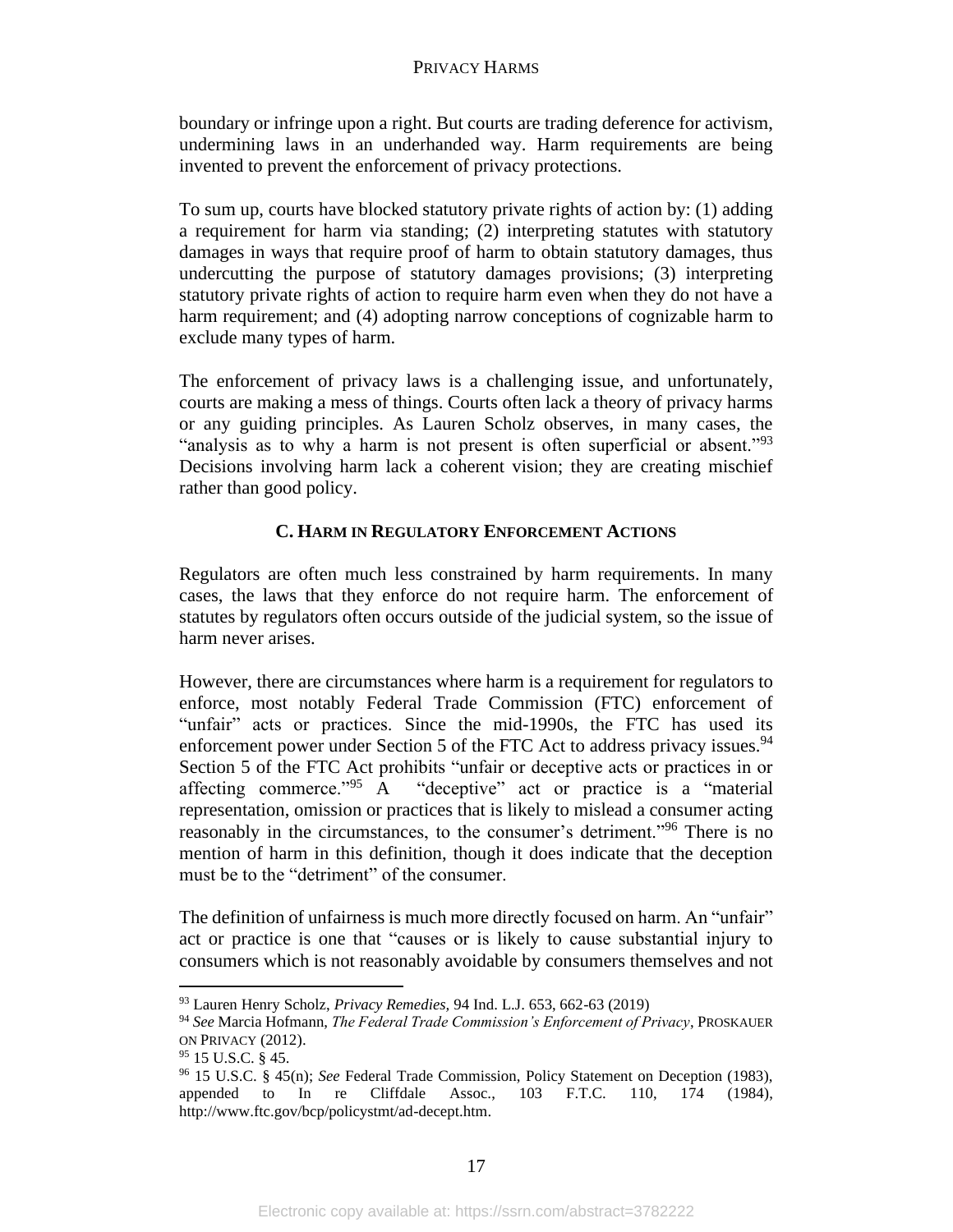boundary or infringe upon a right. But courts are trading deference for activism, undermining laws in an underhanded way. Harm requirements are being invented to prevent the enforcement of privacy protections.

To sum up, courts have blocked statutory private rights of action by: (1) adding a requirement for harm via standing; (2) interpreting statutes with statutory damages in ways that require proof of harm to obtain statutory damages, thus undercutting the purpose of statutory damages provisions; (3) interpreting statutory private rights of action to require harm even when they do not have a harm requirement; and (4) adopting narrow conceptions of cognizable harm to exclude many types of harm.

The enforcement of privacy laws is a challenging issue, and unfortunately, courts are making a mess of things. Courts often lack a theory of privacy harms or any guiding principles. As Lauren Scholz observes, in many cases, the "analysis as to why a harm is not present is often superficial or absent."<sup>93</sup> Decisions involving harm lack a coherent vision; they are creating mischief rather than good policy.

# **C. HARM IN REGULATORY ENFORCEMENT ACTIONS**

Regulators are often much less constrained by harm requirements. In many cases, the laws that they enforce do not require harm. The enforcement of statutes by regulators often occurs outside of the judicial system, so the issue of harm never arises.

However, there are circumstances where harm is a requirement for regulators to enforce, most notably Federal Trade Commission (FTC) enforcement of "unfair" acts or practices. Since the mid-1990s, the FTC has used its enforcement power under Section 5 of the FTC Act to address privacy issues.<sup>94</sup> Section 5 of the FTC Act prohibits "unfair or deceptive acts or practices in or affecting commerce."<sup>95</sup> A "deceptive" act or practice is a "material representation, omission or practices that is likely to mislead a consumer acting reasonably in the circumstances, to the consumer's detriment." <sup>96</sup> There is no mention of harm in this definition, though it does indicate that the deception must be to the "detriment" of the consumer.

The definition of unfairness is much more directly focused on harm. An "unfair" act or practice is one that "causes or is likely to cause substantial injury to consumers which is not reasonably avoidable by consumers themselves and not

<sup>93</sup> Lauren Henry Scholz, *Privacy Remedies,* 94 Ind. L.J. 653, 662-63 (2019)

<sup>94</sup> *See* Marcia Hofmann, *The Federal Trade Commission's Enforcement of Privacy*, PROSKAUER ON PRIVACY (2012).

<sup>95</sup> 15 U.S.C. § 45.

<sup>96</sup> 15 U.S.C. § 45(n); *See* Federal Trade Commission, Policy Statement on Deception (1983), appended to In re Cliffdale Assoc., 103 F.T.C. 110, 174 (1984), http://www.ftc.gov/bcp/policystmt/ad-decept.htm.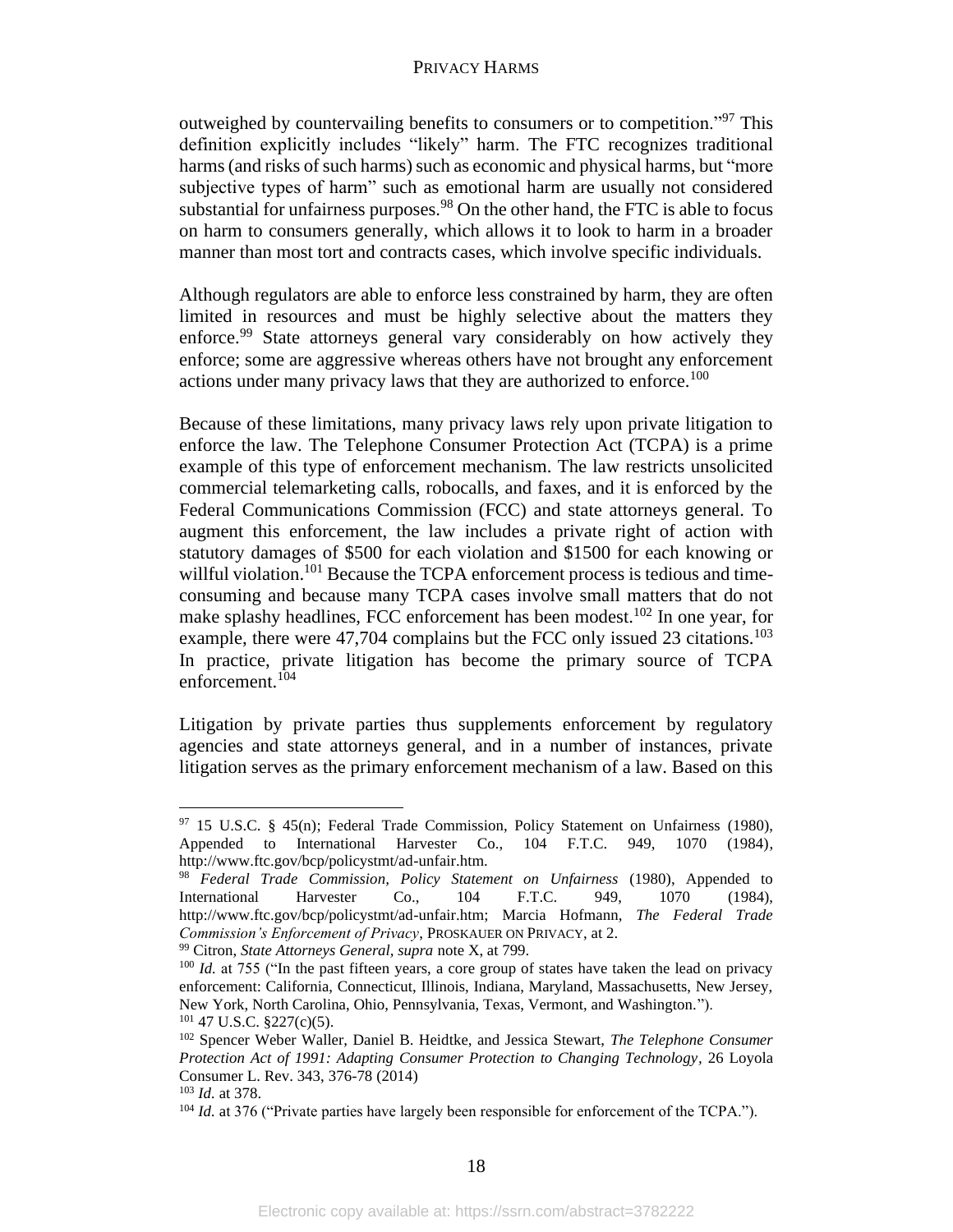outweighed by countervailing benefits to consumers or to competition."<sup>97</sup> This definition explicitly includes "likely" harm. The FTC recognizes traditional harms (and risks of such harms) such as economic and physical harms, but "more subjective types of harm" such as emotional harm are usually not considered substantial for unfairness purposes.<sup>98</sup> On the other hand, the FTC is able to focus on harm to consumers generally, which allows it to look to harm in a broader manner than most tort and contracts cases, which involve specific individuals.

Although regulators are able to enforce less constrained by harm, they are often limited in resources and must be highly selective about the matters they enforce.<sup>99</sup> State attorneys general vary considerably on how actively they enforce; some are aggressive whereas others have not brought any enforcement actions under many privacy laws that they are authorized to enforce.<sup>100</sup>

Because of these limitations, many privacy laws rely upon private litigation to enforce the law. The Telephone Consumer Protection Act (TCPA) is a prime example of this type of enforcement mechanism. The law restricts unsolicited commercial telemarketing calls, robocalls, and faxes, and it is enforced by the Federal Communications Commission (FCC) and state attorneys general. To augment this enforcement, the law includes a private right of action with statutory damages of \$500 for each violation and \$1500 for each knowing or willful violation.<sup>101</sup> Because the TCPA enforcement process is tedious and timeconsuming and because many TCPA cases involve small matters that do not make splashy headlines, FCC enforcement has been modest.<sup>102</sup> In one year, for example, there were 47,704 complains but the FCC only issued 23 citations.<sup>103</sup> In practice, private litigation has become the primary source of TCPA enforcement.<sup>104</sup>

Litigation by private parties thus supplements enforcement by regulatory agencies and state attorneys general, and in a number of instances, private litigation serves as the primary enforcement mechanism of a law. Based on this

<sup>97 15</sup> U.S.C. § 45(n); Federal Trade Commission, Policy Statement on Unfairness (1980), Appended to International Harvester Co., 104 F.T.C. 949, 1070 (1984), http://www.ftc.gov/bcp/policystmt/ad-unfair.htm.

<sup>98</sup> *Federal Trade Commission, Policy Statement on Unfairness* (1980), Appended to International Harvester Co., 104 F.T.C. 949, 1070 (1984), http://www.ftc.gov/bcp/policystmt/ad-unfair.htm; Marcia Hofmann, *The Federal Trade Commission's Enforcement of Privacy*, PROSKAUER ON PRIVACY, at 2.

<sup>99</sup> Citron, *State Attorneys General, supra* note X, at 799.

<sup>&</sup>lt;sup>100</sup> *Id.* at 755 ("In the past fifteen years, a core group of states have taken the lead on privacy enforcement: California, Connecticut, Illinois, Indiana, Maryland, Massachusetts, New Jersey, New York, North Carolina, Ohio, Pennsylvania, Texas, Vermont, and Washington.").  $101$  47 U.S.C. §227(c)(5).

<sup>102</sup> Spencer Weber Waller, Daniel B. Heidtke, and Jessica Stewart, *The Telephone Consumer Protection Act of 1991: Adapting Consumer Protection to Changing Technology,* 26 Loyola Consumer L. Rev. 343, 376-78 (2014)

<sup>103</sup> *Id.* at 378.

<sup>&</sup>lt;sup>104</sup> *Id.* at 376 ("Private parties have largely been responsible for enforcement of the TCPA.").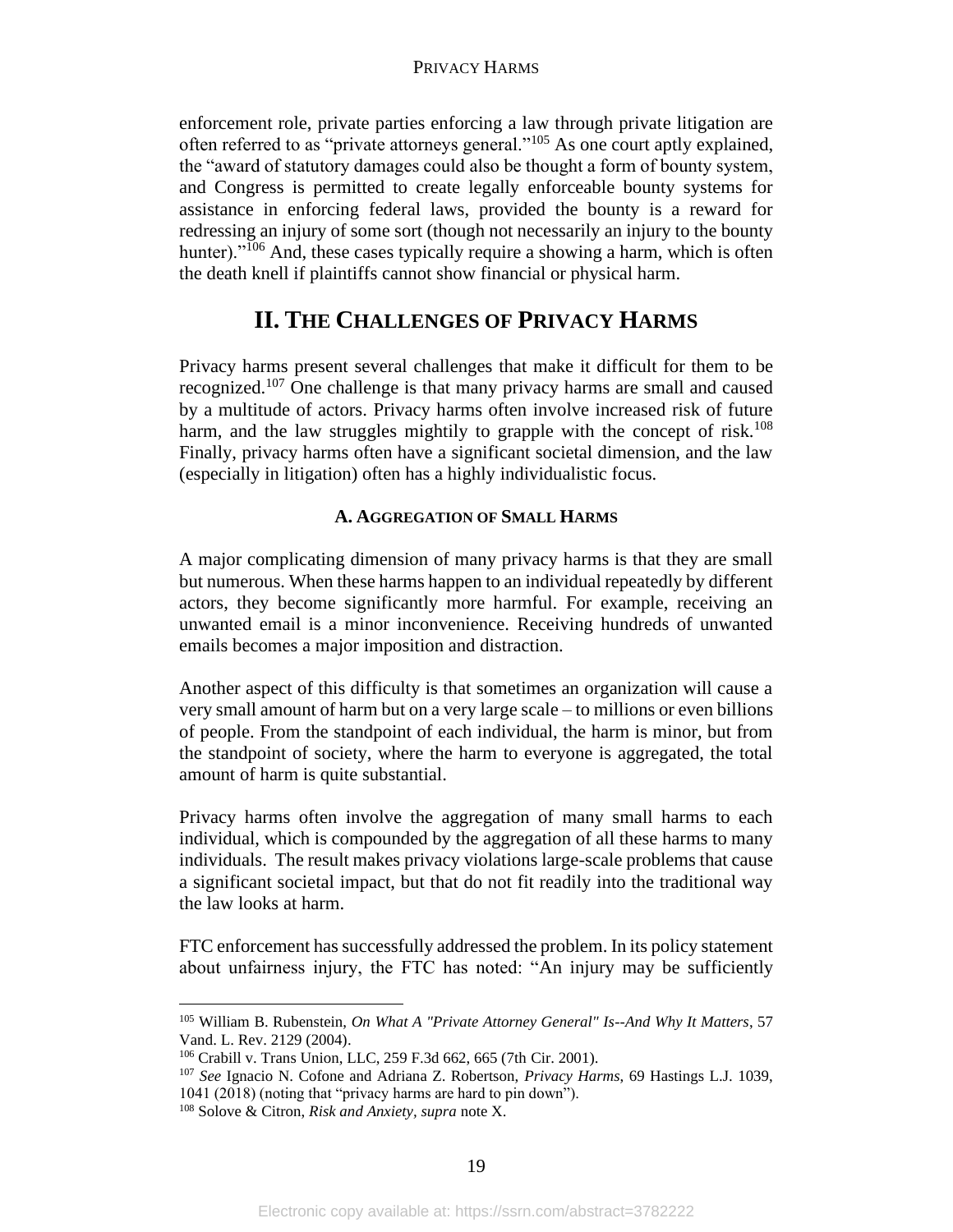enforcement role, private parties enforcing a law through private litigation are often referred to as "private attorneys general."<sup>105</sup> As one court aptly explained, the "award of statutory damages could also be thought a form of bounty system, and Congress is permitted to create legally enforceable bounty systems for assistance in enforcing federal laws, provided the bounty is a reward for redressing an injury of some sort (though not necessarily an injury to the bounty hunter)."<sup>106</sup> And, these cases typically require a showing a harm, which is often the death knell if plaintiffs cannot show financial or physical harm.

# **II. THE CHALLENGES OF PRIVACY HARMS**

Privacy harms present several challenges that make it difficult for them to be recognized.<sup>107</sup> One challenge is that many privacy harms are small and caused by a multitude of actors. Privacy harms often involve increased risk of future harm, and the law struggles mightily to grapple with the concept of risk.<sup>108</sup> Finally, privacy harms often have a significant societal dimension, and the law (especially in litigation) often has a highly individualistic focus.

# **A. AGGREGATION OF SMALL HARMS**

A major complicating dimension of many privacy harms is that they are small but numerous. When these harms happen to an individual repeatedly by different actors, they become significantly more harmful. For example, receiving an unwanted email is a minor inconvenience. Receiving hundreds of unwanted emails becomes a major imposition and distraction.

Another aspect of this difficulty is that sometimes an organization will cause a very small amount of harm but on a very large scale – to millions or even billions of people. From the standpoint of each individual, the harm is minor, but from the standpoint of society, where the harm to everyone is aggregated, the total amount of harm is quite substantial.

Privacy harms often involve the aggregation of many small harms to each individual, which is compounded by the aggregation of all these harms to many individuals. The result makes privacy violations large-scale problems that cause a significant societal impact, but that do not fit readily into the traditional way the law looks at harm.

FTC enforcement has successfully addressed the problem. In its policy statement about unfairness injury, the FTC has noted: "An injury may be sufficiently

<sup>105</sup> William B. Rubenstein, *On What A "Private Attorney General" Is--And Why It Matters*, 57 Vand. L. Rev. 2129 (2004).

<sup>106</sup> Crabill v. Trans Union, LLC, 259 F.3d 662, 665 (7th Cir. 2001).

<sup>107</sup> *See* Ignacio N. Cofone and Adriana Z. Robertson, *Privacy Harms*, 69 Hastings L.J. 1039, 1041 (2018) (noting that "privacy harms are hard to pin down").

<sup>108</sup> Solove & Citron, *Risk and Anxiety, supra* note X.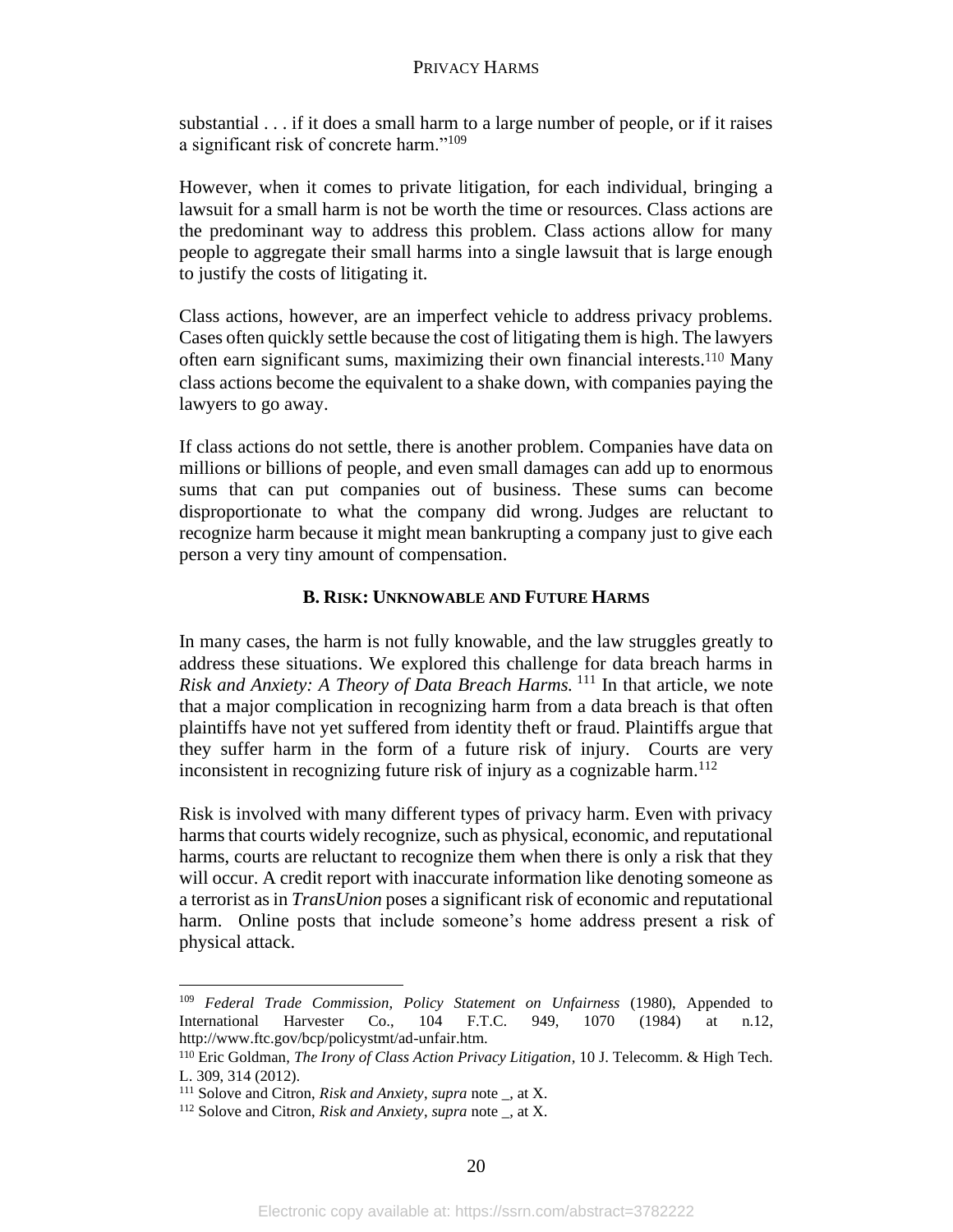substantial . . . if it does a small harm to a large number of people, or if it raises a significant risk of concrete harm."<sup>109</sup>

However, when it comes to private litigation, for each individual, bringing a lawsuit for a small harm is not be worth the time or resources. Class actions are the predominant way to address this problem. Class actions allow for many people to aggregate their small harms into a single lawsuit that is large enough to justify the costs of litigating it.

Class actions, however, are an imperfect vehicle to address privacy problems. Cases often quickly settle because the cost of litigating them is high. The lawyers often earn significant sums, maximizing their own financial interests.<sup>110</sup> Many class actions become the equivalent to a shake down, with companies paying the lawyers to go away.

If class actions do not settle, there is another problem. Companies have data on millions or billions of people, and even small damages can add up to enormous sums that can put companies out of business. These sums can become disproportionate to what the company did wrong. Judges are reluctant to recognize harm because it might mean bankrupting a company just to give each person a very tiny amount of compensation.

# **B. RISK: UNKNOWABLE AND FUTURE HARMS**

In many cases, the harm is not fully knowable, and the law struggles greatly to address these situations. We explored this challenge for data breach harms in *Risk and Anxiety: A Theory of Data Breach Harms.* <sup>111</sup> In that article, we note that a major complication in recognizing harm from a data breach is that often plaintiffs have not yet suffered from identity theft or fraud. Plaintiffs argue that they suffer harm in the form of a future risk of injury. Courts are very inconsistent in recognizing future risk of injury as a cognizable harm.<sup>112</sup>

Risk is involved with many different types of privacy harm. Even with privacy harms that courts widely recognize, such as physical, economic, and reputational harms, courts are reluctant to recognize them when there is only a risk that they will occur. A credit report with inaccurate information like denoting someone as a terrorist as in *TransUnion* poses a significant risk of economic and reputational harm. Online posts that include someone's home address present a risk of physical attack.

<sup>&</sup>lt;sup>109</sup> *Federal Trade Commission, Policy Statement on Unfairness* (1980), Appended to International Harvester Co., 104 F.T.C. 949, 1070 (1984) at n.12. International Harvester Co., 104 F.T.C. 949, 1070 (1984) at n.12, http://www.ftc.gov/bcp/policystmt/ad-unfair.htm.

<sup>110</sup> Eric Goldman, *The Irony of Class Action Privacy Litigation*, 10 J. Telecomm. & High Tech. L. 309, 314 (2012).

<sup>111</sup> Solove and Citron, *Risk and Anxiety*, *supra* note \_, at X.

<sup>112</sup> Solove and Citron, *Risk and Anxiety*, *supra* note \_, at X.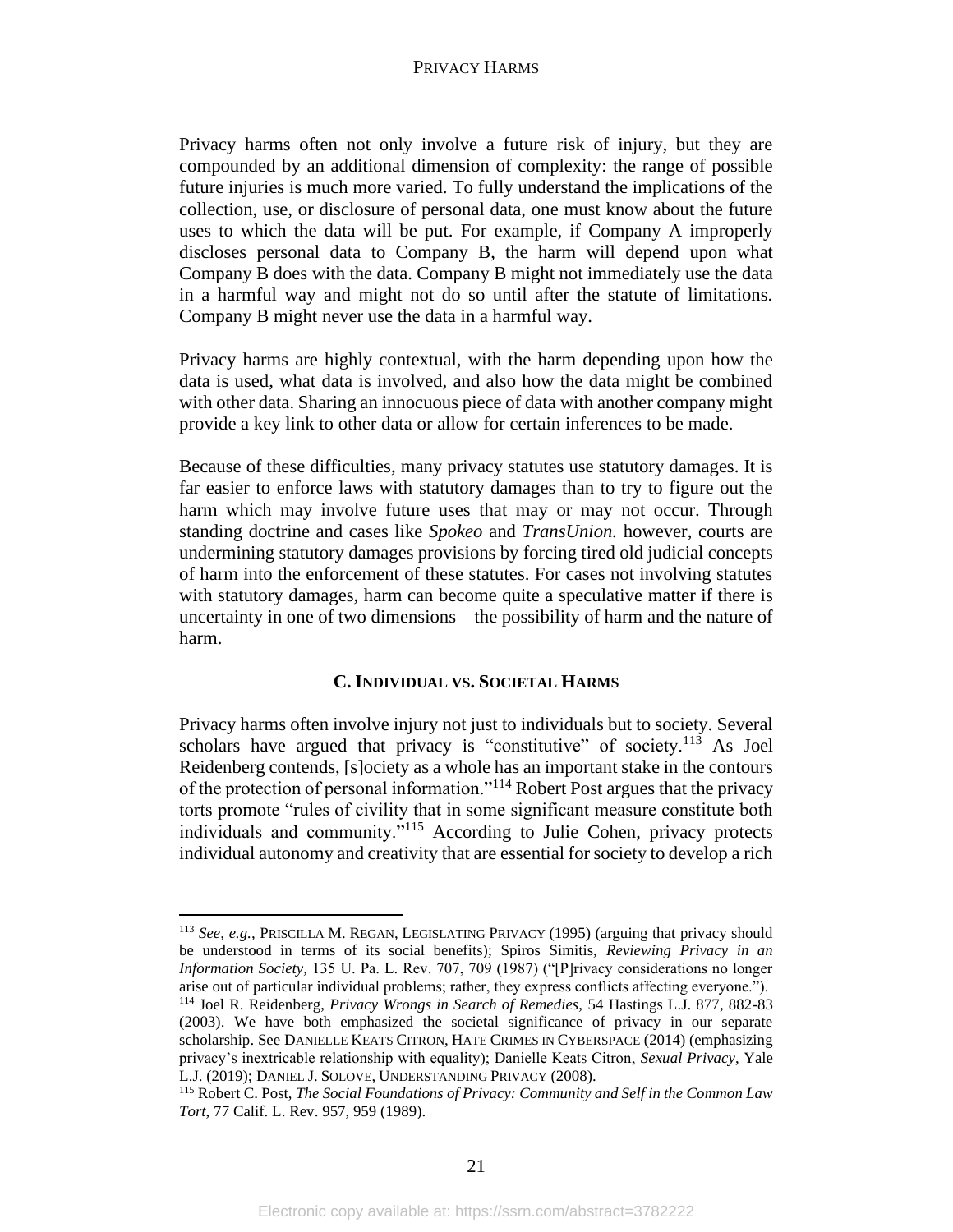Privacy harms often not only involve a future risk of injury, but they are compounded by an additional dimension of complexity: the range of possible future injuries is much more varied. To fully understand the implications of the collection, use, or disclosure of personal data, one must know about the future uses to which the data will be put. For example, if Company A improperly discloses personal data to Company B, the harm will depend upon what Company B does with the data. Company B might not immediately use the data in a harmful way and might not do so until after the statute of limitations. Company B might never use the data in a harmful way.

Privacy harms are highly contextual, with the harm depending upon how the data is used, what data is involved, and also how the data might be combined with other data. Sharing an innocuous piece of data with another company might provide a key link to other data or allow for certain inferences to be made.

Because of these difficulties, many privacy statutes use statutory damages. It is far easier to enforce laws with statutory damages than to try to figure out the harm which may involve future uses that may or may not occur. Through standing doctrine and cases like *Spokeo* and *TransUnion.* however, courts are undermining statutory damages provisions by forcing tired old judicial concepts of harm into the enforcement of these statutes. For cases not involving statutes with statutory damages, harm can become quite a speculative matter if there is uncertainty in one of two dimensions – the possibility of harm and the nature of harm.

# **C. INDIVIDUAL VS. SOCIETAL HARMS**

Privacy harms often involve injury not just to individuals but to society. Several scholars have argued that privacy is "constitutive" of society.<sup>113</sup> As Joel Reidenberg contends, [s]ociety as a whole has an important stake in the contours of the protection of personal information."<sup>114</sup> Robert Post argues that the privacy torts promote "rules of civility that in some significant measure constitute both individuals and community."<sup>115</sup> According to Julie Cohen, privacy protects individual autonomy and creativity that are essential for society to develop a rich

<sup>113</sup> *See, e.g.,* PRISCILLA M. REGAN, LEGISLATING PRIVACY (1995) (arguing that privacy should be understood in terms of its social benefits); Spiros Simitis, *Reviewing Privacy in an Information Society,* 135 U. Pa. L. Rev. 707, 709 (1987) ("[P]rivacy considerations no longer arise out of particular individual problems; rather, they express conflicts affecting everyone."). <sup>114</sup> Joel R. Reidenberg, *Privacy Wrongs in Search of Remedies,* 54 Hastings L.J. 877, 882-83 (2003). We have both emphasized the societal significance of privacy in our separate scholarship. See DANIELLE KEATS CITRON, HATE CRIMES IN CYBERSPACE (2014) (emphasizing privacy's inextricable relationship with equality); Danielle Keats Citron, *Sexual Privacy*, Yale L.J. (2019); DANIEL J. SOLOVE, UNDERSTANDING PRIVACY (2008).

<sup>115</sup> Robert C. Post, *The Social Foundations of Privacy: Community and Self in the Common Law Tort*, 77 Calif. L. Rev. 957, 959 (1989).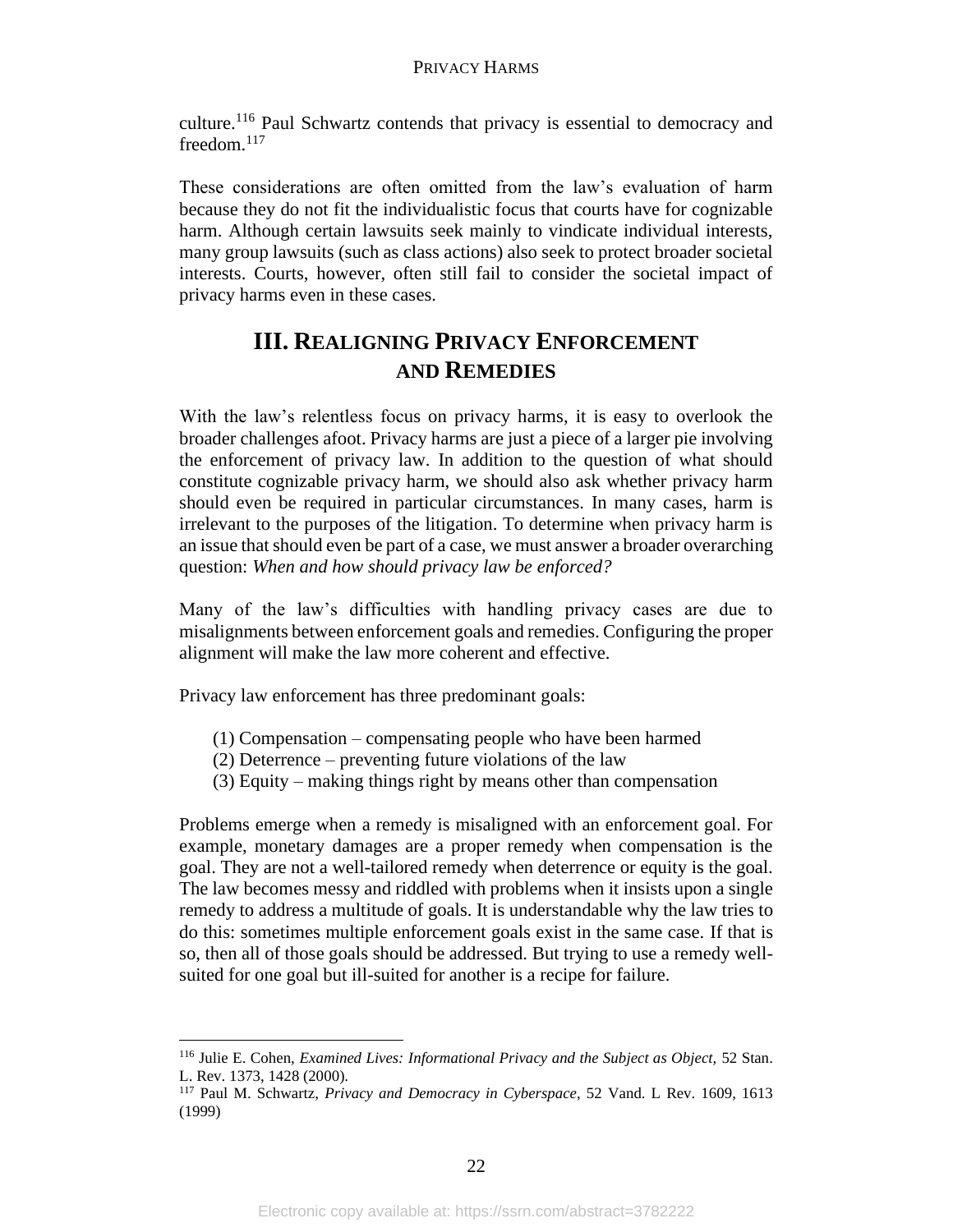culture.<sup>116</sup> Paul Schwartz contends that privacy is essential to democracy and freedom.<sup>117</sup>

These considerations are often omitted from the law's evaluation of harm because they do not fit the individualistic focus that courts have for cognizable harm. Although certain lawsuits seek mainly to vindicate individual interests, many group lawsuits (such as class actions) also seek to protect broader societal interests. Courts, however, often still fail to consider the societal impact of privacy harms even in these cases.

# **III. REALIGNING PRIVACY ENFORCEMENT AND REMEDIES**

With the law's relentless focus on privacy harms, it is easy to overlook the broader challenges afoot. Privacy harms are just a piece of a larger pie involving the enforcement of privacy law. In addition to the question of what should constitute cognizable privacy harm, we should also ask whether privacy harm should even be required in particular circumstances. In many cases, harm is irrelevant to the purposes of the litigation. To determine when privacy harm is an issue that should even be part of a case, we must answer a broader overarching question: *When and how should privacy law be enforced?*

Many of the law's difficulties with handling privacy cases are due to misalignments between enforcement goals and remedies. Configuring the proper alignment will make the law more coherent and effective.

Privacy law enforcement has three predominant goals:

- (1) Compensation compensating people who have been harmed
- (2) Deterrence preventing future violations of the law
- (3) Equity making things right by means other than compensation

Problems emerge when a remedy is misaligned with an enforcement goal. For example, monetary damages are a proper remedy when compensation is the goal. They are not a well-tailored remedy when deterrence or equity is the goal. The law becomes messy and riddled with problems when it insists upon a single remedy to address a multitude of goals. It is understandable why the law tries to do this: sometimes multiple enforcement goals exist in the same case. If that is so, then all of those goals should be addressed. But trying to use a remedy wellsuited for one goal but ill-suited for another is a recipe for failure.

<sup>116</sup> Julie E. Cohen, *Examined Lives: Informational Privacy and the Subject as Object,* 52 Stan. L. Rev. 1373, 1428 (2000).

<sup>117</sup> Paul M. Schwartz, *Privacy and Democracy in Cyberspace*, 52 Vand. L Rev. 1609, 1613 (1999)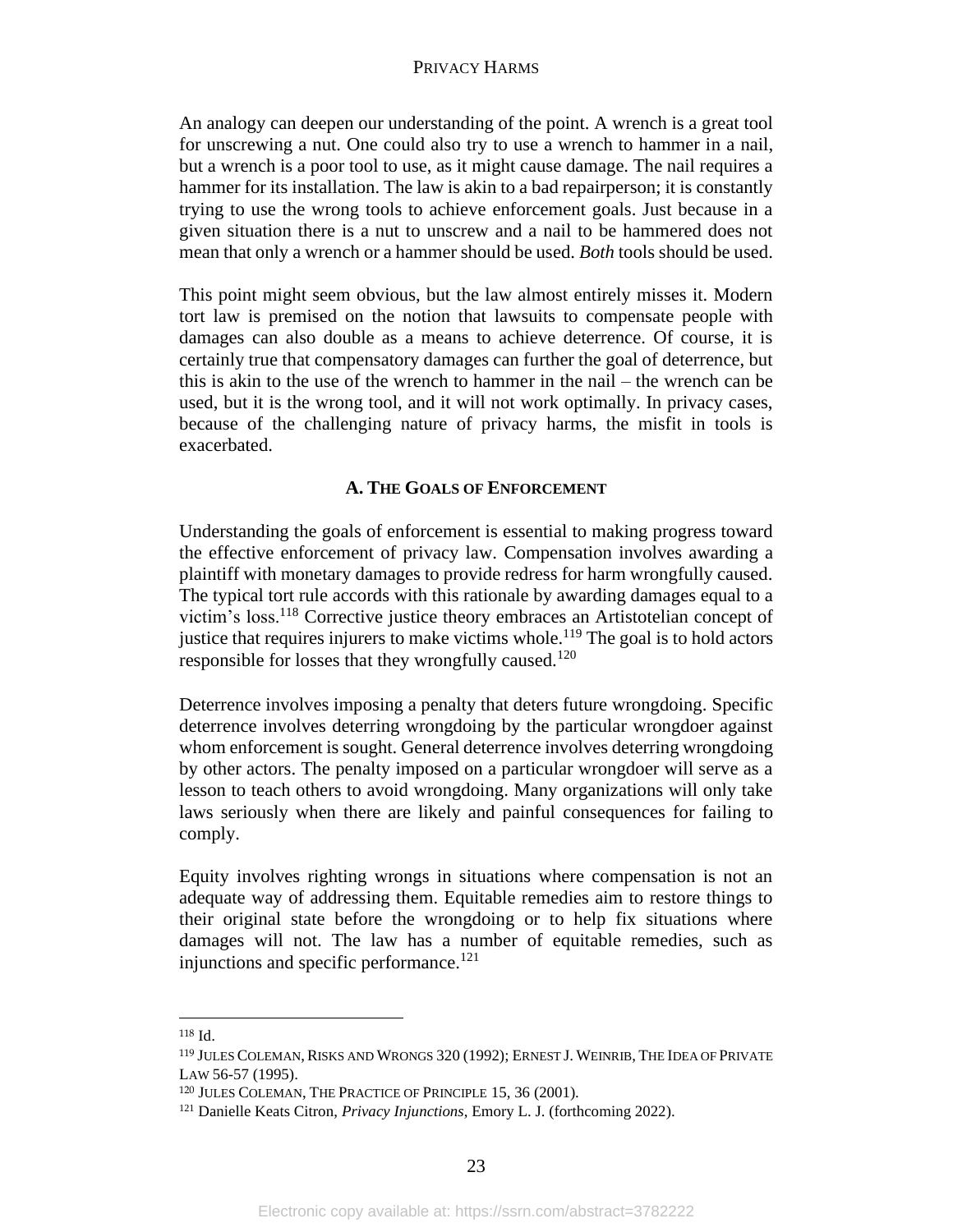An analogy can deepen our understanding of the point. A wrench is a great tool for unscrewing a nut. One could also try to use a wrench to hammer in a nail, but a wrench is a poor tool to use, as it might cause damage. The nail requires a hammer for its installation. The law is akin to a bad repairperson; it is constantly trying to use the wrong tools to achieve enforcement goals. Just because in a given situation there is a nut to unscrew and a nail to be hammered does not mean that only a wrench or a hammer should be used. *Both* tools should be used.

This point might seem obvious, but the law almost entirely misses it. Modern tort law is premised on the notion that lawsuits to compensate people with damages can also double as a means to achieve deterrence. Of course, it is certainly true that compensatory damages can further the goal of deterrence, but this is akin to the use of the wrench to hammer in the nail – the wrench can be used, but it is the wrong tool, and it will not work optimally. In privacy cases, because of the challenging nature of privacy harms, the misfit in tools is exacerbated.

# **A. THE GOALS OF ENFORCEMENT**

Understanding the goals of enforcement is essential to making progress toward the effective enforcement of privacy law. Compensation involves awarding a plaintiff with monetary damages to provide redress for harm wrongfully caused. The typical tort rule accords with this rationale by awarding damages equal to a victim's loss.<sup>118</sup> Corrective justice theory embraces an Artistotelian concept of justice that requires injurers to make victims whole.<sup>119</sup> The goal is to hold actors responsible for losses that they wrongfully caused.<sup>120</sup>

Deterrence involves imposing a penalty that deters future wrongdoing. Specific deterrence involves deterring wrongdoing by the particular wrongdoer against whom enforcement is sought. General deterrence involves deterring wrongdoing by other actors. The penalty imposed on a particular wrongdoer will serve as a lesson to teach others to avoid wrongdoing. Many organizations will only take laws seriously when there are likely and painful consequences for failing to comply.

Equity involves righting wrongs in situations where compensation is not an adequate way of addressing them. Equitable remedies aim to restore things to their original state before the wrongdoing or to help fix situations where damages will not. The law has a number of equitable remedies, such as injunctions and specific performance.<sup>121</sup>

<sup>118</sup> Id.

<sup>119</sup> JULES COLEMAN,RISKS AND WRONGS 320 (1992); ERNEST J. WEINRIB, THE IDEA OF PRIVATE LAW 56-57 (1995).

<sup>120</sup> JULES COLEMAN, THE PRACTICE OF PRINCIPLE 15, 36 (2001).

<sup>121</sup> Danielle Keats Citron, *Privacy Injunctions*, Emory L. J. (forthcoming 2022).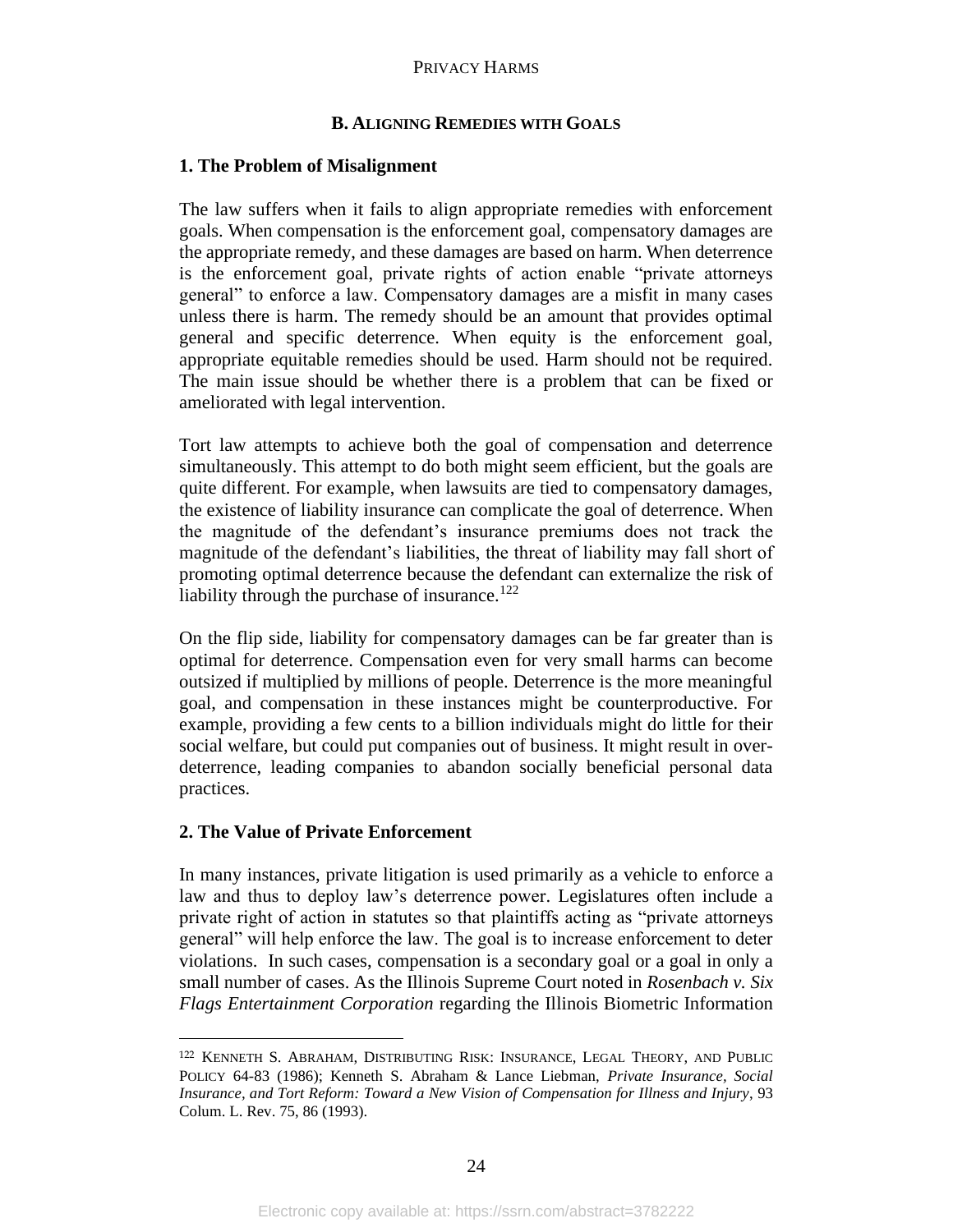# **B. ALIGNING REMEDIES WITH GOALS**

# **1. The Problem of Misalignment**

The law suffers when it fails to align appropriate remedies with enforcement goals. When compensation is the enforcement goal, compensatory damages are the appropriate remedy, and these damages are based on harm. When deterrence is the enforcement goal, private rights of action enable "private attorneys general" to enforce a law. Compensatory damages are a misfit in many cases unless there is harm. The remedy should be an amount that provides optimal general and specific deterrence. When equity is the enforcement goal, appropriate equitable remedies should be used. Harm should not be required. The main issue should be whether there is a problem that can be fixed or ameliorated with legal intervention.

Tort law attempts to achieve both the goal of compensation and deterrence simultaneously. This attempt to do both might seem efficient, but the goals are quite different. For example, when lawsuits are tied to compensatory damages, the existence of liability insurance can complicate the goal of deterrence. When the magnitude of the defendant's insurance premiums does not track the magnitude of the defendant's liabilities, the threat of liability may fall short of promoting optimal deterrence because the defendant can externalize the risk of liability through the purchase of insurance. $122$ 

On the flip side, liability for compensatory damages can be far greater than is optimal for deterrence. Compensation even for very small harms can become outsized if multiplied by millions of people. Deterrence is the more meaningful goal, and compensation in these instances might be counterproductive. For example, providing a few cents to a billion individuals might do little for their social welfare, but could put companies out of business. It might result in overdeterrence, leading companies to abandon socially beneficial personal data practices.

# **2. The Value of Private Enforcement**

In many instances, private litigation is used primarily as a vehicle to enforce a law and thus to deploy law's deterrence power. Legislatures often include a private right of action in statutes so that plaintiffs acting as "private attorneys general" will help enforce the law. The goal is to increase enforcement to deter violations. In such cases, compensation is a secondary goal or a goal in only a small number of cases. As the Illinois Supreme Court noted in *Rosenbach v. Six Flags Entertainment Corporation* regarding the Illinois Biometric Information

<sup>122</sup> KENNETH S. ABRAHAM, DISTRIBUTING RISK: INSURANCE, LEGAL THEORY, AND PUBLIC POLICY 64-83 (1986); Kenneth S. Abraham & Lance Liebman, *Private Insurance, Social Insurance, and Tort Reform: Toward a New Vision of Compensation for Illness and Injury*, 93 Colum. L. Rev. 75, 86 (1993).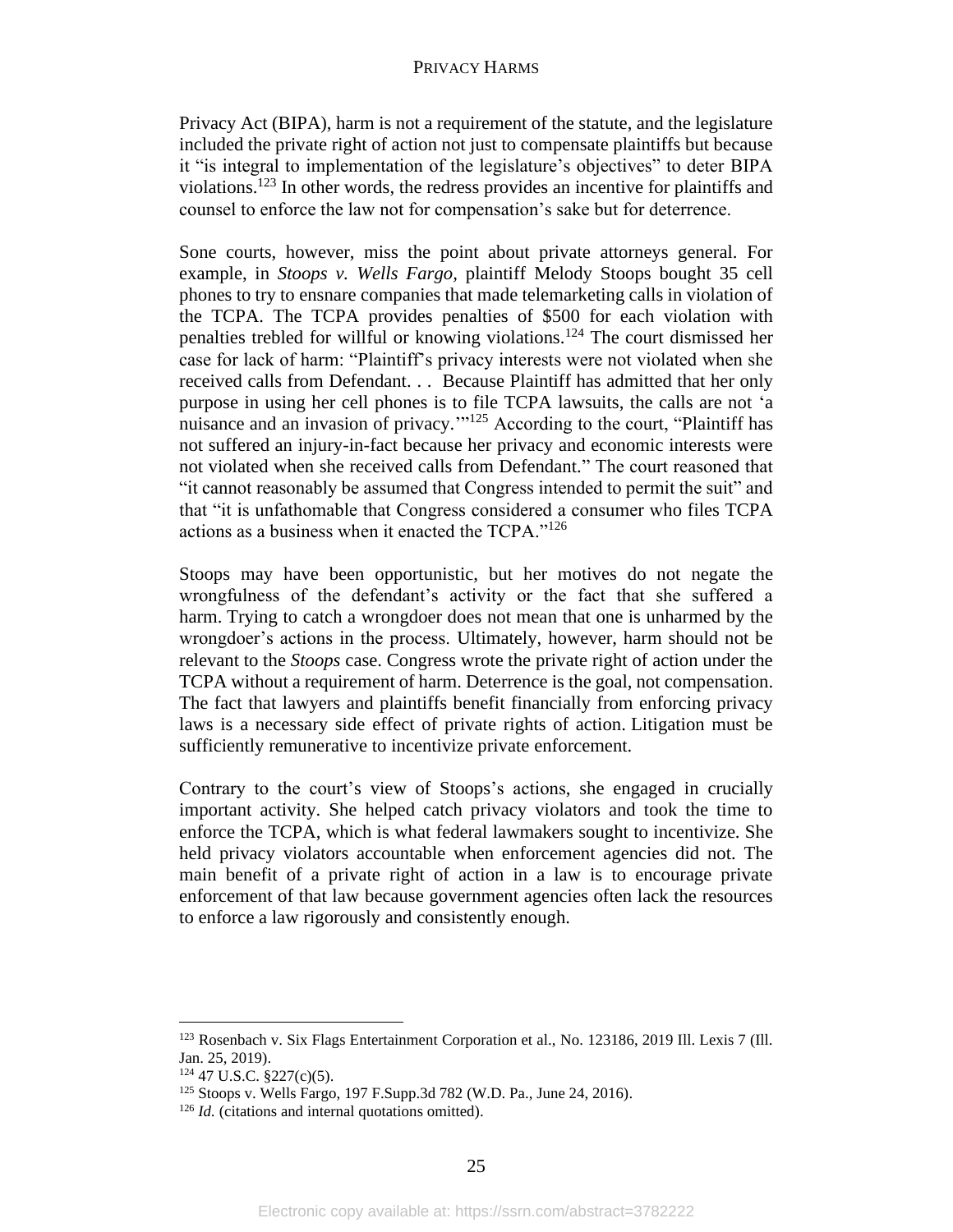Privacy Act (BIPA), harm is not a requirement of the statute, and the legislature included the private right of action not just to compensate plaintiffs but because it "is integral to implementation of the legislature's objectives" to deter BIPA violations.<sup>123</sup> In other words, the redress provides an incentive for plaintiffs and counsel to enforce the law not for compensation's sake but for deterrence.

Sone courts, however, miss the point about private attorneys general. For example, in *Stoops v. Wells Fargo,* plaintiff Melody Stoops bought 35 cell phones to try to ensnare companies that made telemarketing calls in violation of the TCPA. The TCPA provides penalties of \$500 for each violation with penalties trebled for willful or knowing violations.<sup>124</sup> The court dismissed her case for lack of harm: "Plaintiff's privacy interests were not violated when she received calls from Defendant. . . Because Plaintiff has admitted that her only purpose in using her cell phones is to file TCPA lawsuits, the calls are not 'a nuisance and an invasion of privacy."<sup>125</sup> According to the court, "Plaintiff has not suffered an injury-in-fact because her privacy and economic interests were not violated when she received calls from Defendant." The court reasoned that "it cannot reasonably be assumed that Congress intended to permit the suit" and that "it is unfathomable that Congress considered a consumer who files TCPA actions as a business when it enacted the TCPA."<sup>126</sup>

Stoops may have been opportunistic, but her motives do not negate the wrongfulness of the defendant's activity or the fact that she suffered a harm. Trying to catch a wrongdoer does not mean that one is unharmed by the wrongdoer's actions in the process. Ultimately, however, harm should not be relevant to the *Stoops* case. Congress wrote the private right of action under the TCPA without a requirement of harm. Deterrence is the goal, not compensation. The fact that lawyers and plaintiffs benefit financially from enforcing privacy laws is a necessary side effect of private rights of action. Litigation must be sufficiently remunerative to incentivize private enforcement.

Contrary to the court's view of Stoops's actions, she engaged in crucially important activity. She helped catch privacy violators and took the time to enforce the TCPA, which is what federal lawmakers sought to incentivize. She held privacy violators accountable when enforcement agencies did not. The main benefit of a private right of action in a law is to encourage private enforcement of that law because government agencies often lack the resources to enforce a law rigorously and consistently enough.

<sup>123</sup> Rosenbach v. Six Flags Entertainment Corporation et al., No. 123186, 2019 Ill. Lexis 7 (Ill. Jan. 25, 2019).

<sup>124</sup> 47 U.S.C. §227(c)(5).

<sup>125</sup> Stoops v. Wells Fargo, 197 F.Supp.3d 782 (W.D. Pa., June 24, 2016).

<sup>&</sup>lt;sup>126</sup> *Id.* (citations and internal quotations omitted).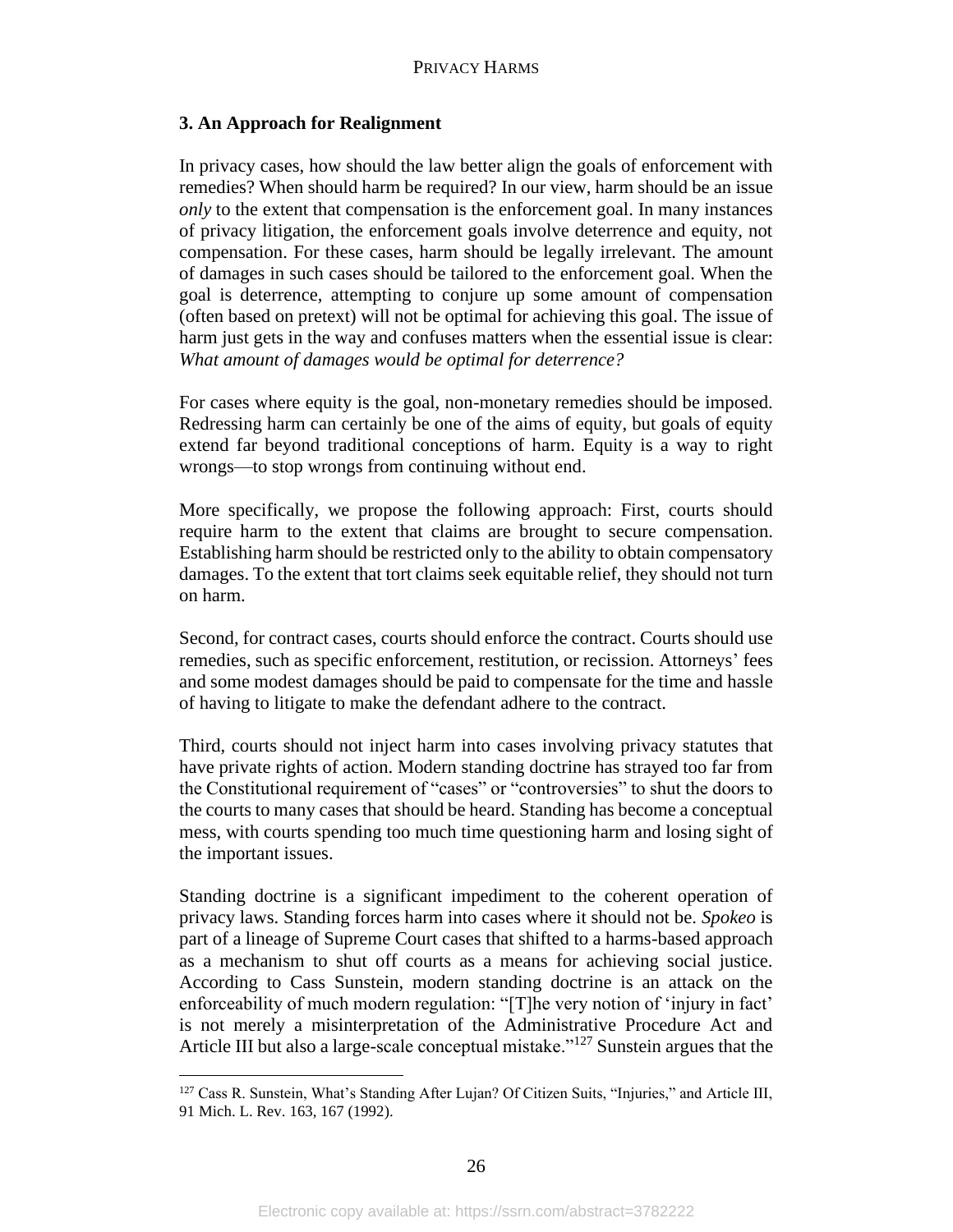# **3. An Approach for Realignment**

In privacy cases, how should the law better align the goals of enforcement with remedies? When should harm be required? In our view, harm should be an issue *only* to the extent that compensation is the enforcement goal. In many instances of privacy litigation, the enforcement goals involve deterrence and equity, not compensation. For these cases, harm should be legally irrelevant. The amount of damages in such cases should be tailored to the enforcement goal. When the goal is deterrence, attempting to conjure up some amount of compensation (often based on pretext) will not be optimal for achieving this goal. The issue of harm just gets in the way and confuses matters when the essential issue is clear: *What amount of damages would be optimal for deterrence?* 

For cases where equity is the goal, non-monetary remedies should be imposed. Redressing harm can certainly be one of the aims of equity, but goals of equity extend far beyond traditional conceptions of harm. Equity is a way to right wrongs—to stop wrongs from continuing without end.

More specifically, we propose the following approach: First, courts should require harm to the extent that claims are brought to secure compensation. Establishing harm should be restricted only to the ability to obtain compensatory damages. To the extent that tort claims seek equitable relief, they should not turn on harm.

Second, for contract cases, courts should enforce the contract. Courts should use remedies, such as specific enforcement, restitution, or recission. Attorneys' fees and some modest damages should be paid to compensate for the time and hassle of having to litigate to make the defendant adhere to the contract.

Third, courts should not inject harm into cases involving privacy statutes that have private rights of action. Modern standing doctrine has strayed too far from the Constitutional requirement of "cases" or "controversies" to shut the doors to the courts to many cases that should be heard. Standing has become a conceptual mess, with courts spending too much time questioning harm and losing sight of the important issues.

Standing doctrine is a significant impediment to the coherent operation of privacy laws. Standing forces harm into cases where it should not be. *Spokeo* is part of a lineage of Supreme Court cases that shifted to a harms-based approach as a mechanism to shut off courts as a means for achieving social justice. According to Cass Sunstein, modern standing doctrine is an attack on the enforceability of much modern regulation: "[T]he very notion of 'injury in fact' is not merely a misinterpretation of the Administrative Procedure Act and Article III but also a large-scale conceptual mistake."<sup>127</sup> Sunstein argues that the

<sup>&</sup>lt;sup>127</sup> Cass R. Sunstein, What's Standing After Lujan? Of Citizen Suits, "Injuries," and Article III, 91 Mich. L. Rev. 163, 167 (1992).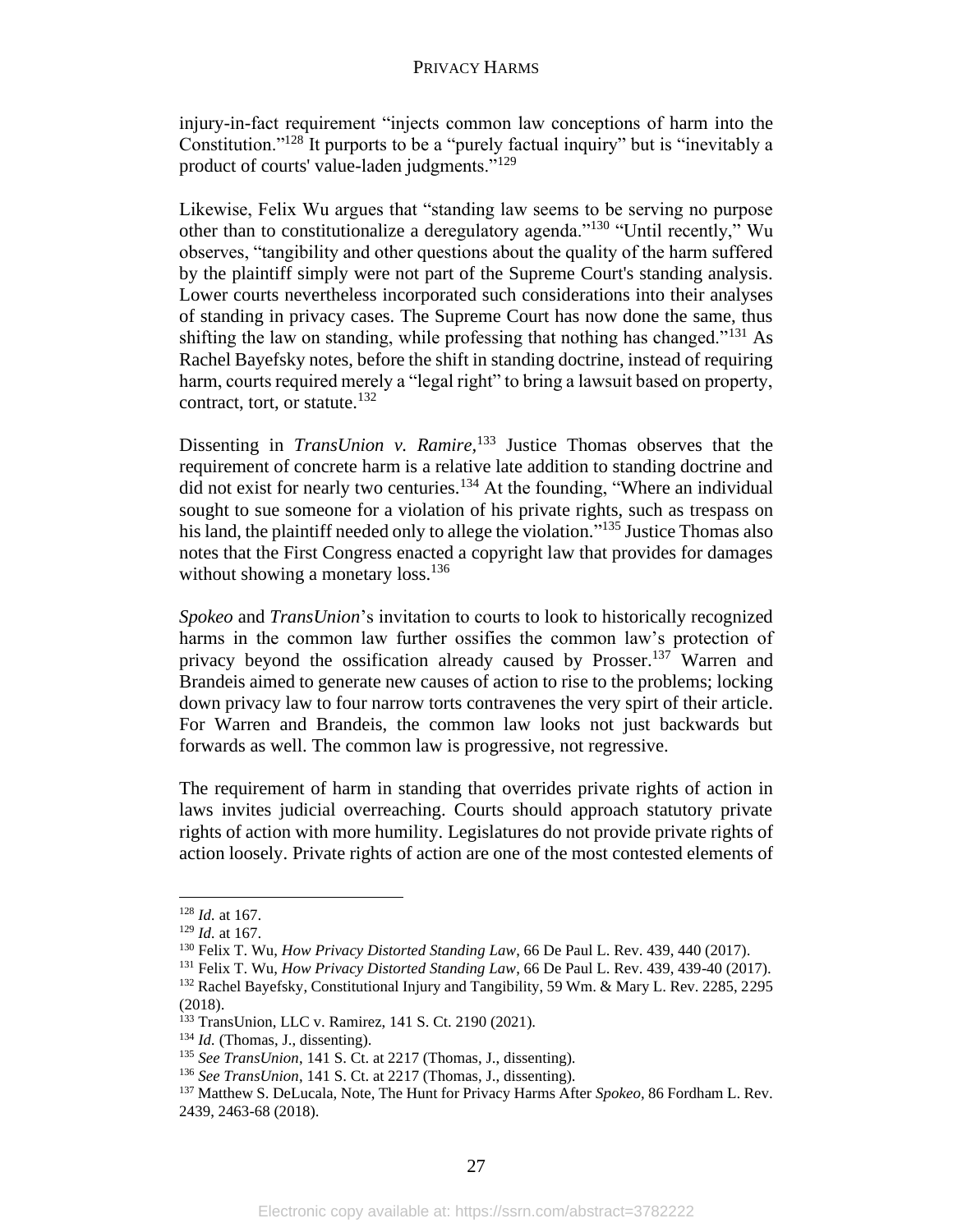injury-in-fact requirement "injects common law conceptions of harm into the Constitution."<sup>128</sup> It purports to be a "purely factual inquiry" but is "inevitably a product of courts' value-laden judgments."<sup>129</sup>

Likewise, Felix Wu argues that "standing law seems to be serving no purpose other than to constitutionalize a deregulatory agenda."<sup>130</sup> "Until recently," Wu observes, "tangibility and other questions about the quality of the harm suffered by the plaintiff simply were not part of the Supreme Court's standing analysis. Lower courts nevertheless incorporated such considerations into their analyses of standing in privacy cases. The Supreme Court has now done the same, thus shifting the law on standing, while professing that nothing has changed."<sup>131</sup> As Rachel Bayefsky notes, before the shift in standing doctrine, instead of requiring harm, courts required merely a "legal right" to bring a lawsuit based on property, contract, tort, or statute.<sup>132</sup>

Dissenting in *TransUnion v. Ramire,* <sup>133</sup> Justice Thomas observes that the requirement of concrete harm is a relative late addition to standing doctrine and did not exist for nearly two centuries.<sup>134</sup> At the founding, "Where an individual sought to sue someone for a violation of his private rights, such as trespass on his land, the plaintiff needed only to allege the violation."<sup>135</sup> Justice Thomas also notes that the First Congress enacted a copyright law that provides for damages without showing a monetary loss.<sup>136</sup>

*Spokeo* and *TransUnion*'s invitation to courts to look to historically recognized harms in the common law further ossifies the common law's protection of privacy beyond the ossification already caused by Prosser.<sup>137</sup> Warren and Brandeis aimed to generate new causes of action to rise to the problems; locking down privacy law to four narrow torts contravenes the very spirt of their article. For Warren and Brandeis, the common law looks not just backwards but forwards as well. The common law is progressive, not regressive.

The requirement of harm in standing that overrides private rights of action in laws invites judicial overreaching. Courts should approach statutory private rights of action with more humility. Legislatures do not provide private rights of action loosely. Private rights of action are one of the most contested elements of

<sup>128</sup> *Id.* at 167.

<sup>129</sup> *Id.* at 167.

<sup>130</sup> Felix T. Wu, *How Privacy Distorted Standing Law*, 66 De Paul L. Rev. 439, 440 (2017).

<sup>131</sup> Felix T. Wu, *How Privacy Distorted Standing Law*, 66 De Paul L. Rev. 439, 439-40 (2017). <sup>132</sup> Rachel Bayefsky, Constitutional Injury and Tangibility, 59 Wm. & Mary L. Rev. 2285, 2295 (2018).

<sup>133</sup> TransUnion, LLC v. Ramirez, 141 S. Ct. 2190 (2021).

<sup>134</sup> *Id.* (Thomas, J., dissenting).

<sup>135</sup> *See TransUnion*, 141 S. Ct. at 2217 (Thomas, J., dissenting).

<sup>136</sup> *See TransUnion*, 141 S. Ct. at 2217 (Thomas, J., dissenting).

<sup>137</sup> Matthew S. DeLucala, Note, The Hunt for Privacy Harms After *Spokeo,* 86 Fordham L. Rev. 2439, 2463-68 (2018).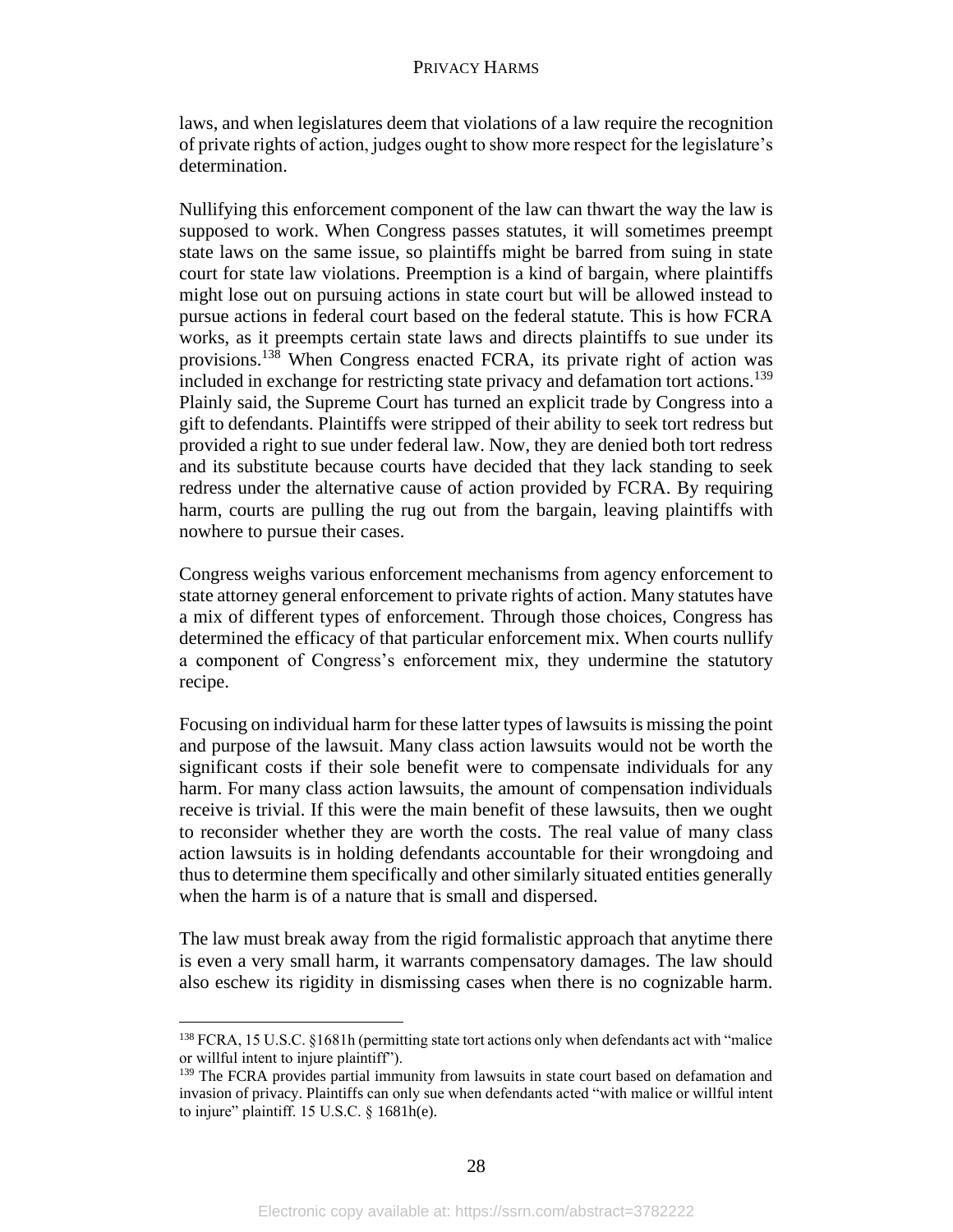laws, and when legislatures deem that violations of a law require the recognition of private rights of action, judges ought to show more respect for the legislature's determination.

Nullifying this enforcement component of the law can thwart the way the law is supposed to work. When Congress passes statutes, it will sometimes preempt state laws on the same issue, so plaintiffs might be barred from suing in state court for state law violations. Preemption is a kind of bargain, where plaintiffs might lose out on pursuing actions in state court but will be allowed instead to pursue actions in federal court based on the federal statute. This is how FCRA works, as it preempts certain state laws and directs plaintiffs to sue under its provisions.<sup>138</sup> When Congress enacted FCRA, its private right of action was included in exchange for restricting state privacy and defamation tort actions.<sup>139</sup> Plainly said, the Supreme Court has turned an explicit trade by Congress into a gift to defendants. Plaintiffs were stripped of their ability to seek tort redress but provided a right to sue under federal law. Now, they are denied both tort redress and its substitute because courts have decided that they lack standing to seek redress under the alternative cause of action provided by FCRA. By requiring harm, courts are pulling the rug out from the bargain, leaving plaintiffs with nowhere to pursue their cases.

Congress weighs various enforcement mechanisms from agency enforcement to state attorney general enforcement to private rights of action. Many statutes have a mix of different types of enforcement. Through those choices, Congress has determined the efficacy of that particular enforcement mix. When courts nullify a component of Congress's enforcement mix, they undermine the statutory recipe.

Focusing on individual harm for these latter types of lawsuits is missing the point and purpose of the lawsuit. Many class action lawsuits would not be worth the significant costs if their sole benefit were to compensate individuals for any harm. For many class action lawsuits, the amount of compensation individuals receive is trivial. If this were the main benefit of these lawsuits, then we ought to reconsider whether they are worth the costs. The real value of many class action lawsuits is in holding defendants accountable for their wrongdoing and thus to determine them specifically and other similarly situated entities generally when the harm is of a nature that is small and dispersed.

The law must break away from the rigid formalistic approach that anytime there is even a very small harm, it warrants compensatory damages. The law should also eschew its rigidity in dismissing cases when there is no cognizable harm.

<sup>138</sup> FCRA, 15 U.S.C. §1681h (permitting state tort actions only when defendants act with "malice or willful intent to injure plaintiff").

<sup>&</sup>lt;sup>139</sup> The FCRA provides partial immunity from lawsuits in state court based on defamation and invasion of privacy. Plaintiffs can only sue when defendants acted "with malice or willful intent to injure" plaintiff. 15 U.S.C. § 1681h(e).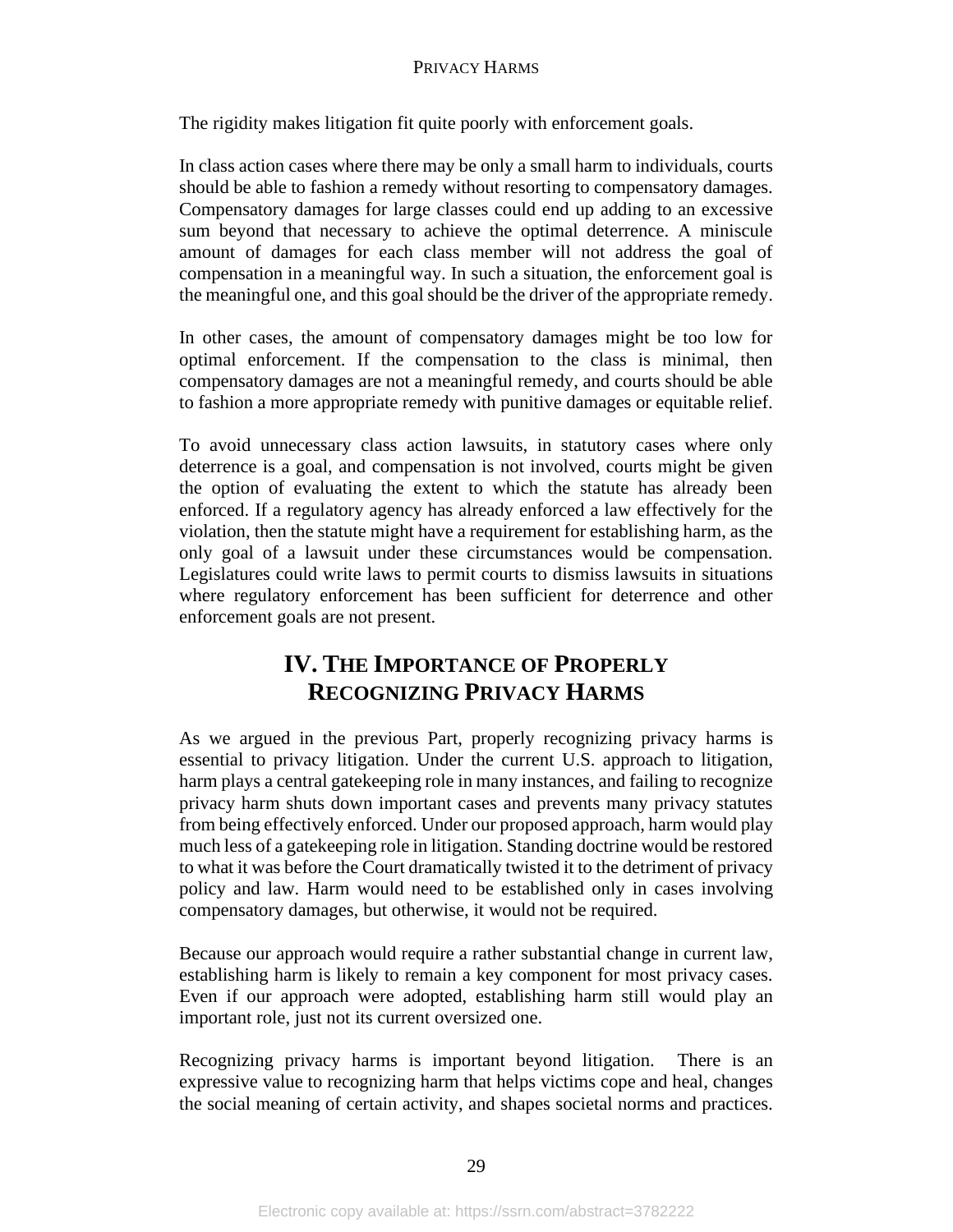The rigidity makes litigation fit quite poorly with enforcement goals.

In class action cases where there may be only a small harm to individuals, courts should be able to fashion a remedy without resorting to compensatory damages. Compensatory damages for large classes could end up adding to an excessive sum beyond that necessary to achieve the optimal deterrence. A miniscule amount of damages for each class member will not address the goal of compensation in a meaningful way. In such a situation, the enforcement goal is the meaningful one, and this goal should be the driver of the appropriate remedy.

In other cases, the amount of compensatory damages might be too low for optimal enforcement. If the compensation to the class is minimal, then compensatory damages are not a meaningful remedy, and courts should be able to fashion a more appropriate remedy with punitive damages or equitable relief.

To avoid unnecessary class action lawsuits, in statutory cases where only deterrence is a goal, and compensation is not involved, courts might be given the option of evaluating the extent to which the statute has already been enforced. If a regulatory agency has already enforced a law effectively for the violation, then the statute might have a requirement for establishing harm, as the only goal of a lawsuit under these circumstances would be compensation. Legislatures could write laws to permit courts to dismiss lawsuits in situations where regulatory enforcement has been sufficient for deterrence and other enforcement goals are not present.

# **IV. THE IMPORTANCE OF PROPERLY RECOGNIZING PRIVACY HARMS**

As we argued in the previous Part, properly recognizing privacy harms is essential to privacy litigation. Under the current U.S. approach to litigation, harm plays a central gatekeeping role in many instances, and failing to recognize privacy harm shuts down important cases and prevents many privacy statutes from being effectively enforced. Under our proposed approach, harm would play much less of a gatekeeping role in litigation. Standing doctrine would be restored to what it was before the Court dramatically twisted it to the detriment of privacy policy and law. Harm would need to be established only in cases involving compensatory damages, but otherwise, it would not be required.

Because our approach would require a rather substantial change in current law, establishing harm is likely to remain a key component for most privacy cases. Even if our approach were adopted, establishing harm still would play an important role, just not its current oversized one.

Recognizing privacy harms is important beyond litigation. There is an expressive value to recognizing harm that helps victims cope and heal, changes the social meaning of certain activity, and shapes societal norms and practices.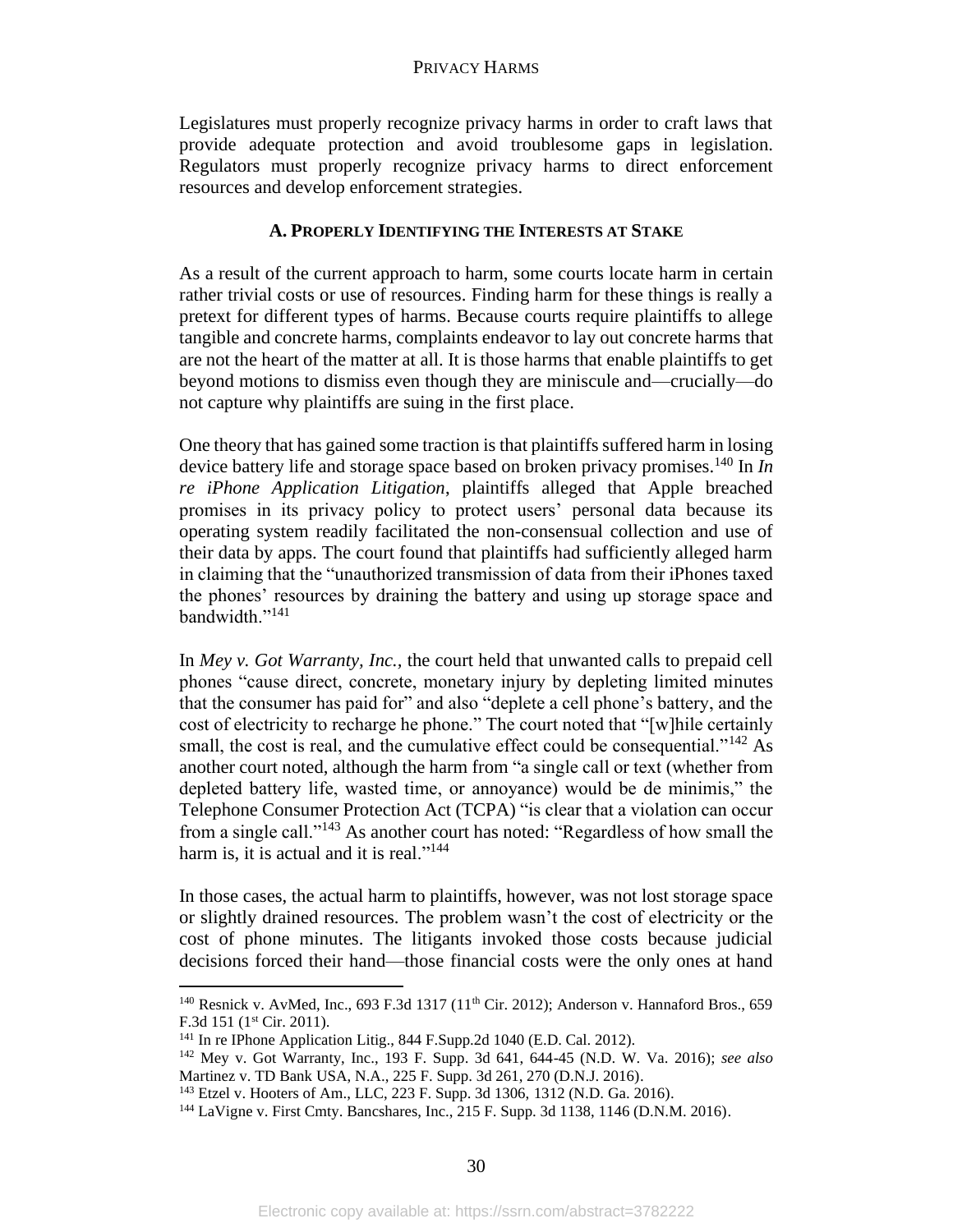Legislatures must properly recognize privacy harms in order to craft laws that provide adequate protection and avoid troublesome gaps in legislation. Regulators must properly recognize privacy harms to direct enforcement resources and develop enforcement strategies.

# **A. PROPERLY IDENTIFYING THE INTERESTS AT STAKE**

As a result of the current approach to harm, some courts locate harm in certain rather trivial costs or use of resources. Finding harm for these things is really a pretext for different types of harms. Because courts require plaintiffs to allege tangible and concrete harms, complaints endeavor to lay out concrete harms that are not the heart of the matter at all. It is those harms that enable plaintiffs to get beyond motions to dismiss even though they are miniscule and—crucially—do not capture why plaintiffs are suing in the first place.

One theory that has gained some traction is that plaintiffs suffered harm in losing device battery life and storage space based on broken privacy promises.<sup>140</sup> In *In re iPhone Application Litigation*, plaintiffs alleged that Apple breached promises in its privacy policy to protect users' personal data because its operating system readily facilitated the non-consensual collection and use of their data by apps. The court found that plaintiffs had sufficiently alleged harm in claiming that the "unauthorized transmission of data from their iPhones taxed the phones' resources by draining the battery and using up storage space and bandwidth."<sup>141</sup>

In *Mey v. Got Warranty, Inc.,* the court held that unwanted calls to prepaid cell phones "cause direct, concrete, monetary injury by depleting limited minutes that the consumer has paid for" and also "deplete a cell phone's battery, and the cost of electricity to recharge he phone." The court noted that "[w]hile certainly small, the cost is real, and the cumulative effect could be consequential."<sup>142</sup> As another court noted, although the harm from "a single call or text (whether from depleted battery life, wasted time, or annoyance) would be de minimis," the Telephone Consumer Protection Act (TCPA) "is clear that a violation can occur from a single call."<sup>143</sup> As another court has noted: "Regardless of how small the harm is, it is actual and it is real."<sup>144</sup>

In those cases, the actual harm to plaintiffs, however, was not lost storage space or slightly drained resources. The problem wasn't the cost of electricity or the cost of phone minutes. The litigants invoked those costs because judicial decisions forced their hand—those financial costs were the only ones at hand

<sup>&</sup>lt;sup>140</sup> Resnick v. AvMed, Inc., 693 F.3d 1317 (11<sup>th</sup> Cir. 2012); Anderson v. Hannaford Bros., 659 F.3d 151 (1st Cir. 2011).

<sup>141</sup> In re IPhone Application Litig., 844 F.Supp.2d 1040 (E.D. Cal. 2012).

<sup>142</sup> Mey v. Got Warranty, Inc., 193 F. Supp. 3d 641, 644-45 (N.D. W. Va. 2016); *see also*  Martinez v. TD Bank USA, N.A., 225 F. Supp. 3d 261, 270 (D.N.J. 2016).

<sup>143</sup> Etzel v. Hooters of Am., LLC, 223 F. Supp. 3d 1306, 1312 (N.D. Ga. 2016).

<sup>144</sup> LaVigne v. First Cmty. Bancshares, Inc., 215 F. Supp. 3d 1138, 1146 (D.N.M. 2016).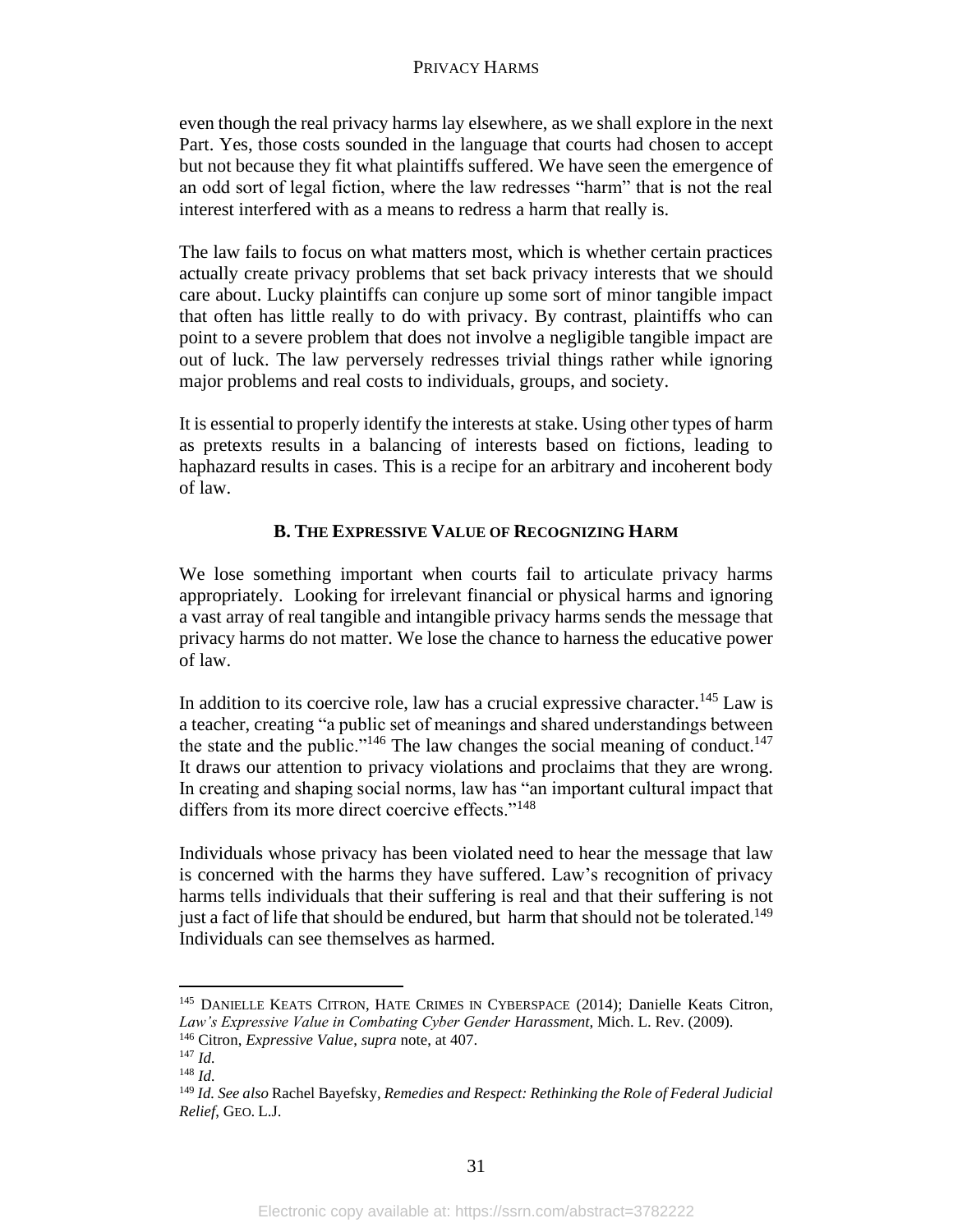even though the real privacy harms lay elsewhere, as we shall explore in the next Part. Yes, those costs sounded in the language that courts had chosen to accept but not because they fit what plaintiffs suffered. We have seen the emergence of an odd sort of legal fiction, where the law redresses "harm" that is not the real interest interfered with as a means to redress a harm that really is.

The law fails to focus on what matters most, which is whether certain practices actually create privacy problems that set back privacy interests that we should care about. Lucky plaintiffs can conjure up some sort of minor tangible impact that often has little really to do with privacy. By contrast, plaintiffs who can point to a severe problem that does not involve a negligible tangible impact are out of luck. The law perversely redresses trivial things rather while ignoring major problems and real costs to individuals, groups, and society.

It is essential to properly identify the interests at stake. Using other types of harm as pretexts results in a balancing of interests based on fictions, leading to haphazard results in cases. This is a recipe for an arbitrary and incoherent body of law.

# **B. THE EXPRESSIVE VALUE OF RECOGNIZING HARM**

We lose something important when courts fail to articulate privacy harms appropriately. Looking for irrelevant financial or physical harms and ignoring a vast array of real tangible and intangible privacy harms sends the message that privacy harms do not matter. We lose the chance to harness the educative power of law.

In addition to its coercive role, law has a crucial expressive character.<sup>145</sup> Law is a teacher, creating "a public set of meanings and shared understandings between the state and the public."<sup>146</sup> The law changes the social meaning of conduct.<sup>147</sup> It draws our attention to privacy violations and proclaims that they are wrong. In creating and shaping social norms, law has "an important cultural impact that differs from its more direct coercive effects."<sup>148</sup>

Individuals whose privacy has been violated need to hear the message that law is concerned with the harms they have suffered. Law's recognition of privacy harms tells individuals that their suffering is real and that their suffering is not just a fact of life that should be endured, but harm that should not be tolerated.<sup>149</sup> Individuals can see themselves as harmed.

<sup>145</sup> DANIELLE KEATS CITRON, HATE CRIMES IN CYBERSPACE (2014); Danielle Keats Citron, *Law's Expressive Value in Combating Cyber Gender Harassment*, Mich. L. Rev. (2009).

<sup>146</sup> Citron, *Expressive Value*, *supra* note, at 407.

<sup>147</sup> *Id.*

<sup>148</sup> *Id.*

<sup>149</sup> *Id. See also* Rachel Bayefsky, *Remedies and Respect: Rethinking the Role of Federal Judicial Relief*, GEO. L.J.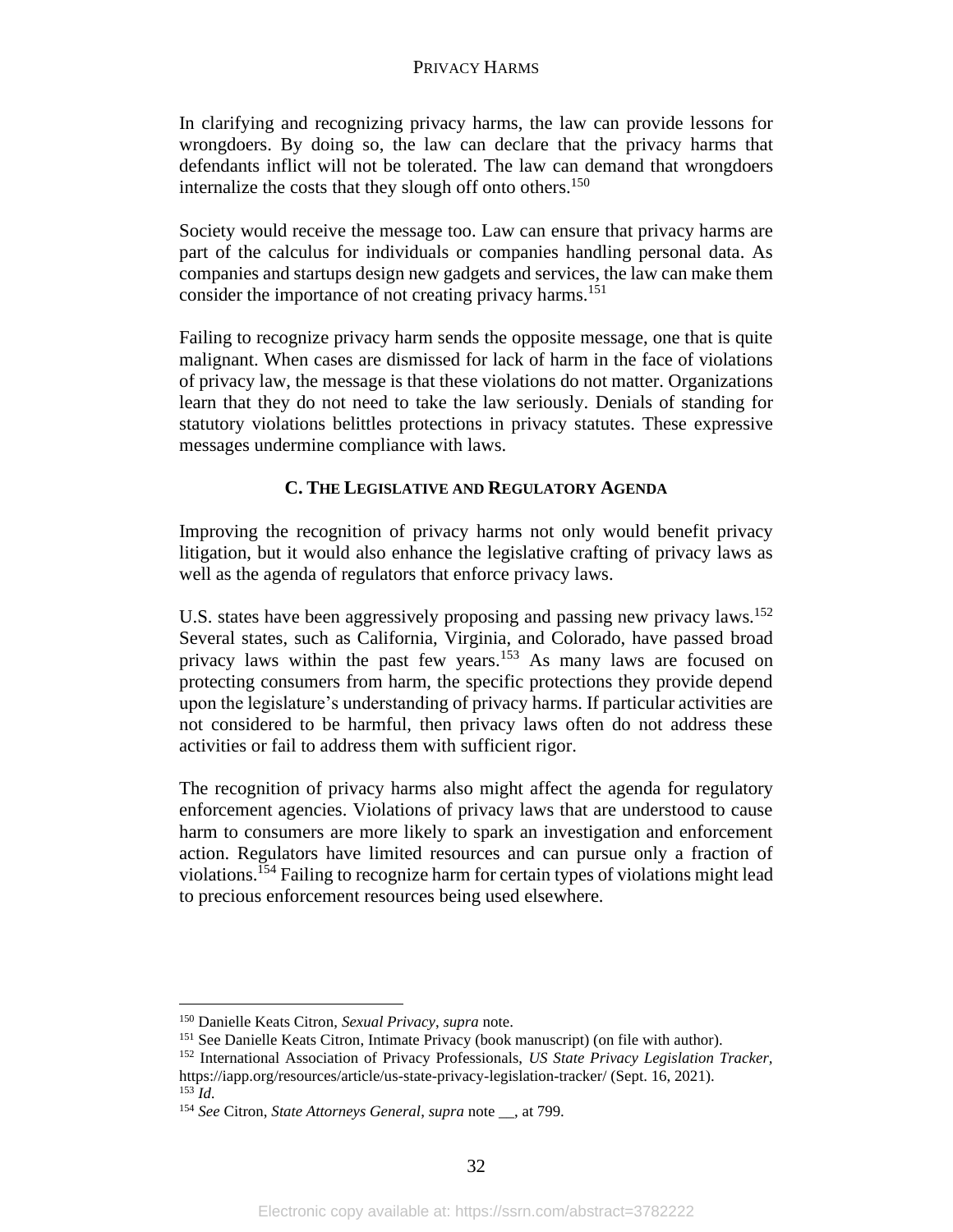In clarifying and recognizing privacy harms, the law can provide lessons for wrongdoers. By doing so, the law can declare that the privacy harms that defendants inflict will not be tolerated. The law can demand that wrongdoers internalize the costs that they slough off onto others. 150

Society would receive the message too. Law can ensure that privacy harms are part of the calculus for individuals or companies handling personal data. As companies and startups design new gadgets and services, the law can make them consider the importance of not creating privacy harms.<sup>151</sup>

Failing to recognize privacy harm sends the opposite message, one that is quite malignant. When cases are dismissed for lack of harm in the face of violations of privacy law, the message is that these violations do not matter. Organizations learn that they do not need to take the law seriously. Denials of standing for statutory violations belittles protections in privacy statutes. These expressive messages undermine compliance with laws.

# **C. THE LEGISLATIVE AND REGULATORY AGENDA**

Improving the recognition of privacy harms not only would benefit privacy litigation, but it would also enhance the legislative crafting of privacy laws as well as the agenda of regulators that enforce privacy laws.

U.S. states have been aggressively proposing and passing new privacy laws.<sup>152</sup> Several states, such as California, Virginia, and Colorado, have passed broad privacy laws within the past few years.<sup>153</sup> As many laws are focused on protecting consumers from harm, the specific protections they provide depend upon the legislature's understanding of privacy harms. If particular activities are not considered to be harmful, then privacy laws often do not address these activities or fail to address them with sufficient rigor.

The recognition of privacy harms also might affect the agenda for regulatory enforcement agencies. Violations of privacy laws that are understood to cause harm to consumers are more likely to spark an investigation and enforcement action. Regulators have limited resources and can pursue only a fraction of violations.<sup>154</sup> Failing to recognize harm for certain types of violations might lead to precious enforcement resources being used elsewhere.

<sup>150</sup> Danielle Keats Citron, *Sexual Privacy*, *supra* note.

<sup>&</sup>lt;sup>151</sup> See Danielle Keats Citron, Intimate Privacy (book manuscript) (on file with author).

<sup>152</sup> International Association of Privacy Professionals, *US State Privacy Legislation Tracker,*  https://iapp.org/resources/article/us-state-privacy-legislation-tracker/ (Sept. 16, 2021).

 $^{153}$  *Id.* 

<sup>154</sup> *See* Citron, *State Attorneys General*, *supra* note \_\_, at 799.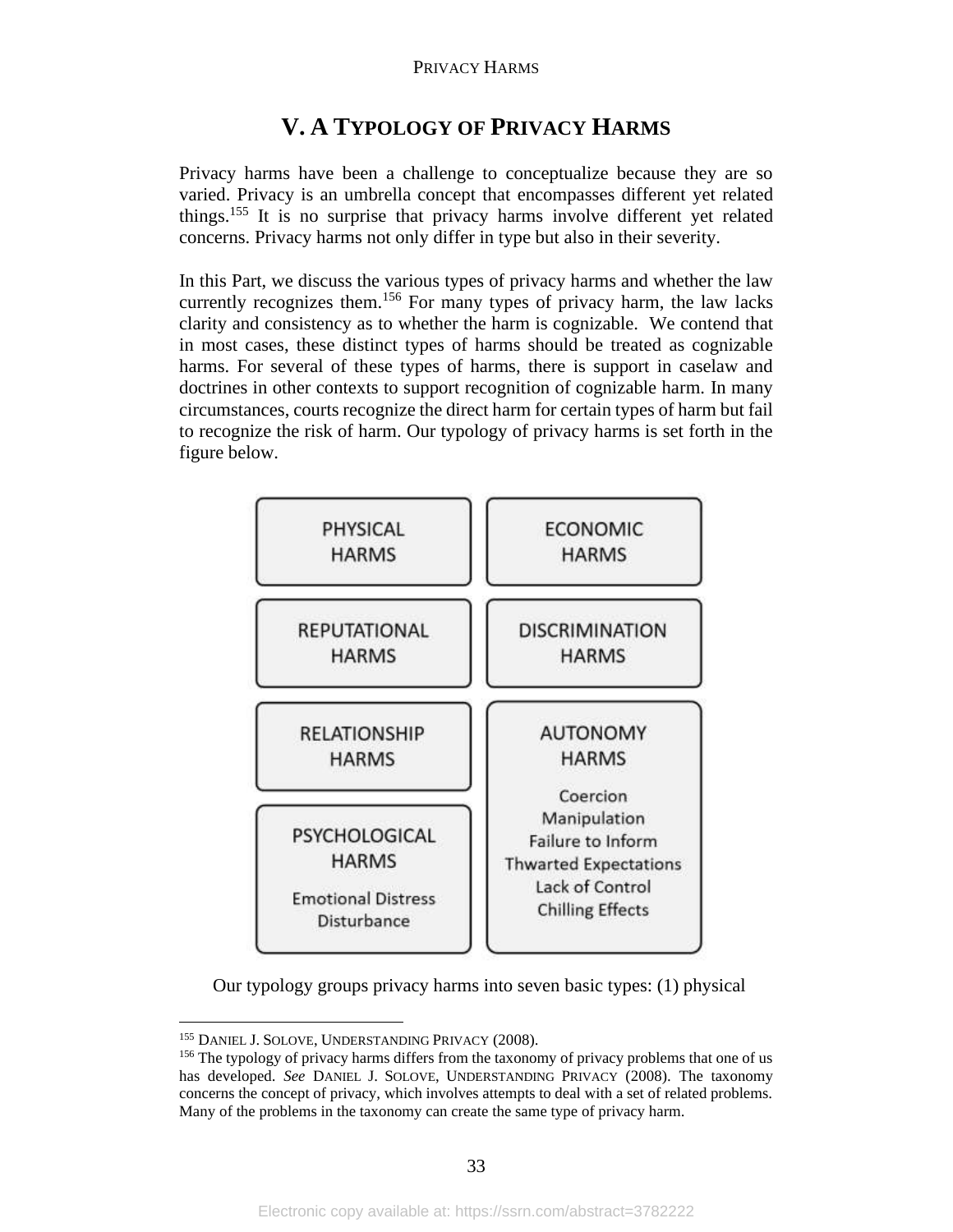# **V. A TYPOLOGY OF PRIVACY HARMS**

Privacy harms have been a challenge to conceptualize because they are so varied. Privacy is an umbrella concept that encompasses different yet related things.<sup>155</sup> It is no surprise that privacy harms involve different yet related concerns. Privacy harms not only differ in type but also in their severity.

In this Part, we discuss the various types of privacy harms and whether the law currently recognizes them.<sup>156</sup> For many types of privacy harm, the law lacks clarity and consistency as to whether the harm is cognizable. We contend that in most cases, these distinct types of harms should be treated as cognizable harms. For several of these types of harms, there is support in caselaw and doctrines in other contexts to support recognition of cognizable harm. In many circumstances, courts recognize the direct harm for certain types of harm but fail to recognize the risk of harm. Our typology of privacy harms is set forth in the figure below.



Our typology groups privacy harms into seven basic types: (1) physical

<sup>&</sup>lt;sup>155</sup> DANIEL J. SOLOVE, UNDERSTANDING PRIVACY (2008).

<sup>&</sup>lt;sup>156</sup> The typology of privacy harms differs from the taxonomy of privacy problems that one of us has developed. *See* DANIEL J. SOLOVE, UNDERSTANDING PRIVACY (2008). The taxonomy concerns the concept of privacy, which involves attempts to deal with a set of related problems. Many of the problems in the taxonomy can create the same type of privacy harm.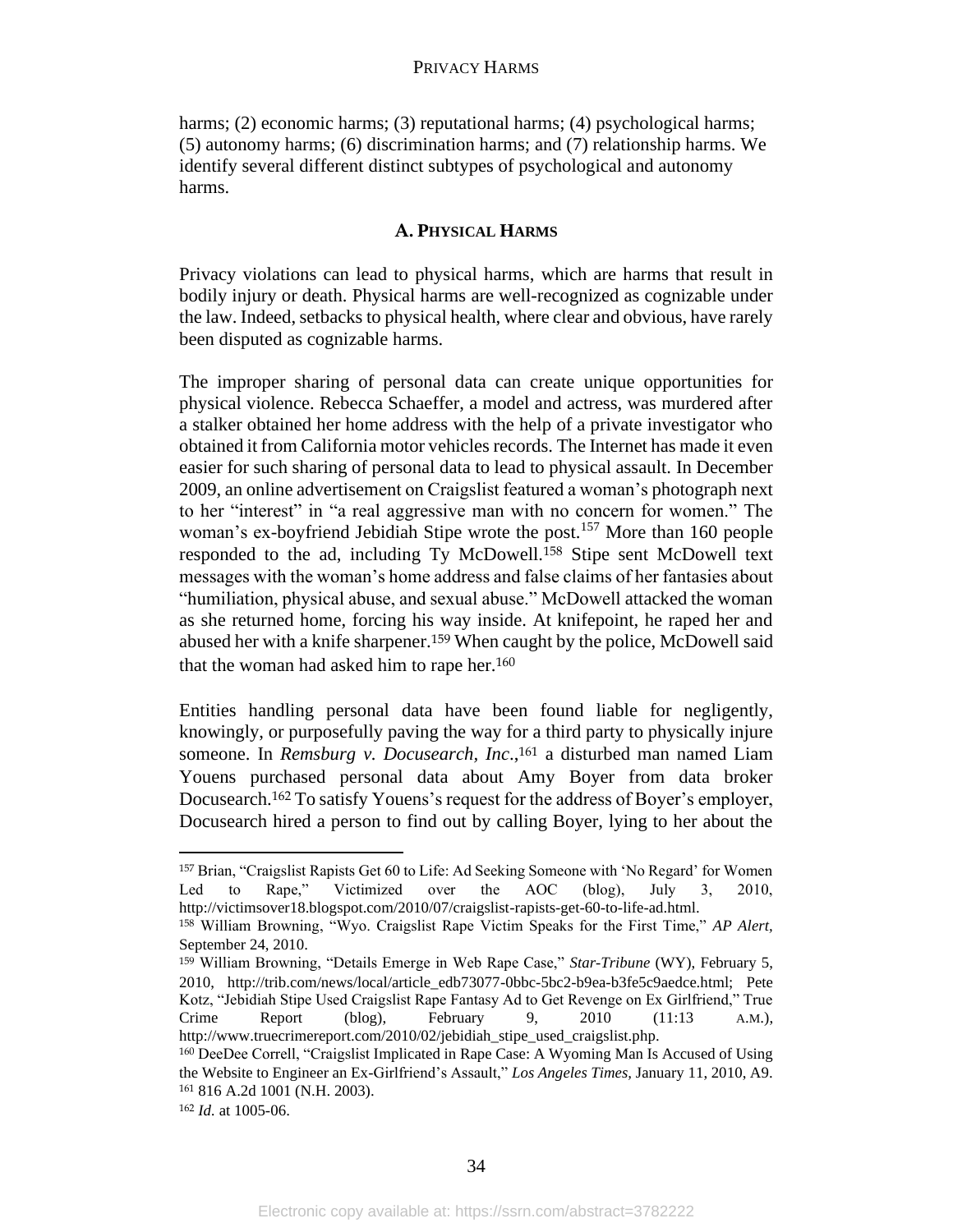harms; (2) economic harms; (3) reputational harms; (4) psychological harms; (5) autonomy harms; (6) discrimination harms; and (7) relationship harms. We identify several different distinct subtypes of psychological and autonomy harms.

# **A. PHYSICAL HARMS**

Privacy violations can lead to physical harms, which are harms that result in bodily injury or death. Physical harms are well-recognized as cognizable under the law. Indeed, setbacks to physical health, where clear and obvious, have rarely been disputed as cognizable harms.

The improper sharing of personal data can create unique opportunities for physical violence. Rebecca Schaeffer, a model and actress, was murdered after a stalker obtained her home address with the help of a private investigator who obtained it from California motor vehicles records. The Internet has made it even easier for such sharing of personal data to lead to physical assault. In December 2009, an online advertisement on Craigslist featured a woman's photograph next to her "interest" in "a real aggressive man with no concern for women." The woman's ex-boyfriend Jebidiah Stipe wrote the post.<sup>157</sup> More than 160 people responded to the ad, including Ty McDowell.<sup>158</sup> Stipe sent McDowell text messages with the woman's home address and false claims of her fantasies about "humiliation, physical abuse, and sexual abuse." McDowell attacked the woman as she returned home, forcing his way inside. At knifepoint, he raped her and abused her with a knife sharpener.<sup>159</sup> When caught by the police, McDowell said that the woman had asked him to rape her.<sup>160</sup>

Entities handling personal data have been found liable for negligently, knowingly, or purposefully paving the way for a third party to physically injure someone. In *Remsburg v. Docusearch, Inc*., <sup>161</sup> a disturbed man named Liam Youens purchased personal data about Amy Boyer from data broker Docusearch.<sup>162</sup> To satisfy Youens's request for the address of Boyer's employer, Docusearch hired a person to find out by calling Boyer, lying to her about the

<sup>157</sup> Brian, "Craigslist Rapists Get 60 to Life: Ad Seeking Someone with 'No Regard' for Women Led to Rape," Victimized over the AOC (blog), July 3, 2010, http://victimsover18.blogspot.com/2010/07/craigslist-rapists-get-60-to-life-ad.html.

<sup>158</sup> William Browning, "Wyo. Craigslist Rape Victim Speaks for the First Time," *AP Alert,* September 24, 2010.

<sup>159</sup> William Browning, "Details Emerge in Web Rape Case," *Star-Tribune* (WY), February 5, 2010, http://trib.com/news/local/article\_edb73077-0bbc-5bc2-b9ea-b3fe5c9aedce.html; Pete Kotz, "Jebidiah Stipe Used Craigslist Rape Fantasy Ad to Get Revenge on Ex Girlfriend," True Crime Report (blog), February 9, 2010 (11:13 A.M.), http://www.truecrimereport.com/2010/02/jebidiah\_stipe\_used\_craigslist.php.

<sup>160</sup> DeeDee Correll, "Craigslist Implicated in Rape Case: A Wyoming Man Is Accused of Using the Website to Engineer an Ex-Girlfriend's Assault," *Los Angeles Times,* January 11, 2010, A9. <sup>161</sup> 816 A.2d 1001 (N.H. 2003).

<sup>162</sup> *Id.* at 1005-06.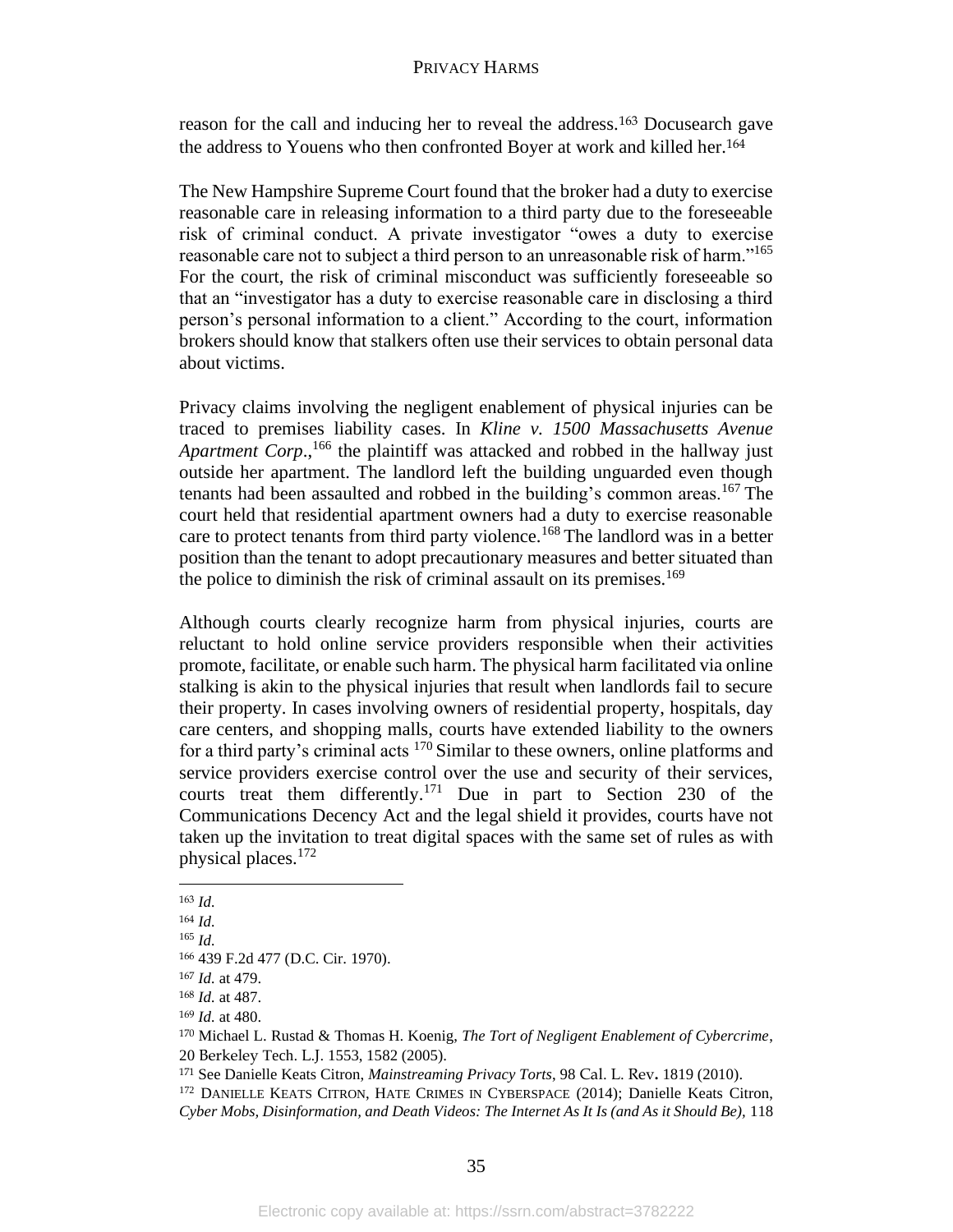reason for the call and inducing her to reveal the address.<sup>163</sup> Docusearch gave the address to Youens who then confronted Boyer at work and killed her.<sup>164</sup>

The New Hampshire Supreme Court found that the broker had a duty to exercise reasonable care in releasing information to a third party due to the foreseeable risk of criminal conduct. A private investigator "owes a duty to exercise reasonable care not to subject a third person to an unreasonable risk of harm."<sup>165</sup> For the court, the risk of criminal misconduct was sufficiently foreseeable so that an "investigator has a duty to exercise reasonable care in disclosing a third person's personal information to a client." According to the court, information brokers should know that stalkers often use their services to obtain personal data about victims.

Privacy claims involving the negligent enablement of physical injuries can be traced to premises liability cases. In *Kline v. 1500 Massachusetts Avenue*  Apartment Corp.,<sup>166</sup> the plaintiff was attacked and robbed in the hallway just outside her apartment. The landlord left the building unguarded even though tenants had been assaulted and robbed in the building's common areas.<sup>167</sup> The court held that residential apartment owners had a duty to exercise reasonable care to protect tenants from third party violence.<sup>168</sup> The landlord was in a better position than the tenant to adopt precautionary measures and better situated than the police to diminish the risk of criminal assault on its premises.<sup>169</sup>

Although courts clearly recognize harm from physical injuries, courts are reluctant to hold online service providers responsible when their activities promote, facilitate, or enable such harm. The physical harm facilitated via online stalking is akin to the physical injuries that result when landlords fail to secure their property. In cases involving owners of residential property, hospitals, day care centers, and shopping malls, courts have extended liability to the owners for a third party's criminal acts <sup>170</sup> Similar to these owners, online platforms and service providers exercise control over the use and security of their services, courts treat them differently.<sup>171</sup> Due in part to Section 230 of the Communications Decency Act and the legal shield it provides, courts have not taken up the invitation to treat digital spaces with the same set of rules as with physical places. 172

<sup>163</sup> *Id.*

<sup>164</sup> *Id.*

<sup>165</sup> *Id.*

<sup>166</sup> 439 F.2d 477 (D.C. Cir. 1970).

<sup>167</sup> *Id.* at 479.

<sup>168</sup> *Id.* at 487.

<sup>169</sup> *Id.* at 480.

<sup>170</sup> Michael L. Rustad & Thomas H. Koenig, *The Tort of Negligent Enablement of Cybercrime*, 20 Berkeley Tech. L.J. 1553, 1582 (2005).

<sup>171</sup> See Danielle Keats Citron, *Mainstreaming Privacy Torts*, 98 Cal. L. Rev**.** 1819 (2010).

<sup>&</sup>lt;sup>172</sup> DANIELLE KEATS CITRON, HATE CRIMES IN CYBERSPACE (2014); Danielle Keats Citron, *Cyber Mobs, Disinformation, and Death Videos: The Internet As It Is (and As it Should Be),* 118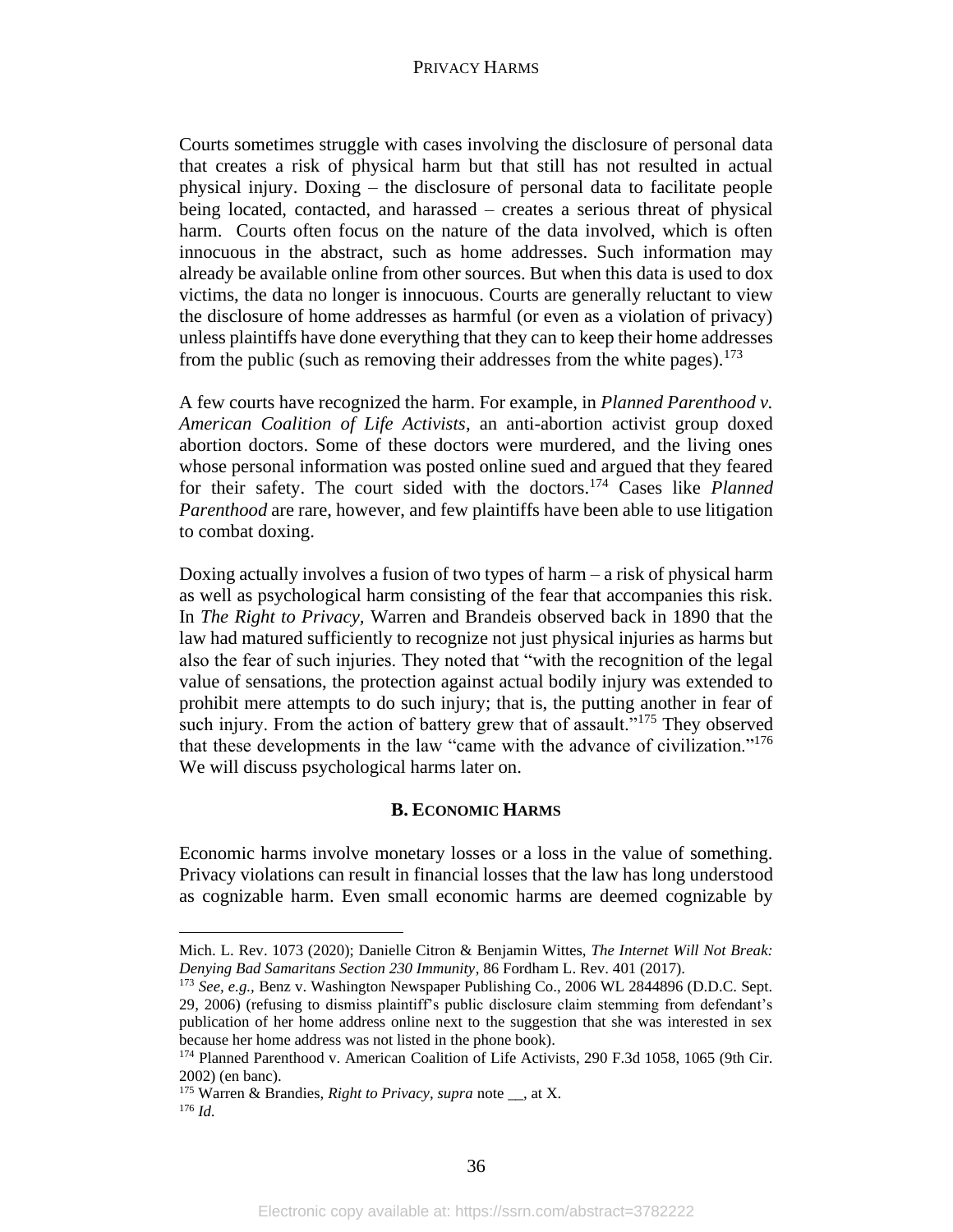Courts sometimes struggle with cases involving the disclosure of personal data that creates a risk of physical harm but that still has not resulted in actual physical injury. Doxing – the disclosure of personal data to facilitate people being located, contacted, and harassed – creates a serious threat of physical harm. Courts often focus on the nature of the data involved, which is often innocuous in the abstract, such as home addresses. Such information may already be available online from other sources. But when this data is used to dox victims, the data no longer is innocuous. Courts are generally reluctant to view the disclosure of home addresses as harmful (or even as a violation of privacy) unless plaintiffs have done everything that they can to keep their home addresses from the public (such as removing their addresses from the white pages).<sup>173</sup>

A few courts have recognized the harm. For example, in *Planned Parenthood v. American Coalition of Life Activists*, an anti-abortion activist group doxed abortion doctors. Some of these doctors were murdered, and the living ones whose personal information was posted online sued and argued that they feared for their safety. The court sided with the doctors.<sup>174</sup> Cases like *Planned Parenthood* are rare, however, and few plaintiffs have been able to use litigation to combat doxing.

Doxing actually involves a fusion of two types of harm – a risk of physical harm as well as psychological harm consisting of the fear that accompanies this risk. In *The Right to Privacy,* Warren and Brandeis observed back in 1890 that the law had matured sufficiently to recognize not just physical injuries as harms but also the fear of such injuries. They noted that "with the recognition of the legal value of sensations, the protection against actual bodily injury was extended to prohibit mere attempts to do such injury; that is, the putting another in fear of such injury. From the action of battery grew that of assault."<sup>175</sup> They observed that these developments in the law "came with the advance of civilization."<sup>176</sup> We will discuss psychological harms later on.

#### **B. ECONOMIC HARMS**

Economic harms involve monetary losses or a loss in the value of something. Privacy violations can result in financial losses that the law has long understood as cognizable harm. Even small economic harms are deemed cognizable by

Mich. L. Rev. 1073 (2020); Danielle Citron & Benjamin Wittes, *The Internet Will Not Break: Denying Bad Samaritans Section 230 Immunity*, 86 Fordham L. Rev. 401 (2017).

<sup>173</sup> *See, e.g.,* Benz v. Washington Newspaper Publishing Co., 2006 WL 2844896 (D.D.C. Sept. 29, 2006) (refusing to dismiss plaintiff's public disclosure claim stemming from defendant's publication of her home address online next to the suggestion that she was interested in sex because her home address was not listed in the phone book).

<sup>174</sup> Planned Parenthood v. American Coalition of Life Activists, 290 F.3d 1058, 1065 (9th Cir. 2002) (en banc).

<sup>&</sup>lt;sup>175</sup> Warren & Brandies, *Right to Privacy, supra* note \_\_, at X. <sup>176</sup> *Id.*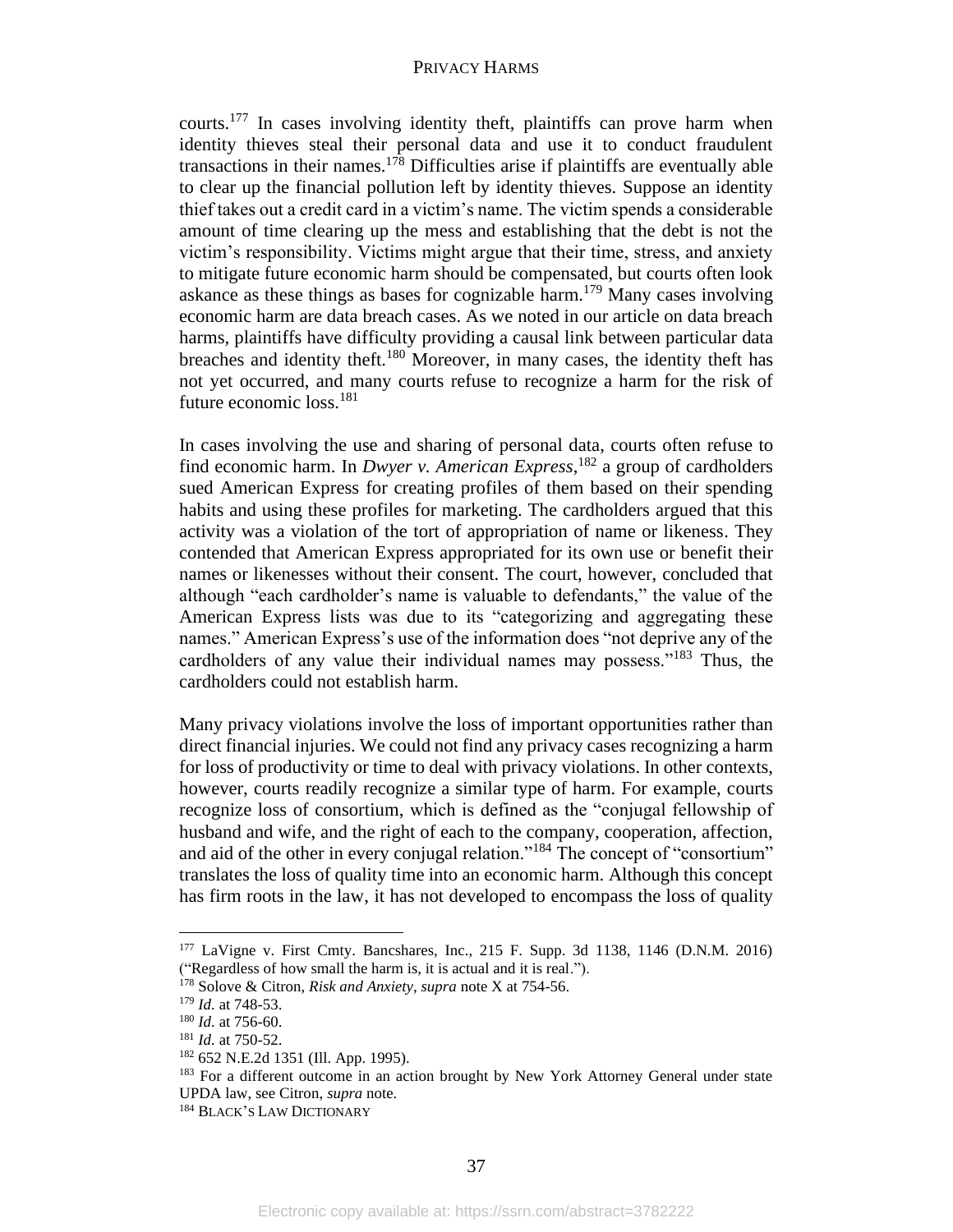courts.<sup>177</sup> In cases involving identity theft, plaintiffs can prove harm when identity thieves steal their personal data and use it to conduct fraudulent transactions in their names. $178$  Difficulties arise if plaintiffs are eventually able to clear up the financial pollution left by identity thieves. Suppose an identity thief takes out a credit card in a victim's name. The victim spends a considerable amount of time clearing up the mess and establishing that the debt is not the victim's responsibility. Victims might argue that their time, stress, and anxiety to mitigate future economic harm should be compensated, but courts often look askance as these things as bases for cognizable harm.<sup>179</sup> Many cases involving economic harm are data breach cases. As we noted in our article on data breach harms, plaintiffs have difficulty providing a causal link between particular data breaches and identity theft.<sup>180</sup> Moreover, in many cases, the identity theft has not yet occurred, and many courts refuse to recognize a harm for the risk of future economic loss.<sup>181</sup>

In cases involving the use and sharing of personal data, courts often refuse to find economic harm. In *Dwyer v. American Express*, <sup>182</sup> a group of cardholders sued American Express for creating profiles of them based on their spending habits and using these profiles for marketing. The cardholders argued that this activity was a violation of the tort of appropriation of name or likeness. They contended that American Express appropriated for its own use or benefit their names or likenesses without their consent. The court, however, concluded that although "each cardholder's name is valuable to defendants," the value of the American Express lists was due to its "categorizing and aggregating these names." American Express's use of the information does "not deprive any of the cardholders of any value their individual names may possess."<sup>183</sup> Thus, the cardholders could not establish harm.

Many privacy violations involve the loss of important opportunities rather than direct financial injuries. We could not find any privacy cases recognizing a harm for loss of productivity or time to deal with privacy violations. In other contexts, however, courts readily recognize a similar type of harm. For example, courts recognize loss of consortium, which is defined as the "conjugal fellowship of husband and wife, and the right of each to the company, cooperation, affection, and aid of the other in every conjugal relation."<sup>184</sup> The concept of "consortium" translates the loss of quality time into an economic harm. Although this concept has firm roots in the law, it has not developed to encompass the loss of quality

<sup>177</sup> LaVigne v. First Cmty. Bancshares, Inc., 215 F. Supp. 3d 1138, 1146 (D.N.M. 2016) ("Regardless of how small the harm is, it is actual and it is real.").

<sup>178</sup> Solove & Citron, *Risk and Anxiety, supra* note X at 754-56.

<sup>179</sup> *Id.* at 748-53.

<sup>180</sup> *Id.* at 756-60.

<sup>181</sup> *Id.* at 750-52.

<sup>182</sup> 652 N.E.2d 1351 (Ill. App. 1995).

<sup>&</sup>lt;sup>183</sup> For a different outcome in an action brought by New York Attorney General under state UPDA law, see Citron, *supra* note.

<sup>184</sup> BLACK'S LAW DICTIONARY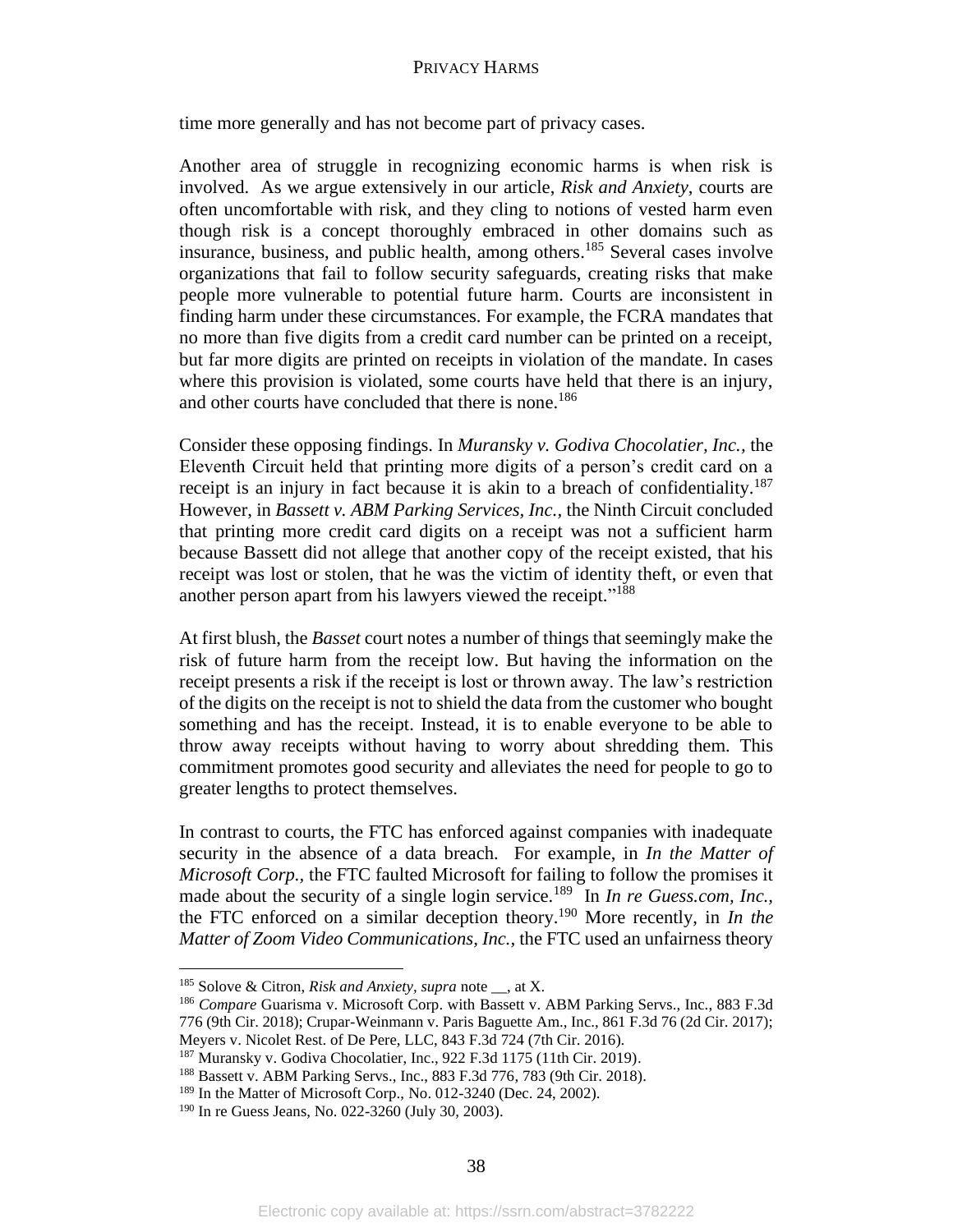time more generally and has not become part of privacy cases.

Another area of struggle in recognizing economic harms is when risk is involved. As we argue extensively in our article, *Risk and Anxiety*, courts are often uncomfortable with risk, and they cling to notions of vested harm even though risk is a concept thoroughly embraced in other domains such as insurance, business, and public health, among others. <sup>185</sup> Several cases involve organizations that fail to follow security safeguards, creating risks that make people more vulnerable to potential future harm. Courts are inconsistent in finding harm under these circumstances. For example, the FCRA mandates that no more than five digits from a credit card number can be printed on a receipt, but far more digits are printed on receipts in violation of the mandate. In cases where this provision is violated, some courts have held that there is an injury, and other courts have concluded that there is none.<sup>186</sup>

Consider these opposing findings. In *Muransky v. Godiva Chocolatier, Inc.,* the Eleventh Circuit held that printing more digits of a person's credit card on a receipt is an injury in fact because it is akin to a breach of confidentiality.<sup>187</sup> However, in *Bassett v. ABM Parking Services, Inc.,* the Ninth Circuit concluded that printing more credit card digits on a receipt was not a sufficient harm because Bassett did not allege that another copy of the receipt existed, that his receipt was lost or stolen, that he was the victim of identity theft, or even that another person apart from his lawyers viewed the receipt."<sup>188</sup>

At first blush, the *Basset* court notes a number of things that seemingly make the risk of future harm from the receipt low. But having the information on the receipt presents a risk if the receipt is lost or thrown away. The law's restriction of the digits on the receipt is not to shield the data from the customer who bought something and has the receipt. Instead, it is to enable everyone to be able to throw away receipts without having to worry about shredding them. This commitment promotes good security and alleviates the need for people to go to greater lengths to protect themselves.

In contrast to courts, the FTC has enforced against companies with inadequate security in the absence of a data breach. For example, in *In the Matter of Microsoft Corp.,* the FTC faulted Microsoft for failing to follow the promises it made about the security of a single login service.<sup>189</sup> In *In re Guess.com, Inc.,* the FTC enforced on a similar deception theory.<sup>190</sup> More recently, in *In the Matter of Zoom Video Communications, Inc.,* the FTC used an unfairness theory

<sup>185</sup> Solove & Citron, *Risk and Anxiety, supra* note \_\_, at X.

<sup>186</sup> *Compare* Guarisma v. Microsoft Corp. with Bassett v. ABM Parking Servs., Inc., 883 F.3d 776 (9th Cir. 2018); Crupar-Weinmann v. Paris Baguette Am., Inc., 861 F.3d 76 (2d Cir. 2017); Meyers v. Nicolet Rest. of De Pere, LLC, 843 F.3d 724 (7th Cir. 2016).

<sup>187</sup> Muransky v. Godiva Chocolatier, Inc., 922 F.3d 1175 (11th Cir. 2019).

<sup>188</sup> Bassett v. ABM Parking Servs., Inc., 883 F.3d 776, 783 (9th Cir. 2018).

<sup>&</sup>lt;sup>189</sup> In the Matter of Microsoft Corp., No. 012-3240 (Dec. 24, 2002).

<sup>190</sup> In re Guess Jeans, No. 022-3260 (July 30, 2003).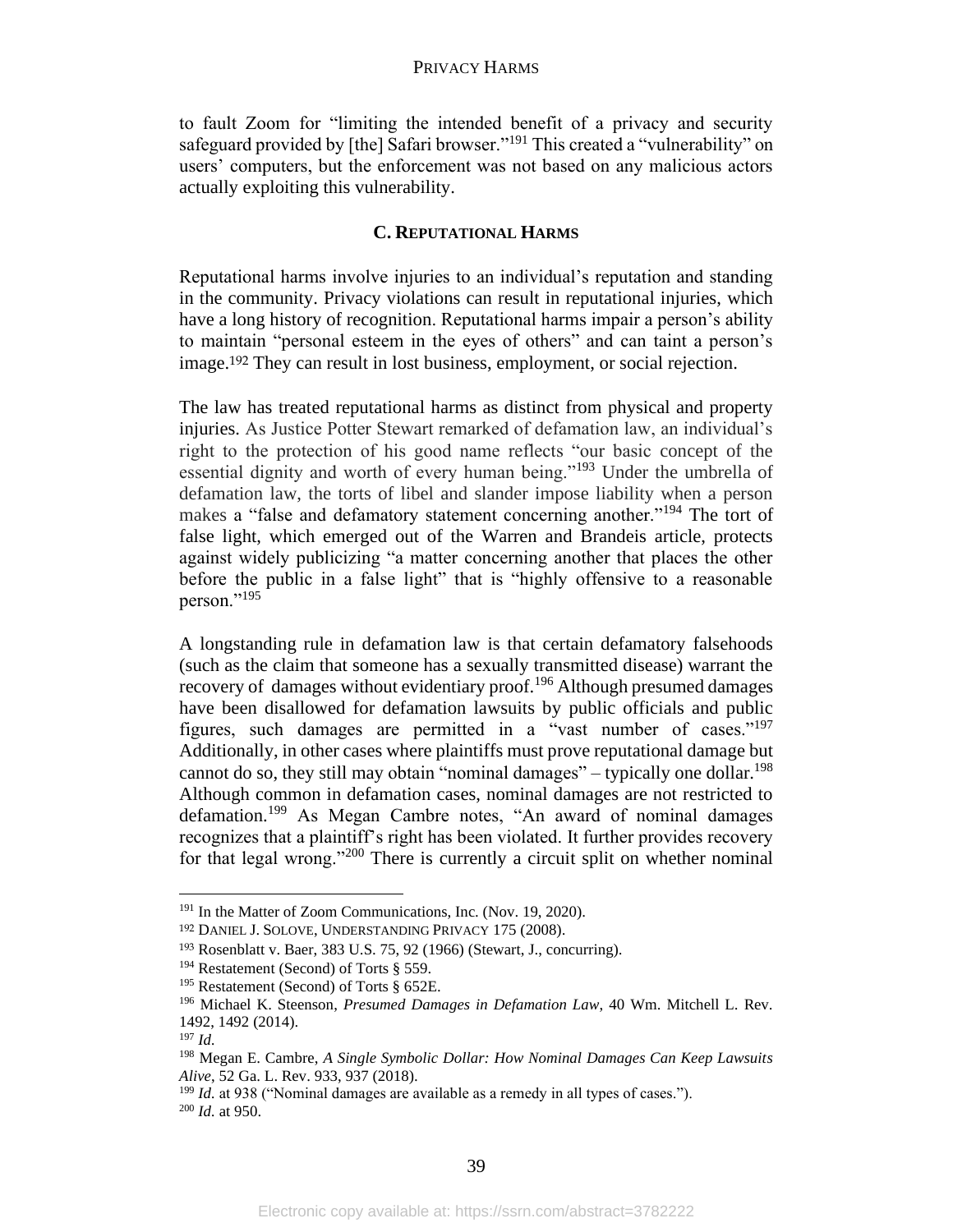to fault Zoom for "limiting the intended benefit of a privacy and security safeguard provided by [the] Safari browser."<sup>191</sup> This created a "vulnerability" on users' computers, but the enforcement was not based on any malicious actors actually exploiting this vulnerability.

# **C. REPUTATIONAL HARMS**

Reputational harms involve injuries to an individual's reputation and standing in the community. Privacy violations can result in reputational injuries, which have a long history of recognition. Reputational harms impair a person's ability to maintain "personal esteem in the eyes of others" and can taint a person's image.<sup>192</sup> They can result in lost business, employment, or social rejection.

The law has treated reputational harms as distinct from physical and property injuries. As Justice Potter Stewart remarked of defamation law, an individual's right to the protection of his good name reflects "our basic concept of the essential dignity and worth of every human being."<sup>193</sup> Under the umbrella of defamation law, the torts of libel and slander impose liability when a person makes a "false and defamatory statement concerning another."<sup>194</sup> The tort of false light, which emerged out of the Warren and Brandeis article, protects against widely publicizing "a matter concerning another that places the other before the public in a false light" that is "highly offensive to a reasonable person."<sup>195</sup>

A longstanding rule in defamation law is that certain defamatory falsehoods (such as the claim that someone has a sexually transmitted disease) warrant the recovery of damages without evidentiary proof.<sup>196</sup> Although presumed damages have been disallowed for defamation lawsuits by public officials and public figures, such damages are permitted in a "vast number of cases."<sup>197</sup> Additionally, in other cases where plaintiffs must prove reputational damage but cannot do so, they still may obtain "nominal damages" – typically one dollar.<sup>198</sup> Although common in defamation cases, nominal damages are not restricted to defamation.<sup>199</sup> As Megan Cambre notes, "An award of nominal damages recognizes that a plaintiff's right has been violated. It further provides recovery for that legal wrong."<sup>200</sup> There is currently a circuit split on whether nominal

<sup>&</sup>lt;sup>191</sup> In the Matter of Zoom Communications, Inc. (Nov. 19, 2020).

<sup>192</sup> DANIEL J. SOLOVE, UNDERSTANDING PRIVACY 175 (2008).

<sup>193</sup> Rosenblatt v. Baer, 383 U.S. 75, 92 (1966) (Stewart, J., concurring).

<sup>194</sup> Restatement (Second) of Torts § 559.

<sup>195</sup> Restatement (Second) of Torts § 652E.

<sup>196</sup> Michael K. Steenson, *Presumed Damages in Defamation Law*, 40 Wm. Mitchell L. Rev. 1492, 1492 (2014).

<sup>197</sup> *Id.*

<sup>198</sup> Megan E. Cambre, *A Single Symbolic Dollar: How Nominal Damages Can Keep Lawsuits Alive*, 52 Ga. L. Rev. 933, 937 (2018).

<sup>&</sup>lt;sup>199</sup> *Id.* at 938 ("Nominal damages are available as a remedy in all types of cases."). <sup>200</sup> *Id.* at 950.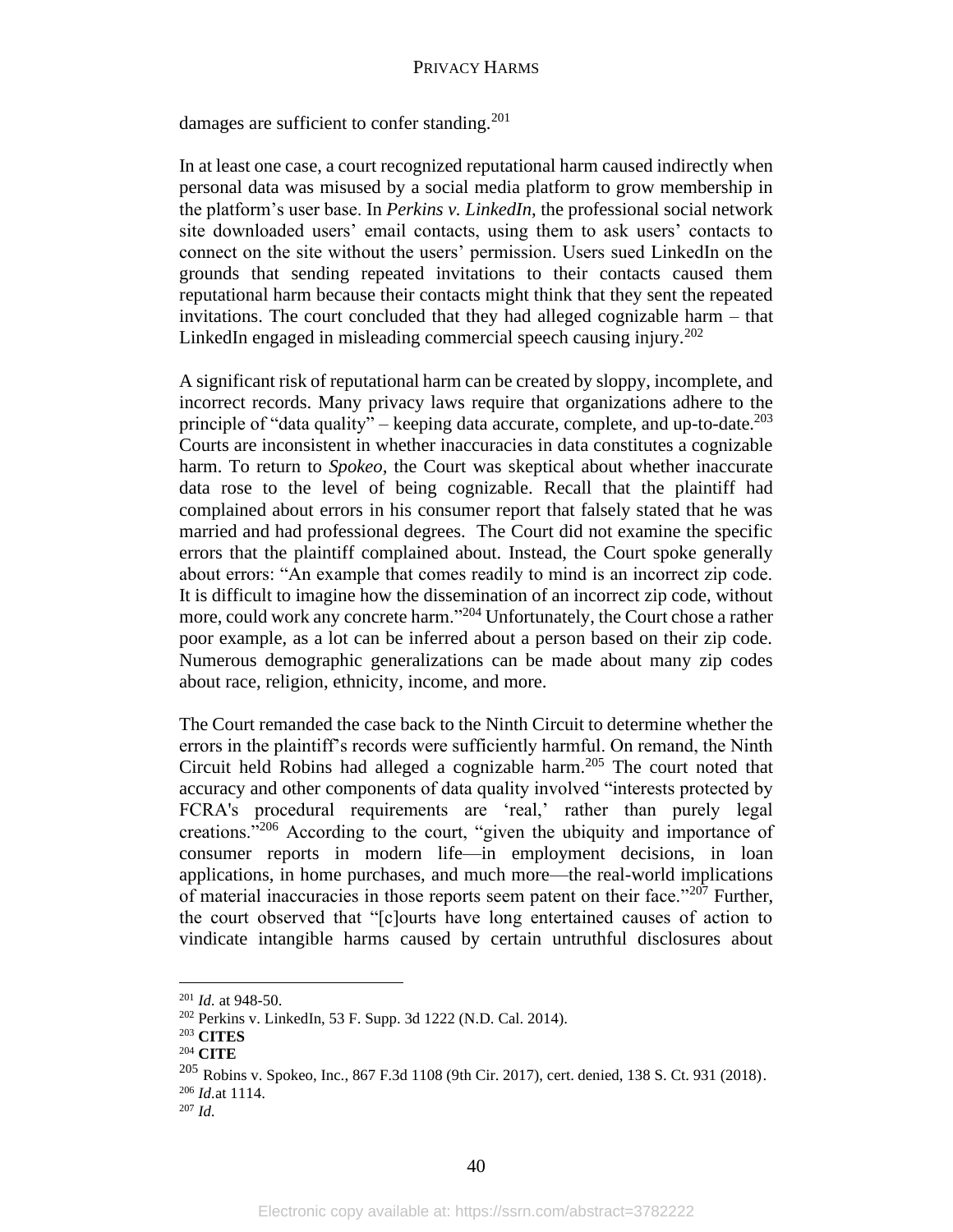damages are sufficient to confer standing.<sup>201</sup>

In at least one case, a court recognized reputational harm caused indirectly when personal data was misused by a social media platform to grow membership in the platform's user base. In *Perkins v. LinkedIn*, the professional social network site downloaded users' email contacts, using them to ask users' contacts to connect on the site without the users' permission. Users sued LinkedIn on the grounds that sending repeated invitations to their contacts caused them reputational harm because their contacts might think that they sent the repeated invitations. The court concluded that they had alleged cognizable harm – that LinkedIn engaged in misleading commercial speech causing injury.<sup>202</sup>

A significant risk of reputational harm can be created by sloppy, incomplete, and incorrect records. Many privacy laws require that organizations adhere to the principle of "data quality" – keeping data accurate, complete, and up-to-date.<sup>203</sup> Courts are inconsistent in whether inaccuracies in data constitutes a cognizable harm. To return to *Spokeo*, the Court was skeptical about whether inaccurate data rose to the level of being cognizable. Recall that the plaintiff had complained about errors in his consumer report that falsely stated that he was married and had professional degrees. The Court did not examine the specific errors that the plaintiff complained about. Instead, the Court spoke generally about errors: "An example that comes readily to mind is an incorrect zip code. It is difficult to imagine how the dissemination of an incorrect zip code, without more, could work any concrete harm."<sup>204</sup> Unfortunately, the Court chose a rather poor example, as a lot can be inferred about a person based on their zip code. Numerous demographic generalizations can be made about many zip codes about race, religion, ethnicity, income, and more.

The Court remanded the case back to the Ninth Circuit to determine whether the errors in the plaintiff's records were sufficiently harmful. On remand, the Ninth Circuit held Robins had alleged a cognizable harm.<sup>205</sup> The court noted that accuracy and other components of data quality involved "interests protected by FCRA's procedural requirements are 'real,' rather than purely legal creations."<sup>206</sup> According to the court, "given the ubiquity and importance of consumer reports in modern life—in employment decisions, in loan applications, in home purchases, and much more—the real-world implications of material inaccuracies in those reports seem patent on their face."<sup>207</sup> Further, the court observed that "[c]ourts have long entertained causes of action to vindicate intangible harms caused by certain untruthful disclosures about

<sup>201</sup> *Id.* at 948-50.

<sup>202</sup> Perkins v. LinkedIn, 53 F. Supp. 3d 1222 (N.D. Cal. 2014).

<sup>203</sup> **CITES**

<sup>204</sup> **CITE**

<sup>205</sup> Robins v. Spokeo, Inc., 867 F.3d 1108 (9th Cir. 2017), cert. denied, 138 S. Ct. 931 (2018).

<sup>206</sup> *Id.*at 1114.

 $207$  *Id.*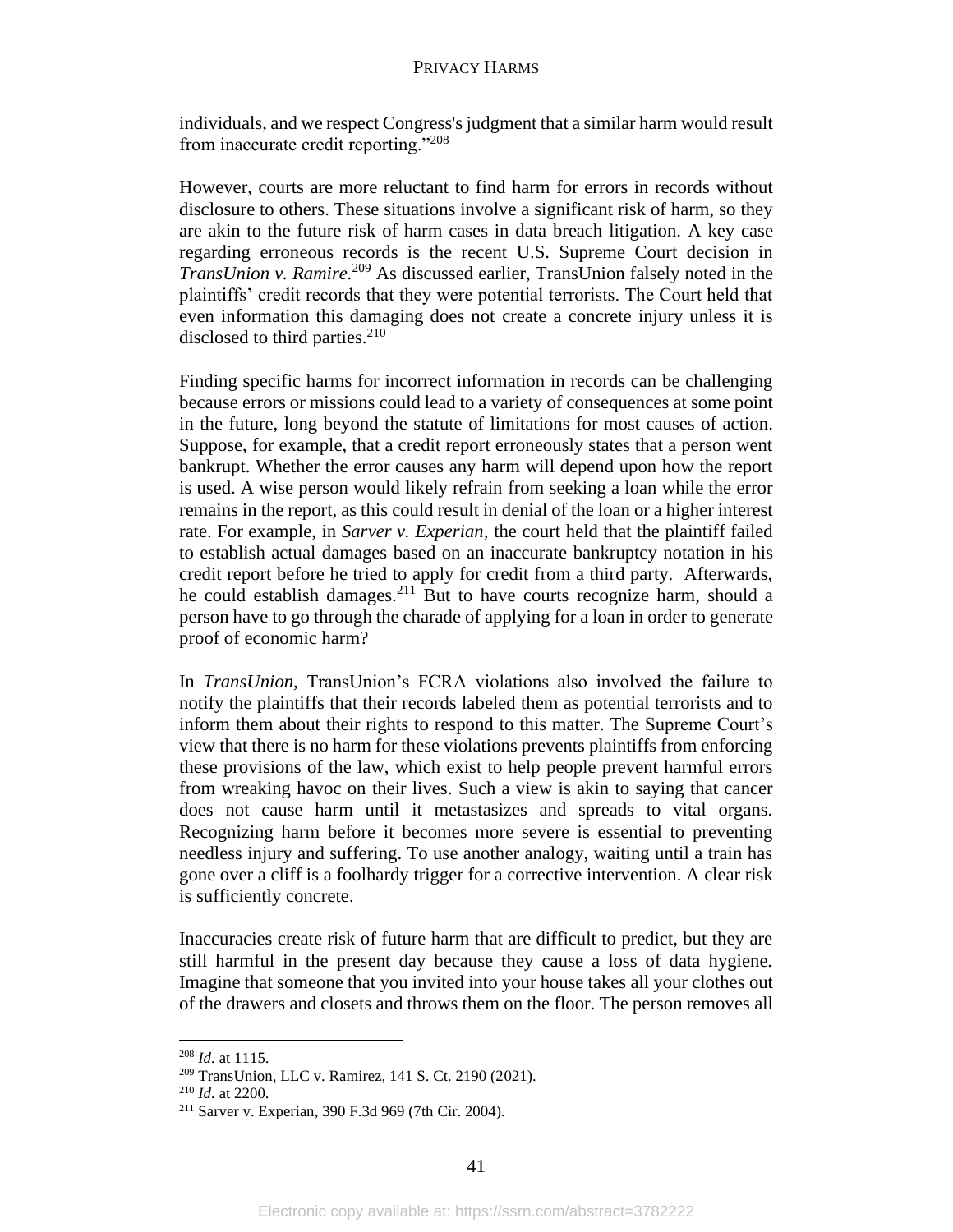individuals, and we respect Congress's judgment that a similar harm would result from inaccurate credit reporting."<sup>208</sup>

However, courts are more reluctant to find harm for errors in records without disclosure to others. These situations involve a significant risk of harm, so they are akin to the future risk of harm cases in data breach litigation. A key case regarding erroneous records is the recent U.S. Supreme Court decision in *TransUnion v. Ramire.* <sup>209</sup> As discussed earlier, TransUnion falsely noted in the plaintiffs' credit records that they were potential terrorists. The Court held that even information this damaging does not create a concrete injury unless it is disclosed to third parties. $210$ 

Finding specific harms for incorrect information in records can be challenging because errors or missions could lead to a variety of consequences at some point in the future, long beyond the statute of limitations for most causes of action. Suppose, for example, that a credit report erroneously states that a person went bankrupt. Whether the error causes any harm will depend upon how the report is used. A wise person would likely refrain from seeking a loan while the error remains in the report, as this could result in denial of the loan or a higher interest rate. For example, in *Sarver v. Experian,* the court held that the plaintiff failed to establish actual damages based on an inaccurate bankruptcy notation in his credit report before he tried to apply for credit from a third party. Afterwards, he could establish damages.<sup>211</sup> But to have courts recognize harm, should a person have to go through the charade of applying for a loan in order to generate proof of economic harm?

In *TransUnion,* TransUnion's FCRA violations also involved the failure to notify the plaintiffs that their records labeled them as potential terrorists and to inform them about their rights to respond to this matter. The Supreme Court's view that there is no harm for these violations prevents plaintiffs from enforcing these provisions of the law, which exist to help people prevent harmful errors from wreaking havoc on their lives. Such a view is akin to saying that cancer does not cause harm until it metastasizes and spreads to vital organs. Recognizing harm before it becomes more severe is essential to preventing needless injury and suffering. To use another analogy, waiting until a train has gone over a cliff is a foolhardy trigger for a corrective intervention. A clear risk is sufficiently concrete.

Inaccuracies create risk of future harm that are difficult to predict, but they are still harmful in the present day because they cause a loss of data hygiene. Imagine that someone that you invited into your house takes all your clothes out of the drawers and closets and throws them on the floor. The person removes all

<sup>208</sup> *Id.* at 1115.

<sup>209</sup> TransUnion, LLC v. Ramirez, 141 S. Ct. 2190 (2021).

<sup>210</sup> *Id.* at 2200.

<sup>211</sup> Sarver v. Experian, 390 F.3d 969 (7th Cir. 2004).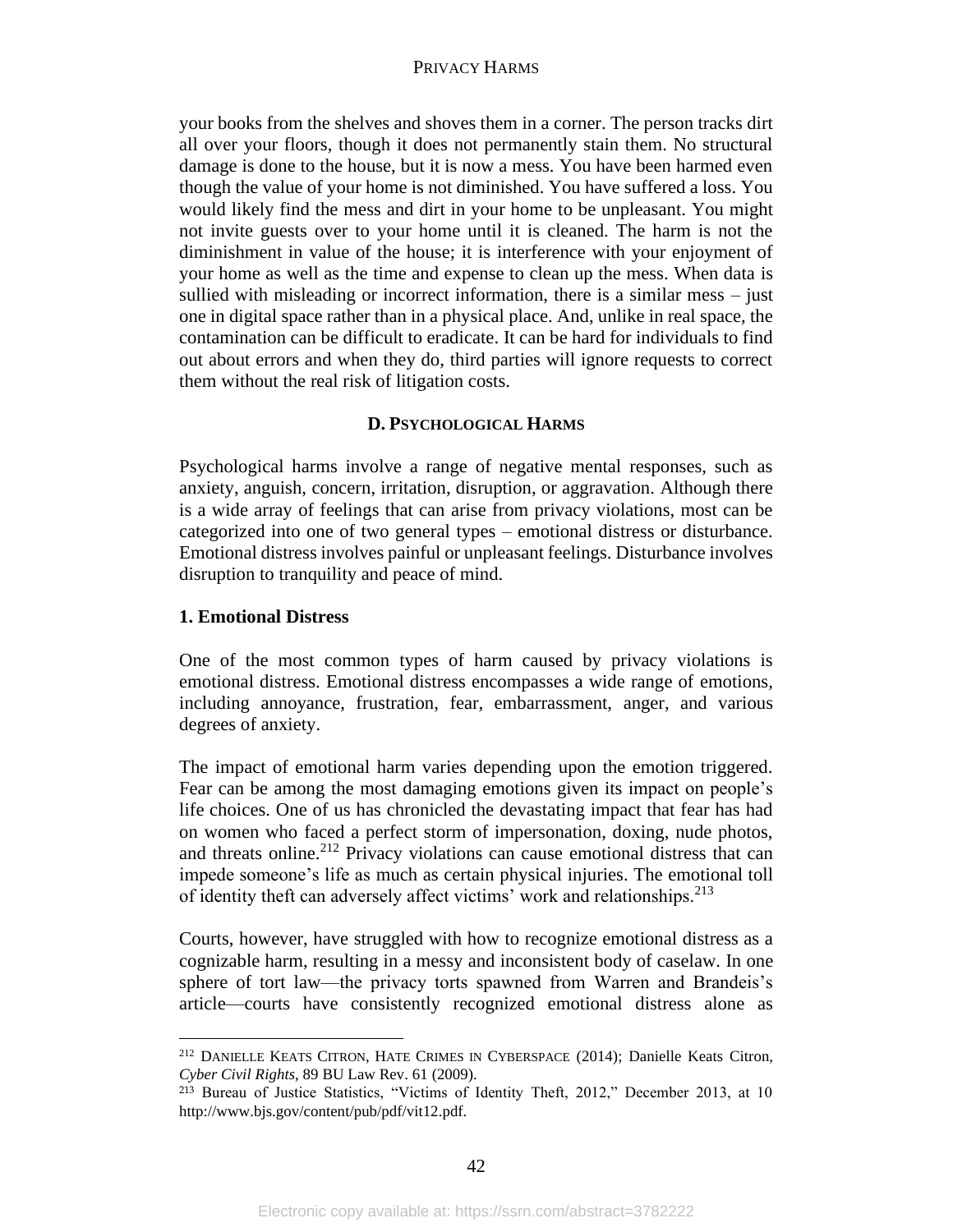your books from the shelves and shoves them in a corner. The person tracks dirt all over your floors, though it does not permanently stain them. No structural damage is done to the house, but it is now a mess. You have been harmed even though the value of your home is not diminished. You have suffered a loss. You would likely find the mess and dirt in your home to be unpleasant. You might not invite guests over to your home until it is cleaned. The harm is not the diminishment in value of the house; it is interference with your enjoyment of your home as well as the time and expense to clean up the mess. When data is sullied with misleading or incorrect information, there is a similar mess – just one in digital space rather than in a physical place. And, unlike in real space, the contamination can be difficult to eradicate. It can be hard for individuals to find out about errors and when they do, third parties will ignore requests to correct them without the real risk of litigation costs.

# **D. PSYCHOLOGICAL HARMS**

Psychological harms involve a range of negative mental responses, such as anxiety, anguish, concern, irritation, disruption, or aggravation. Although there is a wide array of feelings that can arise from privacy violations, most can be categorized into one of two general types – emotional distress or disturbance. Emotional distress involves painful or unpleasant feelings. Disturbance involves disruption to tranquility and peace of mind.

# **1. Emotional Distress**

One of the most common types of harm caused by privacy violations is emotional distress. Emotional distress encompasses a wide range of emotions, including annoyance, frustration, fear, embarrassment, anger, and various degrees of anxiety.

The impact of emotional harm varies depending upon the emotion triggered. Fear can be among the most damaging emotions given its impact on people's life choices. One of us has chronicled the devastating impact that fear has had on women who faced a perfect storm of impersonation, doxing, nude photos, and threats online.<sup>212</sup> Privacy violations can cause emotional distress that can impede someone's life as much as certain physical injuries. The emotional toll of identity theft can adversely affect victims' work and relationships.<sup>213</sup>

Courts, however, have struggled with how to recognize emotional distress as a cognizable harm, resulting in a messy and inconsistent body of caselaw. In one sphere of tort law—the privacy torts spawned from Warren and Brandeis's article—courts have consistently recognized emotional distress alone as

<sup>212</sup> DANIELLE KEATS CITRON, HATE CRIMES IN CYBERSPACE (2014); Danielle Keats Citron, *Cyber Civil Rights*, 89 BU Law Rev. 61 (2009).

<sup>213</sup> Bureau of Justice Statistics, "Victims of Identity Theft, 2012," December 2013, at 10 http://www.bjs.gov/content/pub/pdf/vit12.pdf.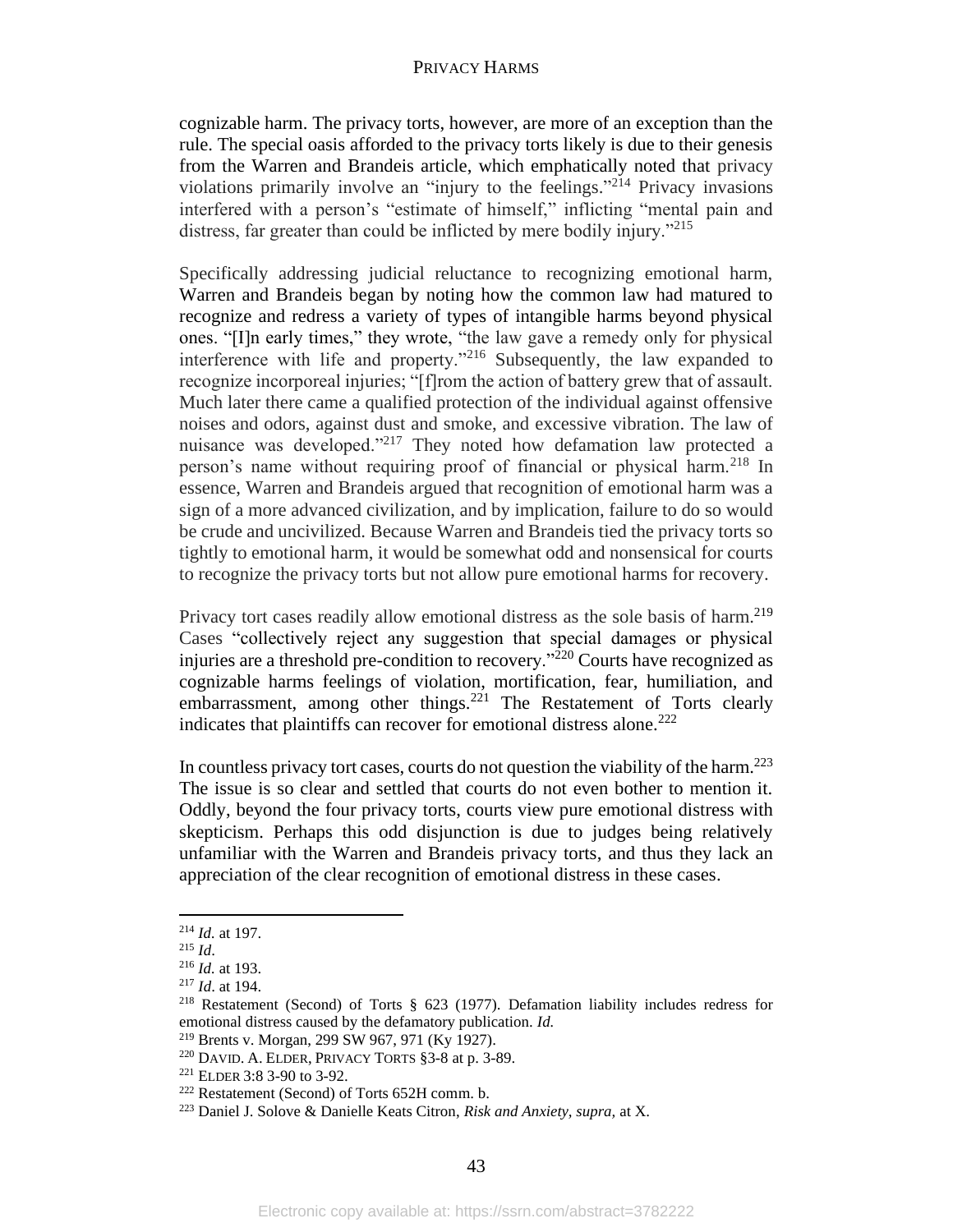cognizable harm. The privacy torts, however, are more of an exception than the rule. The special oasis afforded to the privacy torts likely is due to their genesis from the Warren and Brandeis article, which emphatically noted that privacy violations primarily involve an "injury to the feelings."<sup>214</sup> Privacy invasions interfered with a person's "estimate of himself," inflicting "mental pain and distress, far greater than could be inflicted by mere bodily injury."<sup>215</sup>

Specifically addressing judicial reluctance to recognizing emotional harm, Warren and Brandeis began by noting how the common law had matured to recognize and redress a variety of types of intangible harms beyond physical ones. "[I]n early times," they wrote, "the law gave a remedy only for physical interference with life and property. $1216$  Subsequently, the law expanded to recognize incorporeal injuries; "[f]rom the action of battery grew that of assault. Much later there came a qualified protection of the individual against offensive noises and odors, against dust and smoke, and excessive vibration. The law of nuisance was developed."<sup>217</sup> They noted how defamation law protected a person's name without requiring proof of financial or physical harm.<sup>218</sup> In essence, Warren and Brandeis argued that recognition of emotional harm was a sign of a more advanced civilization, and by implication, failure to do so would be crude and uncivilized. Because Warren and Brandeis tied the privacy torts so tightly to emotional harm, it would be somewhat odd and nonsensical for courts to recognize the privacy torts but not allow pure emotional harms for recovery.

Privacy tort cases readily allow emotional distress as the sole basis of harm.<sup>219</sup> Cases "collectively reject any suggestion that special damages or physical injuries are a threshold pre-condition to recovery."<sup>220</sup> Courts have recognized as cognizable harms feelings of violation, mortification, fear, humiliation, and embarrassment, among other things.<sup>221</sup> The Restatement of Torts clearly indicates that plaintiffs can recover for emotional distress alone. 222

In countless privacy tort cases, courts do not question the viability of the harm.<sup>223</sup> The issue is so clear and settled that courts do not even bother to mention it. Oddly, beyond the four privacy torts, courts view pure emotional distress with skepticism. Perhaps this odd disjunction is due to judges being relatively unfamiliar with the Warren and Brandeis privacy torts, and thus they lack an appreciation of the clear recognition of emotional distress in these cases.

<sup>214</sup> *Id.* at 197.

<sup>215</sup> *Id*.

<sup>216</sup> *Id.* at 193.

<sup>217</sup> *Id*. at 194.

<sup>218</sup> Restatement (Second) of Torts § 623 (1977). Defamation liability includes redress for emotional distress caused by the defamatory publication. *Id.*

<sup>219</sup> Brents v. Morgan, 299 SW 967, 971 (Ky 1927).

<sup>220</sup> DAVID. A. ELDER, PRIVACY TORTS §3-8 at p. 3-89.

<sup>221</sup> ELDER 3:8 3-90 to 3-92.

<sup>222</sup> Restatement (Second) of Torts 652H comm. b.

<sup>223</sup> Daniel J. Solove & Danielle Keats Citron, *Risk and Anxiety, supra,* at X.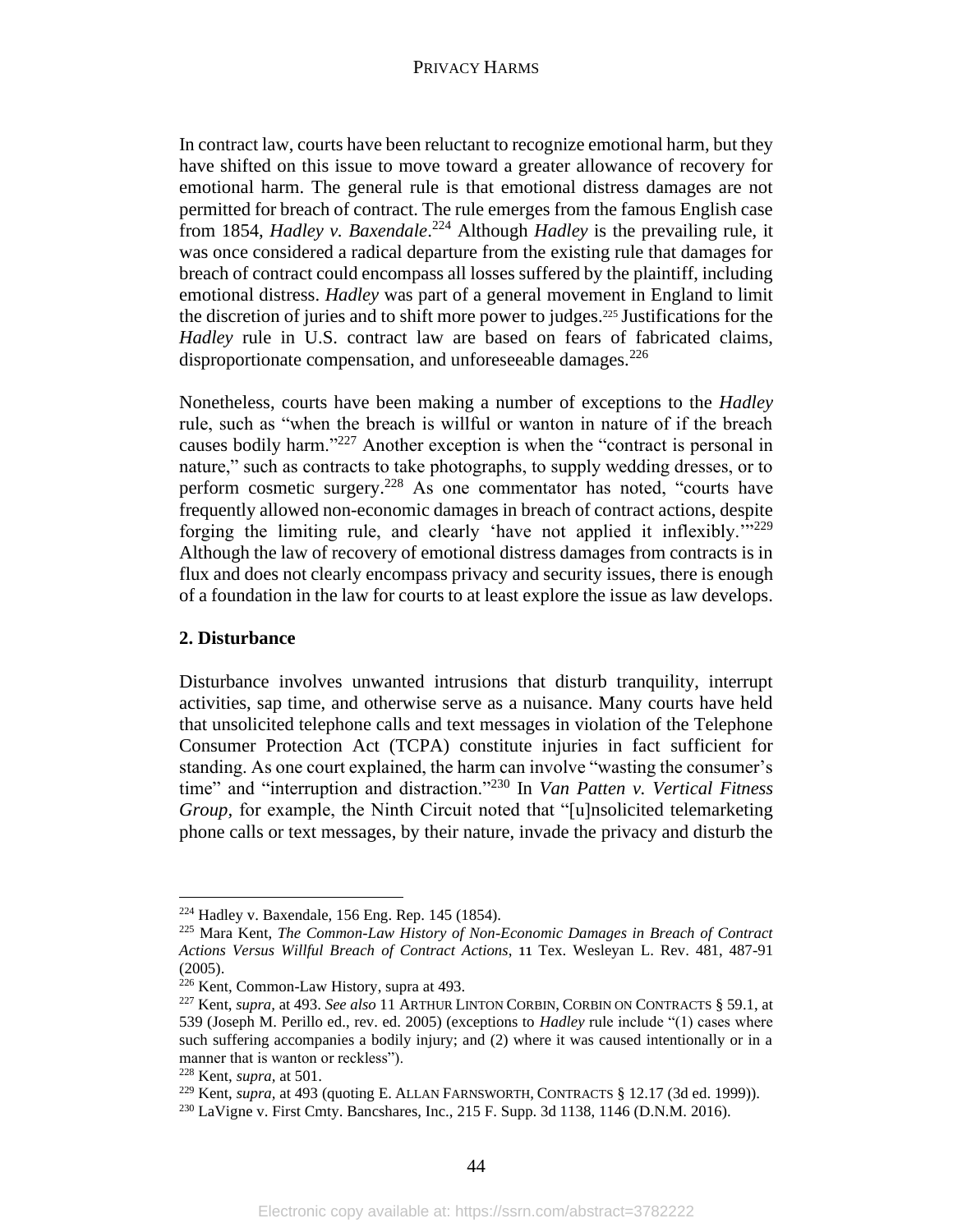In contract law, courts have been reluctant to recognize emotional harm, but they have shifted on this issue to move toward a greater allowance of recovery for emotional harm. The general rule is that emotional distress damages are not permitted for breach of contract. The rule emerges from the famous English case from 1854, *Hadley v. Baxendale*. <sup>224</sup> Although *Hadley* is the prevailing rule, it was once considered a radical departure from the existing rule that damages for breach of contract could encompass all losses suffered by the plaintiff, including emotional distress. *Hadley* was part of a general movement in England to limit the discretion of juries and to shift more power to judges.<sup>225</sup> Justifications for the *Hadley* rule in U.S. contract law are based on fears of fabricated claims, disproportionate compensation, and unforeseeable damages.<sup>226</sup>

Nonetheless, courts have been making a number of exceptions to the *Hadley* rule, such as "when the breach is willful or wanton in nature of if the breach causes bodily harm."<sup>227</sup> Another exception is when the "contract is personal in nature," such as contracts to take photographs, to supply wedding dresses, or to perform cosmetic surgery.<sup>228</sup> As one commentator has noted, "courts have frequently allowed non-economic damages in breach of contract actions, despite forging the limiting rule, and clearly 'have not applied it inflexibly.'"<sup>229</sup> Although the law of recovery of emotional distress damages from contracts is in flux and does not clearly encompass privacy and security issues, there is enough of a foundation in the law for courts to at least explore the issue as law develops.

# **2. Disturbance**

Disturbance involves unwanted intrusions that disturb tranquility, interrupt activities, sap time, and otherwise serve as a nuisance. Many courts have held that unsolicited telephone calls and text messages in violation of the Telephone Consumer Protection Act (TCPA) constitute injuries in fact sufficient for standing. As one court explained, the harm can involve "wasting the consumer's time" and "interruption and distraction."<sup>230</sup> In *Van Patten v. Vertical Fitness Group*, for example, the Ninth Circuit noted that "[u]nsolicited telemarketing phone calls or text messages, by their nature, invade the privacy and disturb the

<sup>224</sup> Hadley v. Baxendale, 156 Eng. Rep. 145 (1854).

<sup>225</sup> Mara Kent, *The Common-Law History of Non-Economic Damages in Breach of Contract Actions Versus Willful Breach of Contract Actions*, 11 Tex. Wesleyan L. Rev. 481, 487-91 (2005).

<sup>226</sup> Kent, Common-Law History, supra at 493.

<sup>227</sup> Kent, *supra,* at 493. *See also* 11 ARTHUR LINTON CORBIN, CORBIN ON CONTRACTS § 59.1, at 539 (Joseph M. Perillo ed., rev. ed. 2005) (exceptions to *Hadley* rule include "(1) cases where such suffering accompanies a bodily injury; and (2) where it was caused intentionally or in a manner that is wanton or reckless").

<sup>228</sup> Kent, *supra,* at 501.

<sup>&</sup>lt;sup>229</sup> Kent, *supra*, at 493 (quoting E. ALLAN FARNSWORTH, CONTRACTS § 12.17 (3d ed. 1999)).

<sup>230</sup> LaVigne v. First Cmty. Bancshares, Inc., 215 F. Supp. 3d 1138, 1146 (D.N.M. 2016).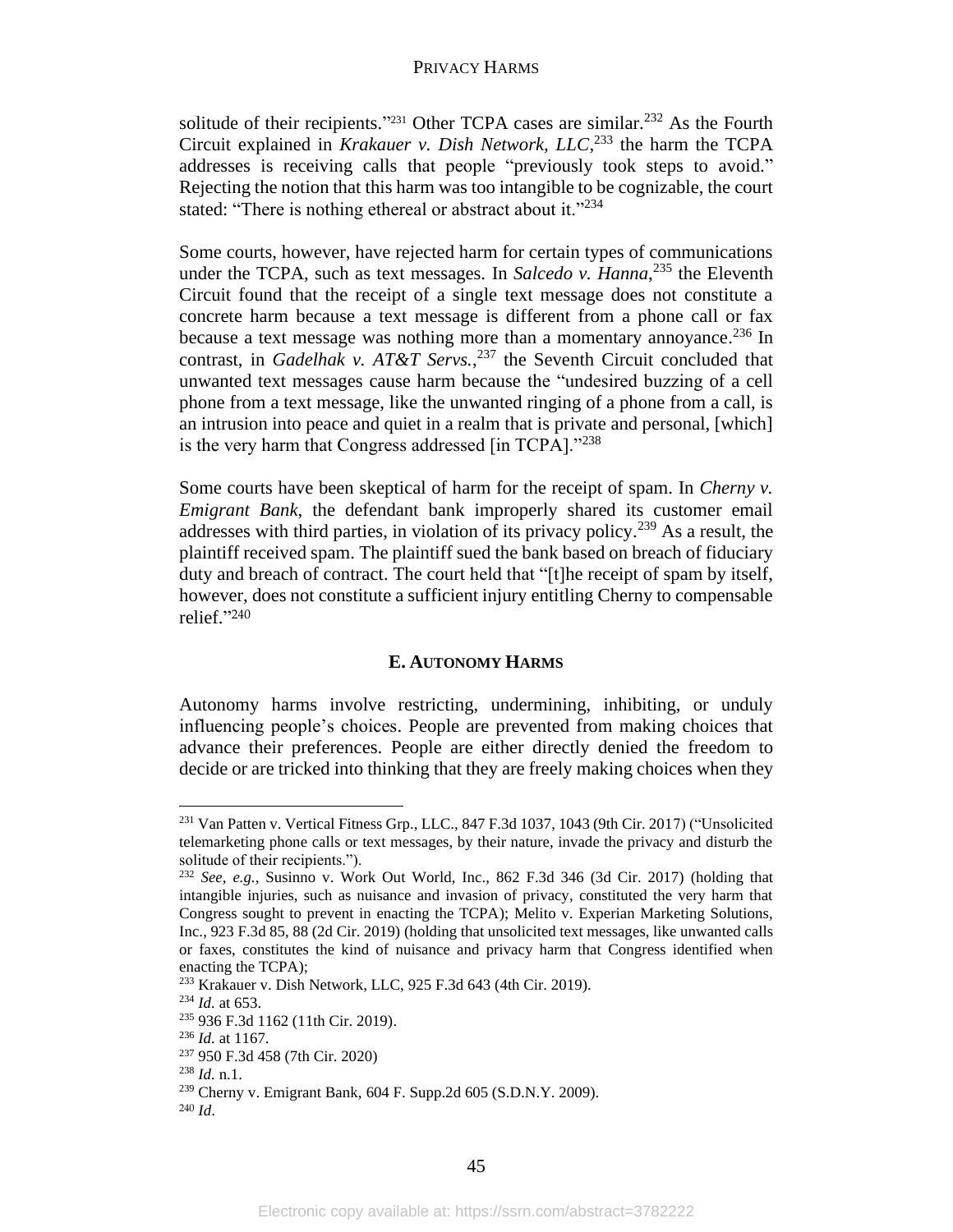solitude of their recipients."<sup>231</sup> Other TCPA cases are similar.<sup>232</sup> As the Fourth Circuit explained in *Krakauer v. Dish Network, LLC*, <sup>233</sup> the harm the TCPA addresses is receiving calls that people "previously took steps to avoid." Rejecting the notion that this harm was too intangible to be cognizable, the court stated: "There is nothing ethereal or abstract about it."<sup>234</sup>

Some courts, however, have rejected harm for certain types of communications under the TCPA, such as text messages. In *Salcedo v. Hanna*, <sup>235</sup> the Eleventh Circuit found that the receipt of a single text message does not constitute a concrete harm because a text message is different from a phone call or fax because a text message was nothing more than a momentary annoyance.<sup>236</sup> In contrast, in *Gadelhak v. AT&T Servs.*, <sup>237</sup> the Seventh Circuit concluded that unwanted text messages cause harm because the "undesired buzzing of a cell phone from a text message, like the unwanted ringing of a phone from a call, is an intrusion into peace and quiet in a realm that is private and personal, [which] is the very harm that Congress addressed [in TCPA]."<sup>238</sup>

Some courts have been skeptical of harm for the receipt of spam. In *Cherny v. Emigrant Bank*, the defendant bank improperly shared its customer email addresses with third parties, in violation of its privacy policy.<sup>239</sup> As a result, the plaintiff received spam. The plaintiff sued the bank based on breach of fiduciary duty and breach of contract. The court held that "[t]he receipt of spam by itself, however, does not constitute a sufficient injury entitling Cherny to compensable relief." 240

# **E. AUTONOMY HARMS**

Autonomy harms involve restricting, undermining, inhibiting, or unduly influencing people's choices. People are prevented from making choices that advance their preferences. People are either directly denied the freedom to decide or are tricked into thinking that they are freely making choices when they

<sup>231</sup> Van Patten v. Vertical Fitness Grp., LLC., 847 F.3d 1037, 1043 (9th Cir. 2017) ("Unsolicited telemarketing phone calls or text messages, by their nature, invade the privacy and disturb the solitude of their recipients.").

<sup>232</sup> *See, e.g.,* Susinno v. Work Out World, Inc., 862 F.3d 346 (3d Cir. 2017) (holding that intangible injuries, such as nuisance and invasion of privacy, constituted the very harm that Congress sought to prevent in enacting the TCPA); Melito v. Experian Marketing Solutions, Inc., 923 F.3d 85, 88 (2d Cir. 2019) (holding that unsolicited text messages, like unwanted calls or faxes, constitutes the kind of nuisance and privacy harm that Congress identified when enacting the TCPA);

<sup>233</sup> Krakauer v. Dish Network, LLC, 925 F.3d 643 (4th Cir. 2019).

<sup>234</sup> *Id.* at 653.

<sup>235</sup> 936 F.3d 1162 (11th Cir. 2019).

<sup>236</sup> *Id.* at 1167.

<sup>237</sup> 950 F.3d 458 (7th Cir. 2020)

<sup>238</sup> *Id.* n.1.

<sup>239</sup> Cherny v. Emigrant Bank, 604 F. Supp.2d 605 (S.D.N.Y. 2009).

<sup>240</sup> *Id*.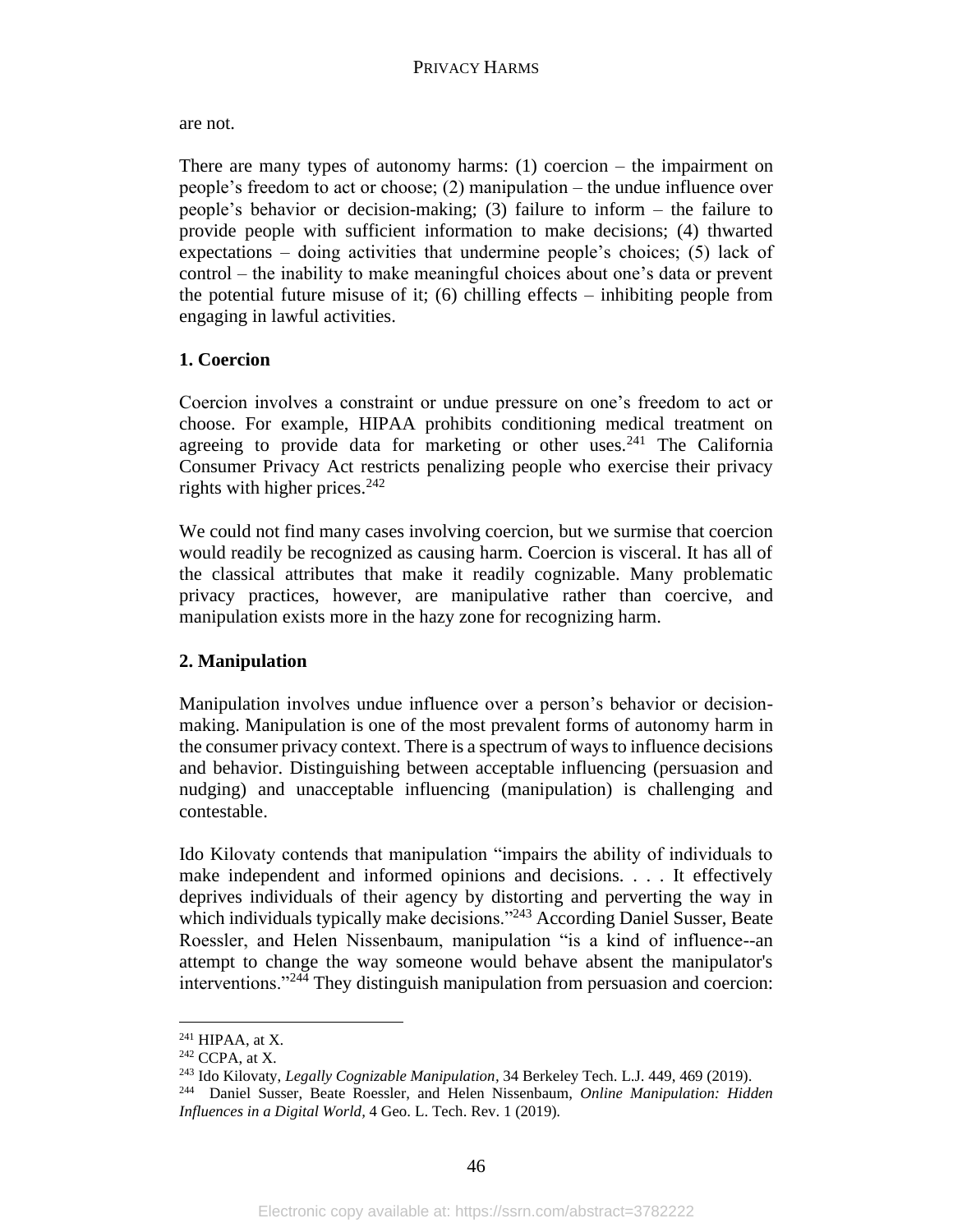are not.

There are many types of autonomy harms:  $(1)$  coercion – the impairment on people's freedom to act or choose; (2) manipulation – the undue influence over people's behavior or decision-making; (3) failure to inform – the failure to provide people with sufficient information to make decisions; (4) thwarted expectations – doing activities that undermine people's choices; (5) lack of control – the inability to make meaningful choices about one's data or prevent the potential future misuse of it; (6) chilling effects – inhibiting people from engaging in lawful activities.

# **1. Coercion**

Coercion involves a constraint or undue pressure on one's freedom to act or choose. For example, HIPAA prohibits conditioning medical treatment on agreeing to provide data for marketing or other uses.<sup>241</sup> The California Consumer Privacy Act restricts penalizing people who exercise their privacy rights with higher prices. $242$ 

We could not find many cases involving coercion, but we surmise that coercion would readily be recognized as causing harm. Coercion is visceral. It has all of the classical attributes that make it readily cognizable. Many problematic privacy practices, however, are manipulative rather than coercive, and manipulation exists more in the hazy zone for recognizing harm.

# **2. Manipulation**

Manipulation involves undue influence over a person's behavior or decisionmaking. Manipulation is one of the most prevalent forms of autonomy harm in the consumer privacy context. There is a spectrum of ways to influence decisions and behavior. Distinguishing between acceptable influencing (persuasion and nudging) and unacceptable influencing (manipulation) is challenging and contestable.

Ido Kilovaty contends that manipulation "impairs the ability of individuals to make independent and informed opinions and decisions. . . . It effectively deprives individuals of their agency by distorting and perverting the way in which individuals typically make decisions."<sup>243</sup> According Daniel Susser, Beate Roessler, and Helen Nissenbaum, manipulation "is a kind of influence--an attempt to change the way someone would behave absent the manipulator's interventions."<sup>244</sup> They distinguish manipulation from persuasion and coercion:

<sup>241</sup> HIPAA, at X.

 $242$  CCPA, at X.

<sup>243</sup> Ido Kilovaty, *Legally Cognizable Manipulation,* 34 Berkeley Tech. L.J. 449, 469 (2019).

<sup>244</sup> Daniel Susser, Beate Roessler, and Helen Nissenbaum, *Online Manipulation: Hidden Influences in a Digital World,* 4 Geo. L. Tech. Rev. 1 (2019).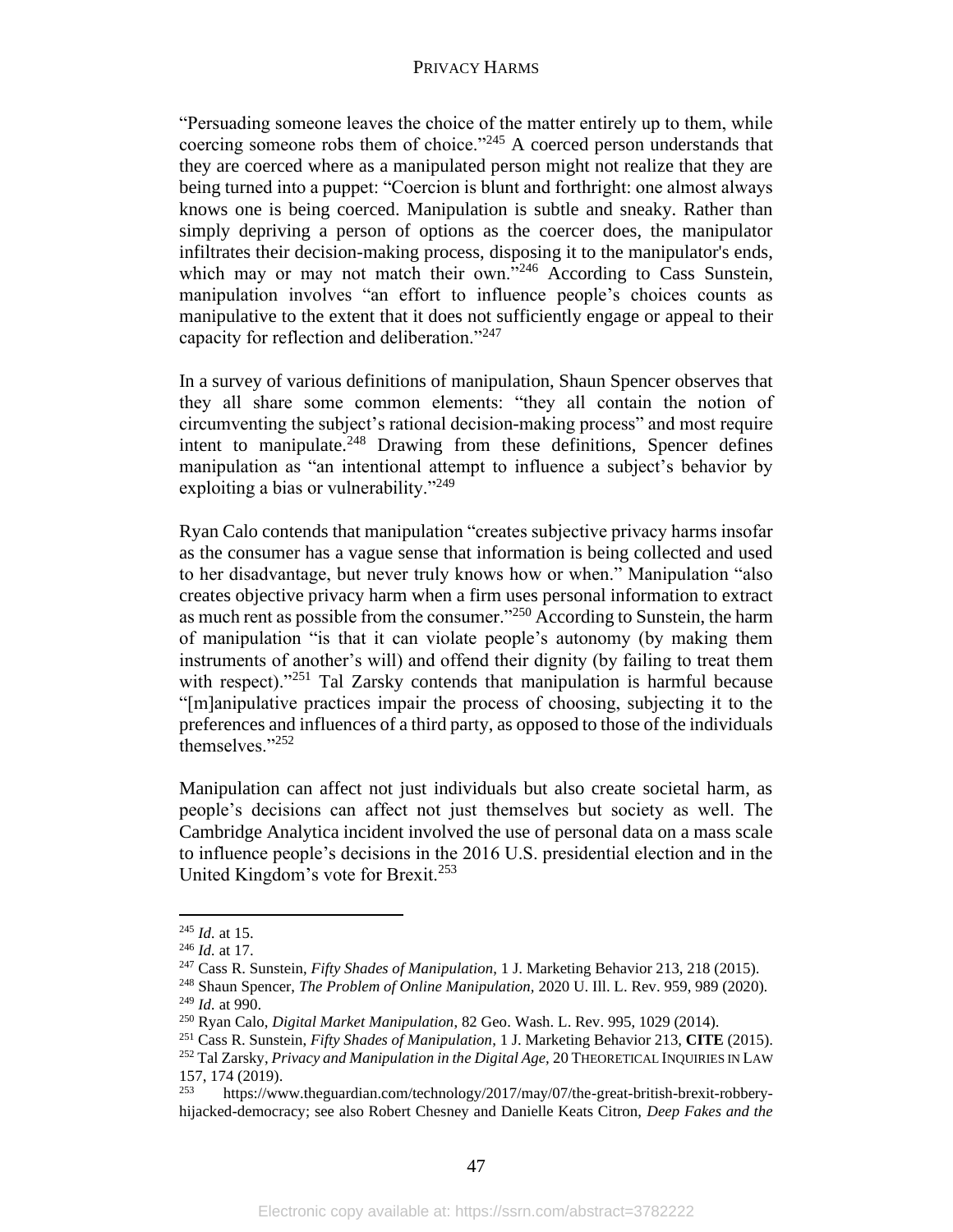"Persuading someone leaves the choice of the matter entirely up to them, while coercing someone robs them of choice."<sup>245</sup> A coerced person understands that they are coerced where as a manipulated person might not realize that they are being turned into a puppet: "Coercion is blunt and forthright: one almost always knows one is being coerced. Manipulation is subtle and sneaky. Rather than simply depriving a person of options as the coercer does, the manipulator infiltrates their decision-making process, disposing it to the manipulator's ends, which may or may not match their own."<sup>246</sup> According to Cass Sunstein, manipulation involves "an effort to influence people's choices counts as manipulative to the extent that it does not sufficiently engage or appeal to their capacity for reflection and deliberation."<sup>247</sup>

In a survey of various definitions of manipulation, Shaun Spencer observes that they all share some common elements: "they all contain the notion of circumventing the subject's rational decision-making process" and most require intent to manipulate. $248$  Drawing from these definitions, Spencer defines manipulation as "an intentional attempt to influence a subject's behavior by exploiting a bias or vulnerability."<sup>249</sup>

Ryan Calo contends that manipulation "creates subjective privacy harms insofar as the consumer has a vague sense that information is being collected and used to her disadvantage, but never truly knows how or when." Manipulation "also creates objective privacy harm when a firm uses personal information to extract as much rent as possible from the consumer."<sup>250</sup> According to Sunstein, the harm of manipulation "is that it can violate people's autonomy (by making them instruments of another's will) and offend their dignity (by failing to treat them with respect)."<sup>251</sup> Tal Zarsky contends that manipulation is harmful because "[m]anipulative practices impair the process of choosing, subjecting it to the preferences and influences of a third party, as opposed to those of the individuals themselves."252

Manipulation can affect not just individuals but also create societal harm, as people's decisions can affect not just themselves but society as well. The Cambridge Analytica incident involved the use of personal data on a mass scale to influence people's decisions in the 2016 U.S. presidential election and in the United Kingdom's vote for Brexit.<sup>253</sup>

<sup>245</sup> *Id.* at 15.

<sup>246</sup> *Id.* at 17.

<sup>247</sup> Cass R. Sunstein, *Fifty Shades of Manipulation*, 1 J. Marketing Behavior 213, 218 (2015).

<sup>248</sup> Shaun Spencer, *The Problem of Online Manipulation,* 2020 U. Ill. L. Rev. 959, 989 (2020). <sup>249</sup> *Id.* at 990.

<sup>250</sup> Ryan Calo, *Digital Market Manipulation*, 82 Geo. Wash. L. Rev. 995, 1029 (2014).

<sup>251</sup> Cass R. Sunstein, *Fifty Shades of Manipulation*, 1 J. Marketing Behavior 213, **CITE** (2015). <sup>252</sup> Tal Zarsky, *Privacy and Manipulation in the Digital Age*, 20 THEORETICAL INQUIRIES IN LAW

<sup>157, 174 (2019).&</sup>lt;br> $\frac{253}{\text{https://ww.}}$ <sup>253</sup> https://www.theguardian.com/technology/2017/may/07/the-great-british-brexit-robberyhijacked-democracy; see also Robert Chesney and Danielle Keats Citron, *Deep Fakes and the*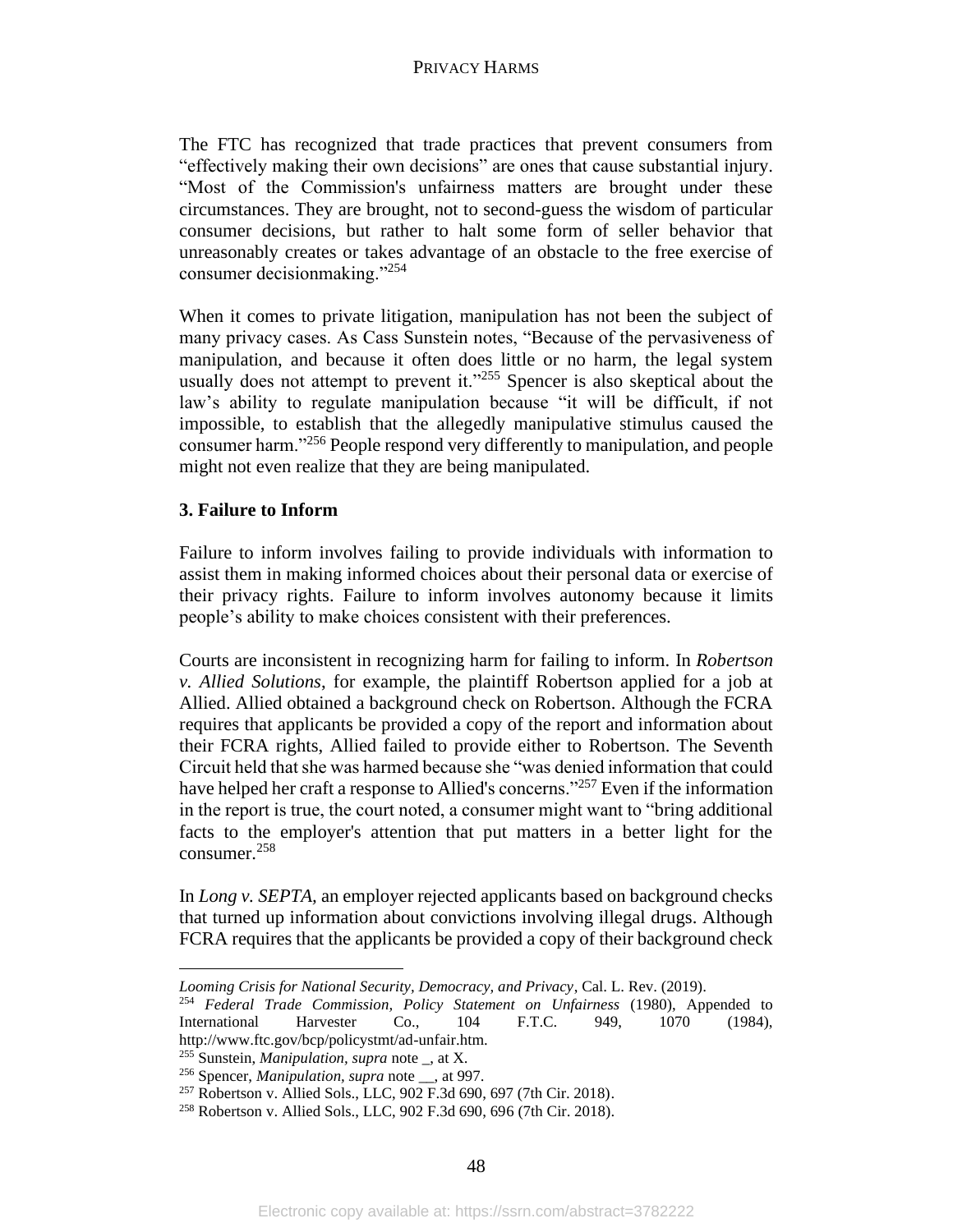The FTC has recognized that trade practices that prevent consumers from "effectively making their own decisions" are ones that cause substantial injury. "Most of the Commission's unfairness matters are brought under these circumstances. They are brought, not to second-guess the wisdom of particular consumer decisions, but rather to halt some form of seller behavior that unreasonably creates or takes advantage of an obstacle to the free exercise of consumer decisionmaking."<sup>254</sup>

When it comes to private litigation, manipulation has not been the subject of many privacy cases. As Cass Sunstein notes, "Because of the pervasiveness of manipulation, and because it often does little or no harm, the legal system usually does not attempt to prevent it."<sup>255</sup> Spencer is also skeptical about the law's ability to regulate manipulation because "it will be difficult, if not impossible, to establish that the allegedly manipulative stimulus caused the consumer harm."<sup>256</sup> People respond very differently to manipulation, and people might not even realize that they are being manipulated.

# **3. Failure to Inform**

Failure to inform involves failing to provide individuals with information to assist them in making informed choices about their personal data or exercise of their privacy rights. Failure to inform involves autonomy because it limits people's ability to make choices consistent with their preferences.

Courts are inconsistent in recognizing harm for failing to inform. In *Robertson v. Allied Solutions*, for example, the plaintiff Robertson applied for a job at Allied. Allied obtained a background check on Robertson. Although the FCRA requires that applicants be provided a copy of the report and information about their FCRA rights, Allied failed to provide either to Robertson. The Seventh Circuit held that she was harmed because she "was denied information that could have helped her craft a response to Allied's concerns."<sup>257</sup> Even if the information in the report is true, the court noted, a consumer might want to "bring additional facts to the employer's attention that put matters in a better light for the consumer.<sup>258</sup>

In *Long v. SEPTA,* an employer rejected applicants based on background checks that turned up information about convictions involving illegal drugs. Although FCRA requires that the applicants be provided a copy of their background check

*Looming Crisis for National Security, Democracy, and Privacy*, Cal. L. Rev. (2019).

<sup>254</sup> *Federal Trade Commission, Policy Statement on Unfairness* (1980), Appended to International Harvester Co., 104 F.T.C. 949, 1070 (1984), http://www.ftc.gov/bcp/policystmt/ad-unfair.htm.

<sup>255</sup> Sunstein, *Manipulation, supra* note \_, at X.

<sup>256</sup> Spencer, *Manipulation, supra* note \_\_, at 997.

<sup>257</sup> Robertson v. Allied Sols., LLC, 902 F.3d 690, 697 (7th Cir. 2018).

<sup>258</sup> Robertson v. Allied Sols., LLC, 902 F.3d 690, 696 (7th Cir. 2018).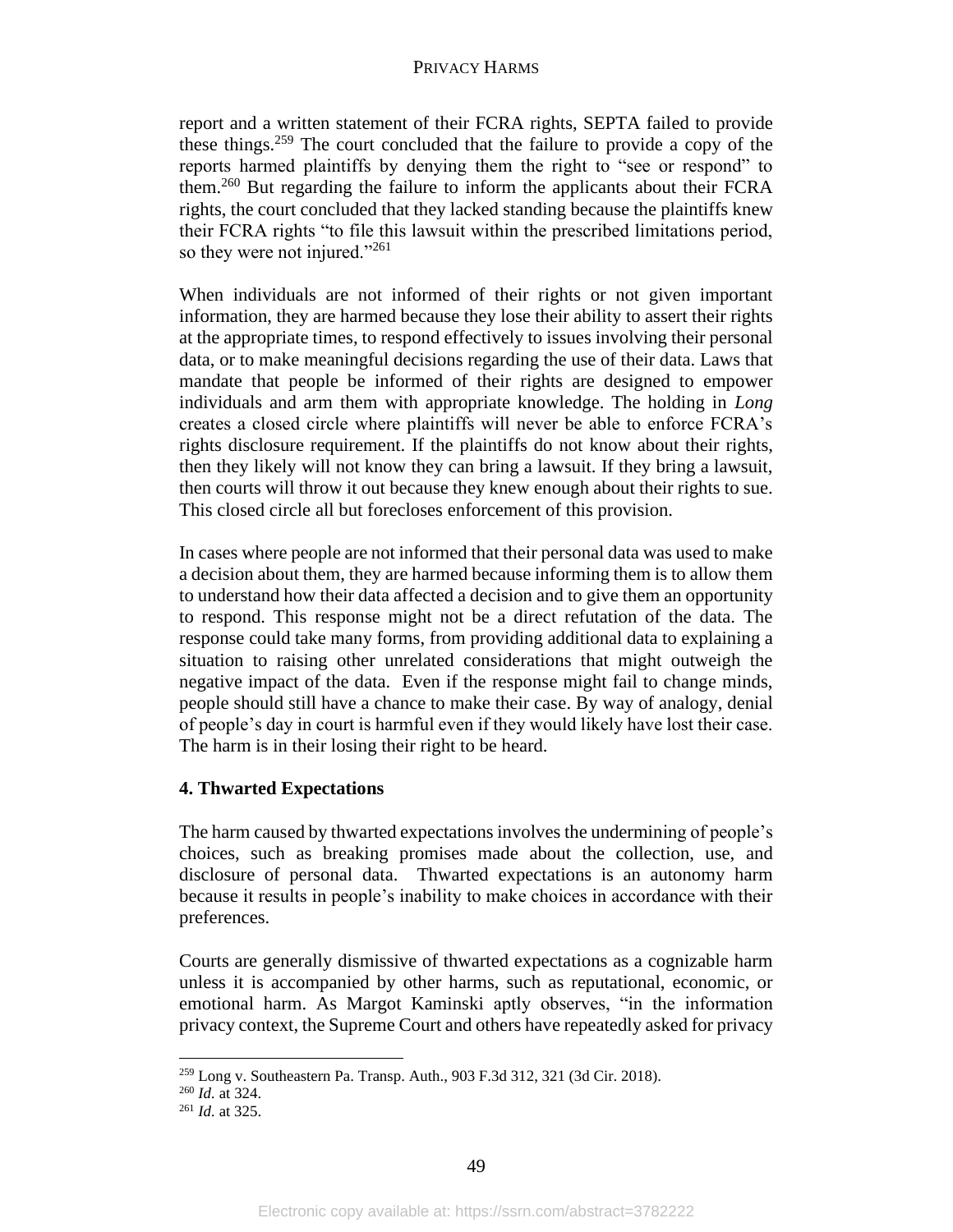report and a written statement of their FCRA rights, SEPTA failed to provide these things.<sup>259</sup> The court concluded that the failure to provide a copy of the reports harmed plaintiffs by denying them the right to "see or respond" to them.<sup>260</sup> But regarding the failure to inform the applicants about their FCRA rights, the court concluded that they lacked standing because the plaintiffs knew their FCRA rights "to file this lawsuit within the prescribed limitations period, so they were not injured."<sup>261</sup>

When individuals are not informed of their rights or not given important information, they are harmed because they lose their ability to assert their rights at the appropriate times, to respond effectively to issues involving their personal data, or to make meaningful decisions regarding the use of their data. Laws that mandate that people be informed of their rights are designed to empower individuals and arm them with appropriate knowledge. The holding in *Long* creates a closed circle where plaintiffs will never be able to enforce FCRA's rights disclosure requirement. If the plaintiffs do not know about their rights, then they likely will not know they can bring a lawsuit. If they bring a lawsuit, then courts will throw it out because they knew enough about their rights to sue. This closed circle all but forecloses enforcement of this provision.

In cases where people are not informed that their personal data was used to make a decision about them, they are harmed because informing them is to allow them to understand how their data affected a decision and to give them an opportunity to respond. This response might not be a direct refutation of the data. The response could take many forms, from providing additional data to explaining a situation to raising other unrelated considerations that might outweigh the negative impact of the data. Even if the response might fail to change minds, people should still have a chance to make their case. By way of analogy, denial of people's day in court is harmful even if they would likely have lost their case. The harm is in their losing their right to be heard.

# **4. Thwarted Expectations**

The harm caused by thwarted expectations involves the undermining of people's choices, such as breaking promises made about the collection, use, and disclosure of personal data. Thwarted expectations is an autonomy harm because it results in people's inability to make choices in accordance with their preferences.

Courts are generally dismissive of thwarted expectations as a cognizable harm unless it is accompanied by other harms, such as reputational, economic, or emotional harm. As Margot Kaminski aptly observes, "in the information privacy context, the Supreme Court and others have repeatedly asked for privacy

<sup>259</sup> Long v. Southeastern Pa. Transp. Auth., 903 F.3d 312, 321 (3d Cir. 2018).

<sup>260</sup> *Id.* at 324.

<sup>261</sup> *Id.* at 325.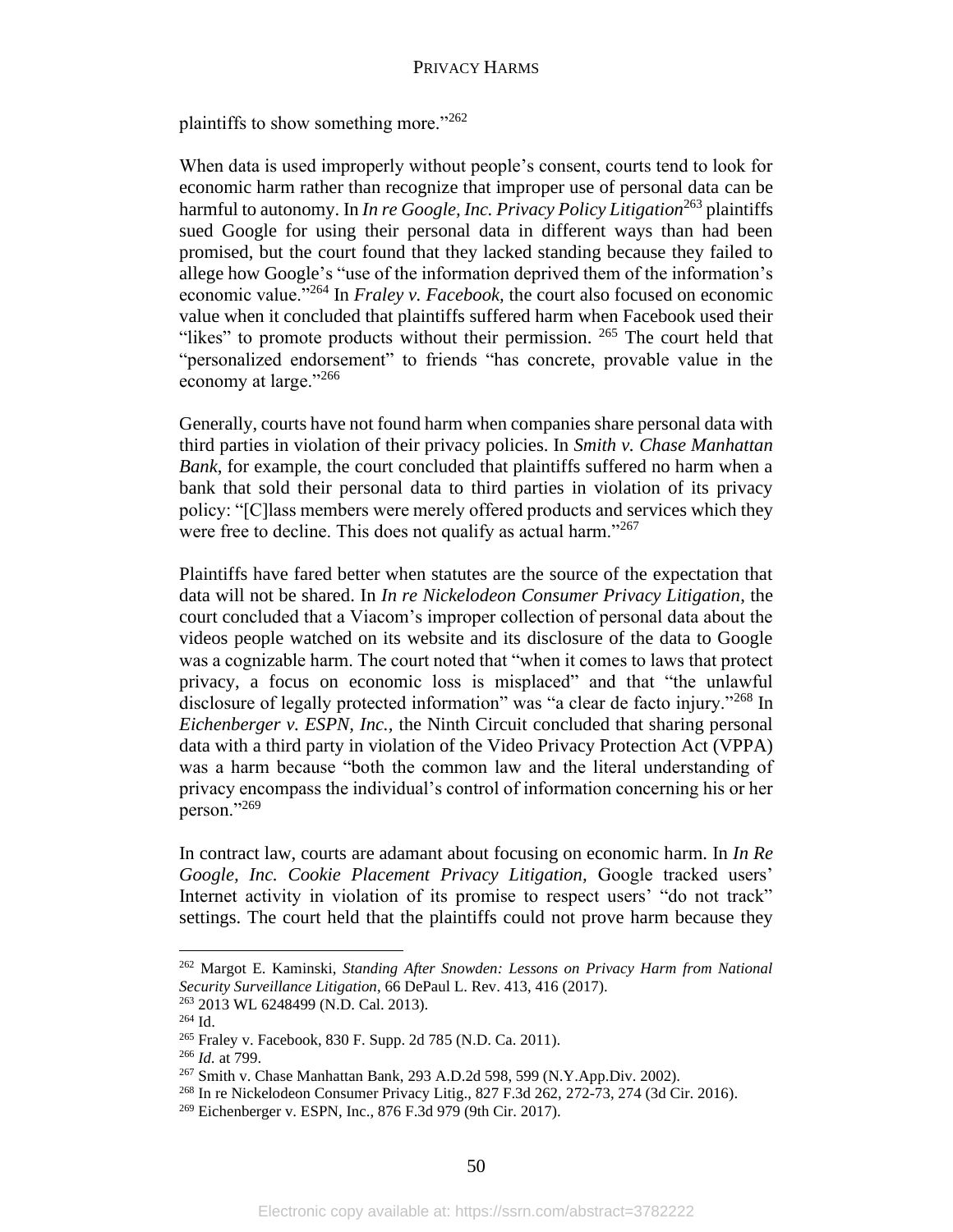plaintiffs to show something more."262

When data is used improperly without people's consent, courts tend to look for economic harm rather than recognize that improper use of personal data can be harmful to autonomy. In *In re Google, Inc. Privacy Policy Litigation*<sup>263</sup> plaintiffs sued Google for using their personal data in different ways than had been promised, but the court found that they lacked standing because they failed to allege how Google's "use of the information deprived them of the information's economic value."<sup>264</sup> In *Fraley v. Facebook,* the court also focused on economic value when it concluded that plaintiffs suffered harm when Facebook used their "likes" to promote products without their permission. <sup>265</sup> The court held that "personalized endorsement" to friends "has concrete, provable value in the economy at large."<sup>266</sup>

Generally, courts have not found harm when companies share personal data with third parties in violation of their privacy policies. In *Smith v. Chase Manhattan Bank*, for example, the court concluded that plaintiffs suffered no harm when a bank that sold their personal data to third parties in violation of its privacy policy: "[C]lass members were merely offered products and services which they were free to decline. This does not qualify as actual harm."<sup>267</sup>

Plaintiffs have fared better when statutes are the source of the expectation that data will not be shared. In *In re Nickelodeon Consumer Privacy Litigation*, the court concluded that a Viacom's improper collection of personal data about the videos people watched on its website and its disclosure of the data to Google was a cognizable harm. The court noted that "when it comes to laws that protect privacy, a focus on economic loss is misplaced" and that "the unlawful disclosure of legally protected information" was "a clear de facto injury."<sup>268</sup> In *Eichenberger v. ESPN, Inc.,* the Ninth Circuit concluded that sharing personal data with a third party in violation of the Video Privacy Protection Act (VPPA) was a harm because "both the common law and the literal understanding of privacy encompass the individual's control of information concerning his or her person."<sup>269</sup>

In contract law, courts are adamant about focusing on economic harm. In *In Re Google, Inc. Cookie Placement Privacy Litigation,* Google tracked users' Internet activity in violation of its promise to respect users' "do not track" settings. The court held that the plaintiffs could not prove harm because they

<sup>262</sup> Margot E. Kaminski, *Standing After Snowden: Lessons on Privacy Harm from National Security Surveillance Litigation*, 66 DePaul L. Rev. 413, 416 (2017).

<sup>263</sup> 2013 WL 6248499 (N.D. Cal. 2013).

<sup>264</sup> Id.

<sup>265</sup> Fraley v. Facebook, 830 F. Supp. 2d 785 (N.D. Ca. 2011).

<sup>266</sup> *Id.* at 799.

<sup>267</sup> Smith v. Chase Manhattan Bank, 293 A.D.2d 598, 599 (N.Y.App.Div. 2002).

<sup>268</sup> In re Nickelodeon Consumer Privacy Litig., 827 F.3d 262, 272-73, 274 (3d Cir. 2016).

<sup>269</sup> Eichenberger v. ESPN, Inc., 876 F.3d 979 (9th Cir. 2017).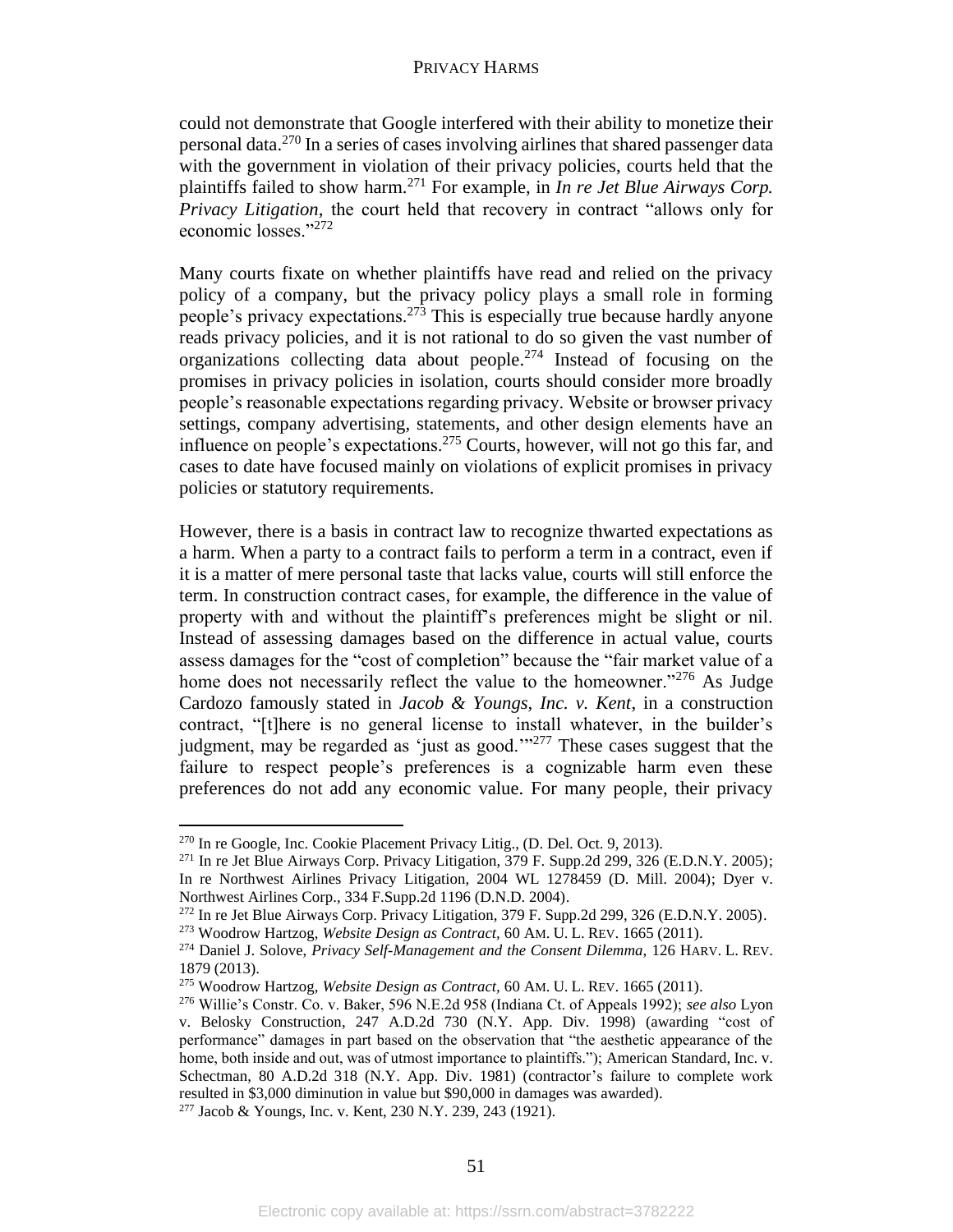could not demonstrate that Google interfered with their ability to monetize their personal data.<sup>270</sup> In a series of cases involving airlines that shared passenger data with the government in violation of their privacy policies, courts held that the plaintiffs failed to show harm.<sup>271</sup> For example, in *In re Jet Blue Airways Corp. Privacy Litigation,* the court held that recovery in contract "allows only for economic losses."<sup>272</sup>

Many courts fixate on whether plaintiffs have read and relied on the privacy policy of a company, but the privacy policy plays a small role in forming people's privacy expectations.<sup>273</sup> This is especially true because hardly anyone reads privacy policies, and it is not rational to do so given the vast number of organizations collecting data about people.<sup>274</sup> Instead of focusing on the promises in privacy policies in isolation, courts should consider more broadly people's reasonable expectations regarding privacy. Website or browser privacy settings, company advertising, statements, and other design elements have an influence on people's expectations.<sup>275</sup> Courts, however, will not go this far, and cases to date have focused mainly on violations of explicit promises in privacy policies or statutory requirements.

However, there is a basis in contract law to recognize thwarted expectations as a harm. When a party to a contract fails to perform a term in a contract, even if it is a matter of mere personal taste that lacks value, courts will still enforce the term. In construction contract cases, for example, the difference in the value of property with and without the plaintiff's preferences might be slight or nil. Instead of assessing damages based on the difference in actual value, courts assess damages for the "cost of completion" because the "fair market value of a home does not necessarily reflect the value to the homeowner."<sup>276</sup> As Judge Cardozo famously stated in *Jacob & Youngs, Inc. v. Kent*, in a construction contract, "[t]here is no general license to install whatever, in the builder's judgment, may be regarded as 'just as good.'"<sup>277</sup> These cases suggest that the failure to respect people's preferences is a cognizable harm even these preferences do not add any economic value. For many people, their privacy

<sup>270</sup> In re Google, Inc. Cookie Placement Privacy Litig., (D. Del. Oct. 9, 2013).

<sup>&</sup>lt;sup>271</sup> In re Jet Blue Airways Corp. Privacy Litigation, 379 F. Supp.2d 299, 326 (E.D.N.Y. 2005); In re Northwest Airlines Privacy Litigation, 2004 WL 1278459 (D. Mill. 2004); Dyer v. Northwest Airlines Corp., 334 F.Supp.2d 1196 (D.N.D. 2004).

<sup>272</sup> In re Jet Blue Airways Corp. Privacy Litigation, 379 F. Supp.2d 299, 326 (E.D.N.Y. 2005).

<sup>273</sup> Woodrow Hartzog, *Website Design as Contract,* 60 AM. U. L. REV. 1665 (2011).

<sup>274</sup> Daniel J. Solove, *Privacy Self-Management and the Consent Dilemma,* 126 HARV. L. REV. 1879 (2013).

<sup>275</sup> Woodrow Hartzog, *Website Design as Contract,* 60 AM. U. L. REV. 1665 (2011).

<sup>276</sup> Willie's Constr. Co. v. Baker, 596 N.E.2d 958 (Indiana Ct. of Appeals 1992); *see also* Lyon v. Belosky Construction, 247 A.D.2d 730 (N.Y. App. Div. 1998) (awarding "cost of performance" damages in part based on the observation that "the aesthetic appearance of the home, both inside and out, was of utmost importance to plaintiffs."); American Standard, Inc. v. Schectman, 80 A.D.2d 318 (N.Y. App. Div. 1981) (contractor's failure to complete work resulted in \$3,000 diminution in value but \$90,000 in damages was awarded).

<sup>277</sup> Jacob & Youngs, Inc. v. Kent, 230 N.Y. 239, 243 (1921).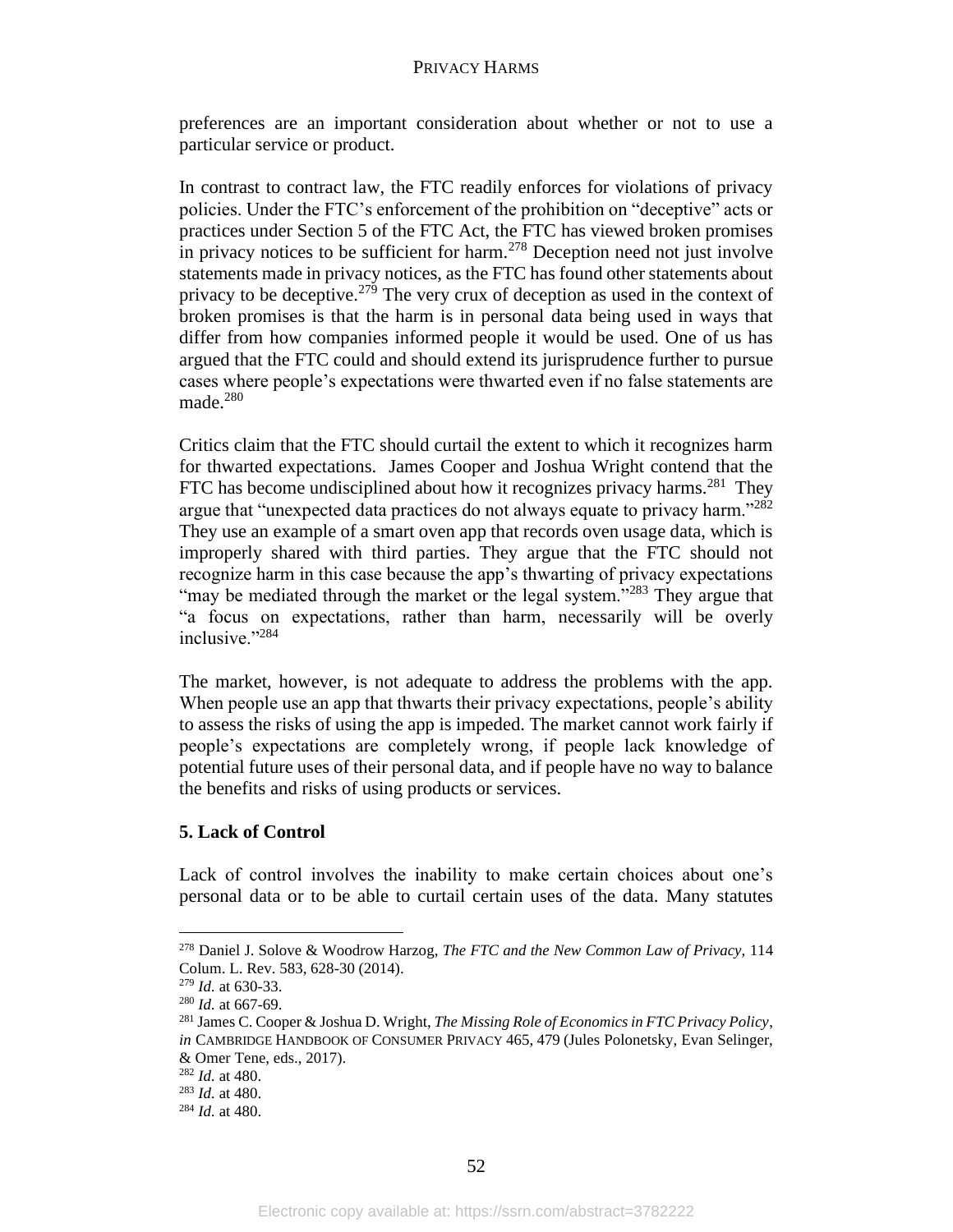preferences are an important consideration about whether or not to use a particular service or product.

In contrast to contract law, the FTC readily enforces for violations of privacy policies. Under the FTC's enforcement of the prohibition on "deceptive" acts or practices under Section 5 of the FTC Act, the FTC has viewed broken promises in privacy notices to be sufficient for harm.<sup>278</sup> Deception need not just involve statements made in privacy notices, as the FTC has found other statements about privacy to be deceptive.<sup>279</sup> The very crux of deception as used in the context of broken promises is that the harm is in personal data being used in ways that differ from how companies informed people it would be used. One of us has argued that the FTC could and should extend its jurisprudence further to pursue cases where people's expectations were thwarted even if no false statements are made.<sup>280</sup>

Critics claim that the FTC should curtail the extent to which it recognizes harm for thwarted expectations. James Cooper and Joshua Wright contend that the FTC has become undisciplined about how it recognizes privacy harms.<sup>281</sup> They argue that "unexpected data practices do not always equate to privacy harm."<sup>282</sup> They use an example of a smart oven app that records oven usage data, which is improperly shared with third parties. They argue that the FTC should not recognize harm in this case because the app's thwarting of privacy expectations "may be mediated through the market or the legal system."<sup>283</sup> They argue that "a focus on expectations, rather than harm, necessarily will be overly inclusive."284

The market, however, is not adequate to address the problems with the app. When people use an app that thwarts their privacy expectations, people's ability to assess the risks of using the app is impeded. The market cannot work fairly if people's expectations are completely wrong, if people lack knowledge of potential future uses of their personal data, and if people have no way to balance the benefits and risks of using products or services.

# **5. Lack of Control**

Lack of control involves the inability to make certain choices about one's personal data or to be able to curtail certain uses of the data. Many statutes

<sup>278</sup> Daniel J. Solove & Woodrow Harzog, *The FTC and the New Common Law of Privacy,* 114 Colum. L. Rev. 583, 628-30 (2014).

<sup>279</sup> *Id.* at 630-33.

<sup>280</sup> *Id.* at 667-69.

<sup>281</sup> James C. Cooper & Joshua D. Wright, *The Missing Role of Economics in FTC Privacy Policy*, *in* CAMBRIDGE HANDBOOK OF CONSUMER PRIVACY 465, 479 (Jules Polonetsky, Evan Selinger, & Omer Tene, eds., 2017).

<sup>282</sup> *Id.* at 480.

<sup>283</sup> *Id.* at 480.

<sup>284</sup> *Id.* at 480.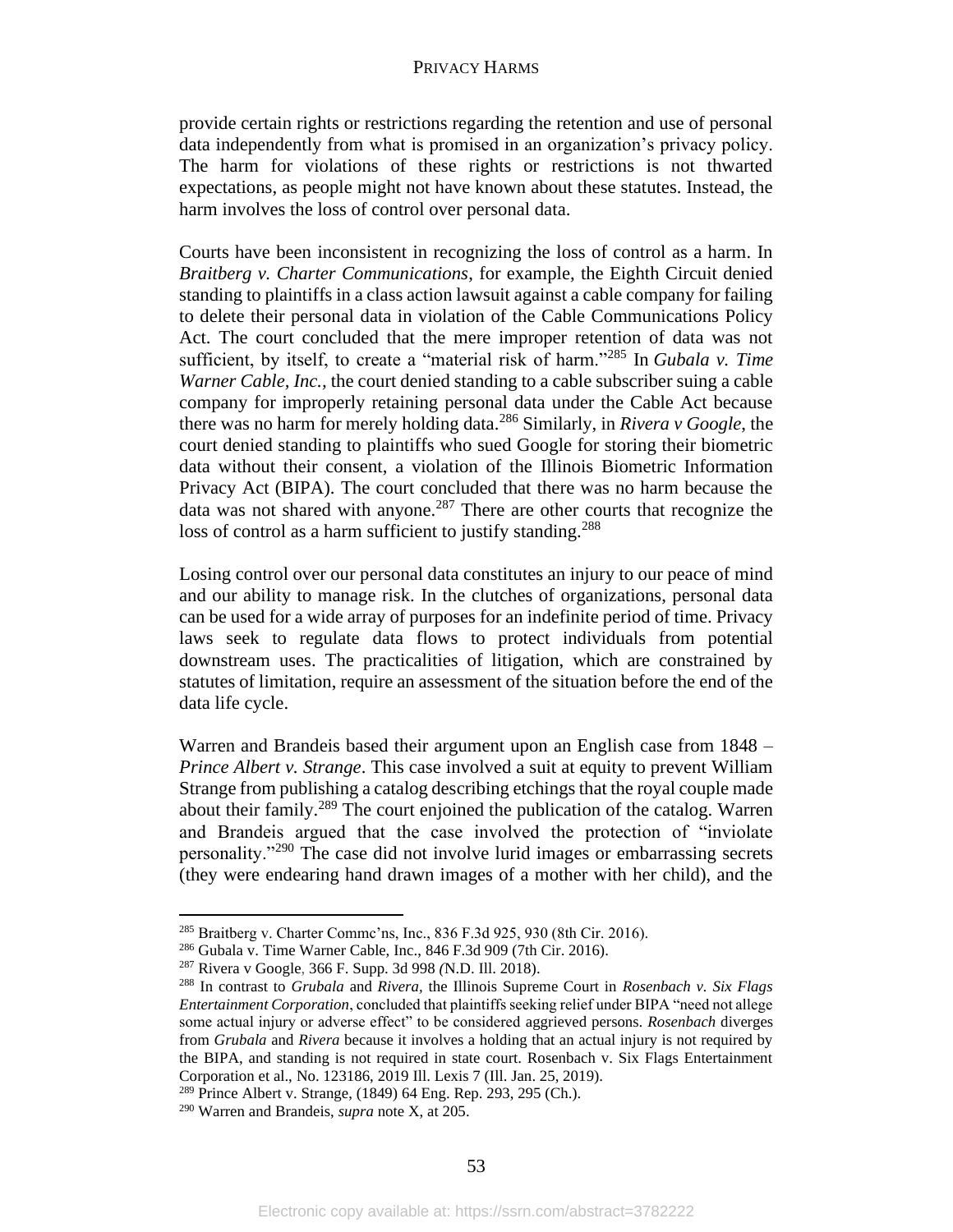provide certain rights or restrictions regarding the retention and use of personal data independently from what is promised in an organization's privacy policy. The harm for violations of these rights or restrictions is not thwarted expectations, as people might not have known about these statutes. Instead, the harm involves the loss of control over personal data.

Courts have been inconsistent in recognizing the loss of control as a harm. In *Braitberg v. Charter Communications*, for example, the Eighth Circuit denied standing to plaintiffs in a class action lawsuit against a cable company for failing to delete their personal data in violation of the Cable Communications Policy Act. The court concluded that the mere improper retention of data was not sufficient, by itself, to create a "material risk of harm."<sup>285</sup> In *Gubala v. Time Warner Cable, Inc.,* the court denied standing to a cable subscriber suing a cable company for improperly retaining personal data under the Cable Act because there was no harm for merely holding data.<sup>286</sup> Similarly, in *Rivera v Google*, the court denied standing to plaintiffs who sued Google for storing their biometric data without their consent, a violation of the Illinois Biometric Information Privacy Act (BIPA). The court concluded that there was no harm because the data was not shared with anyone.<sup>287</sup> There are other courts that recognize the loss of control as a harm sufficient to justify standing.<sup>288</sup>

Losing control over our personal data constitutes an injury to our peace of mind and our ability to manage risk. In the clutches of organizations, personal data can be used for a wide array of purposes for an indefinite period of time. Privacy laws seek to regulate data flows to protect individuals from potential downstream uses. The practicalities of litigation, which are constrained by statutes of limitation, require an assessment of the situation before the end of the data life cycle.

Warren and Brandeis based their argument upon an English case from 1848 – *Prince Albert v. Strange*. This case involved a suit at equity to prevent William Strange from publishing a catalog describing etchings that the royal couple made about their family.<sup>289</sup> The court enjoined the publication of the catalog. Warren and Brandeis argued that the case involved the protection of "inviolate personality."<sup>290</sup> The case did not involve lurid images or embarrassing secrets (they were endearing hand drawn images of a mother with her child), and the

<sup>285</sup> Braitberg v. Charter Commc'ns, Inc., 836 F.3d 925, 930 (8th Cir. 2016).

<sup>286</sup> Gubala v. Time Warner Cable, Inc., 846 F.3d 909 (7th Cir. 2016).

<sup>287</sup> Rivera v Google, 366 F. Supp. 3d 998 *(*N.D. Ill. 2018).

<sup>288</sup> In contrast to *Grubala* and *Rivera,* the Illinois Supreme Court in *Rosenbach v. Six Flags Entertainment Corporation*, concluded that plaintiffs seeking relief under BIPA "need not allege some actual injury or adverse effect" to be considered aggrieved persons. *Rosenbach* diverges from *Grubala* and *Rivera* because it involves a holding that an actual injury is not required by the BIPA, and standing is not required in state court. Rosenbach v. Six Flags Entertainment Corporation et al., No. 123186, 2019 Ill. Lexis 7 (Ill. Jan. 25, 2019).

<sup>289</sup> Prince Albert v. Strange, (1849) 64 Eng. Rep. 293, 295 (Ch.).

<sup>290</sup> Warren and Brandeis, *supra* note X, at 205.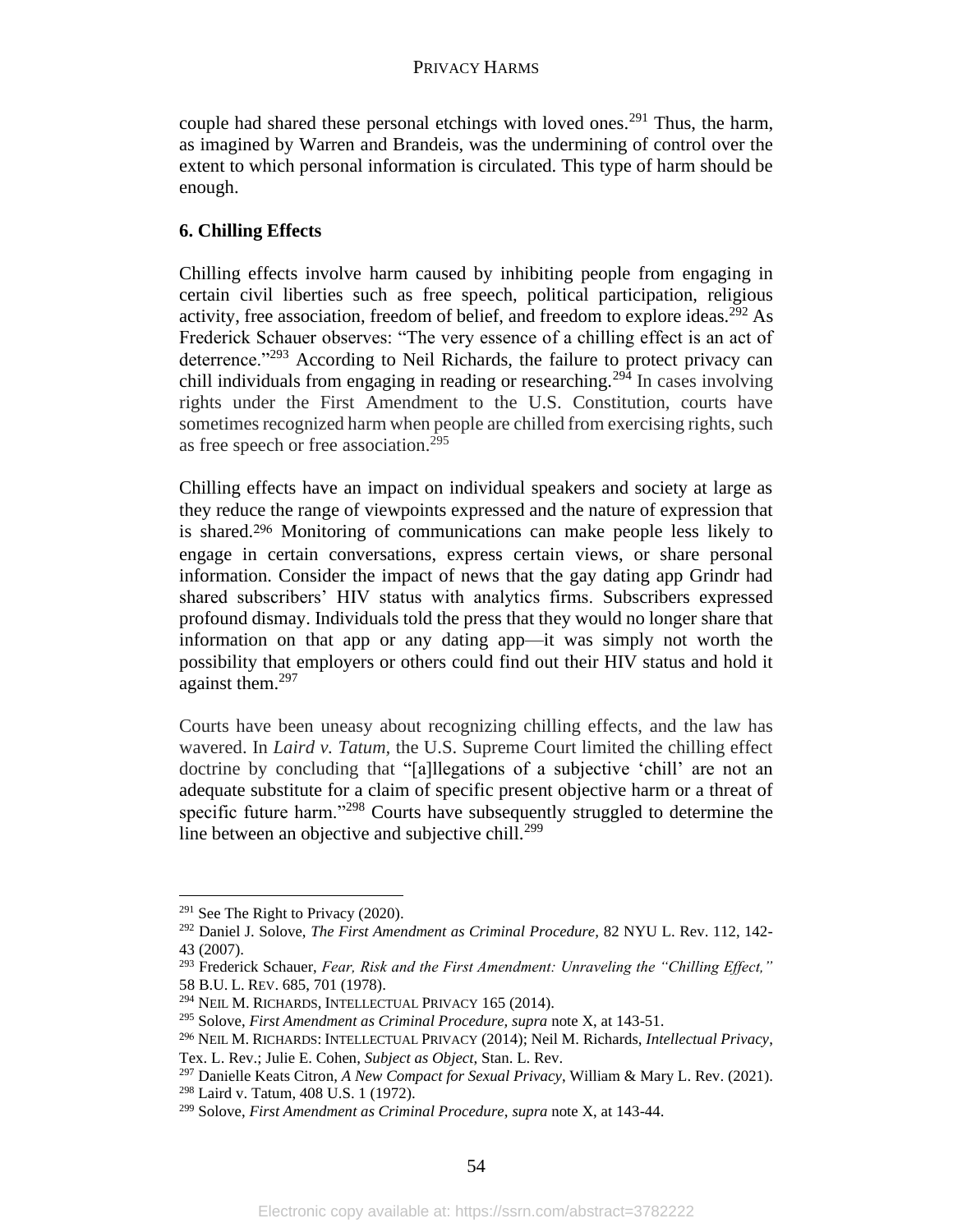couple had shared these personal etchings with loved ones.<sup>291</sup> Thus, the harm, as imagined by Warren and Brandeis, was the undermining of control over the extent to which personal information is circulated. This type of harm should be enough.

# **6. Chilling Effects**

Chilling effects involve harm caused by inhibiting people from engaging in certain civil liberties such as free speech, political participation, religious activity, free association, freedom of belief, and freedom to explore ideas.<sup>292</sup> As Frederick Schauer observes: "The very essence of a chilling effect is an act of deterrence."<sup>293</sup> According to Neil Richards, the failure to protect privacy can chill individuals from engaging in reading or researching.<sup>294</sup> In cases involving rights under the First Amendment to the U.S. Constitution, courts have sometimes recognized harm when people are chilled from exercising rights, such as free speech or free association.<sup>295</sup>

Chilling effects have an impact on individual speakers and society at large as they reduce the range of viewpoints expressed and the nature of expression that is shared.<sup>296</sup> Monitoring of communications can make people less likely to engage in certain conversations, express certain views, or share personal information. Consider the impact of news that the gay dating app Grindr had shared subscribers' HIV status with analytics firms. Subscribers expressed profound dismay. Individuals told the press that they would no longer share that information on that app or any dating app—it was simply not worth the possibility that employers or others could find out their HIV status and hold it against them.<sup>297</sup>

Courts have been uneasy about recognizing chilling effects, and the law has wavered. In *Laird v. Tatum,* the U.S. Supreme Court limited the chilling effect doctrine by concluding that "[a]llegations of a subjective 'chill' are not an adequate substitute for a claim of specific present objective harm or a threat of specific future harm."<sup>298</sup> Courts have subsequently struggled to determine the line between an objective and subjective chill.<sup>299</sup>

 $291$  See The Right to Privacy (2020).

<sup>292</sup> Daniel J. Solove, *The First Amendment as Criminal Procedure,* 82 NYU L. Rev. 112, 142- 43 (2007).

<sup>293</sup> Frederick Schauer, *Fear, Risk and the First Amendment: Unraveling the "Chilling Effect,"*  58 B.U. L. REV. 685, 701 (1978).

<sup>294</sup> NEIL M. RICHARDS, INTELLECTUAL PRIVACY 165 (2014).

<sup>295</sup> Solove, *First Amendment as Criminal Procedure, supra* note X, at 143-51.

<sup>296</sup> NEIL M. RICHARDS: INTELLECTUAL PRIVACY (2014); Neil M. Richards, *Intellectual Privacy*, Tex. L. Rev.; Julie E. Cohen, *Subject as Object*, Stan. L. Rev.

<sup>297</sup> Danielle Keats Citron, *A New Compact for Sexual Privacy*, William & Mary L. Rev. (2021).

<sup>298</sup> Laird v. Tatum, 408 U.S. 1 (1972).

<sup>299</sup> Solove, *First Amendment as Criminal Procedure*, *supra* note X, at 143-44.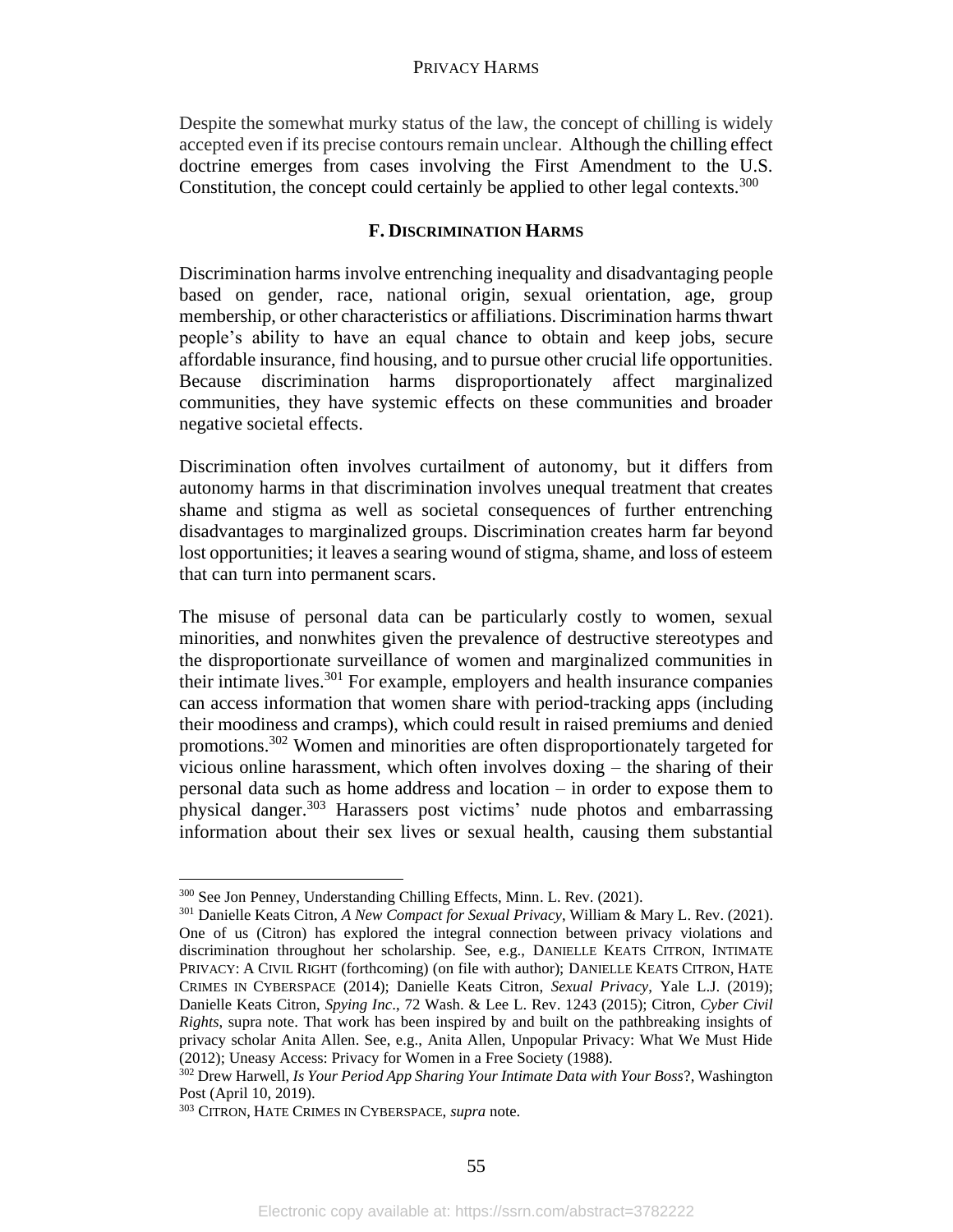Despite the somewhat murky status of the law, the concept of chilling is widely accepted even if its precise contours remain unclear. Although the chilling effect doctrine emerges from cases involving the First Amendment to the U.S. Constitution, the concept could certainly be applied to other legal contexts.<sup>300</sup>

# **F. DISCRIMINATION HARMS**

Discrimination harms involve entrenching inequality and disadvantaging people based on gender, race, national origin, sexual orientation, age, group membership, or other characteristics or affiliations. Discrimination harms thwart people's ability to have an equal chance to obtain and keep jobs, secure affordable insurance, find housing, and to pursue other crucial life opportunities. Because discrimination harms disproportionately affect marginalized communities, they have systemic effects on these communities and broader negative societal effects.

Discrimination often involves curtailment of autonomy, but it differs from autonomy harms in that discrimination involves unequal treatment that creates shame and stigma as well as societal consequences of further entrenching disadvantages to marginalized groups. Discrimination creates harm far beyond lost opportunities; it leaves a searing wound of stigma, shame, and loss of esteem that can turn into permanent scars.

The misuse of personal data can be particularly costly to women, sexual minorities, and nonwhites given the prevalence of destructive stereotypes and the disproportionate surveillance of women and marginalized communities in their intimate lives.<sup>301</sup> For example, employers and health insurance companies can access information that women share with period-tracking apps (including their moodiness and cramps), which could result in raised premiums and denied promotions.<sup>302</sup> Women and minorities are often disproportionately targeted for vicious online harassment, which often involves doxing – the sharing of their personal data such as home address and location – in order to expose them to physical danger.<sup>303</sup> Harassers post victims' nude photos and embarrassing information about their sex lives or sexual health, causing them substantial

<sup>300</sup> See Jon Penney, Understanding Chilling Effects, Minn. L. Rev. (2021).

<sup>301</sup> Danielle Keats Citron, *A New Compact for Sexual Privacy*, William & Mary L. Rev. (2021). One of us (Citron) has explored the integral connection between privacy violations and discrimination throughout her scholarship. See, e.g., DANIELLE KEATS CITRON, INTIMATE PRIVACY: A CIVIL RIGHT (forthcoming) (on file with author); DANIELLE KEATS CITRON, HATE CRIMES IN CYBERSPACE (2014); Danielle Keats Citron, *Sexual Privacy*, Yale L.J. (2019); Danielle Keats Citron, *Spying Inc*., 72 Wash. & Lee L. Rev. 1243 (2015); Citron, *Cyber Civil Rights*, supra note. That work has been inspired by and built on the pathbreaking insights of privacy scholar Anita Allen. See, e.g., Anita Allen, Unpopular Privacy: What We Must Hide (2012); Uneasy Access: Privacy for Women in a Free Society (1988).

<sup>302</sup> Drew Harwell, *Is Your Period App Sharing Your Intimate Data with Your Boss*?, Washington Post (April 10, 2019).

<sup>303</sup> CITRON, HATE CRIMES IN CYBERSPACE, *supra* note.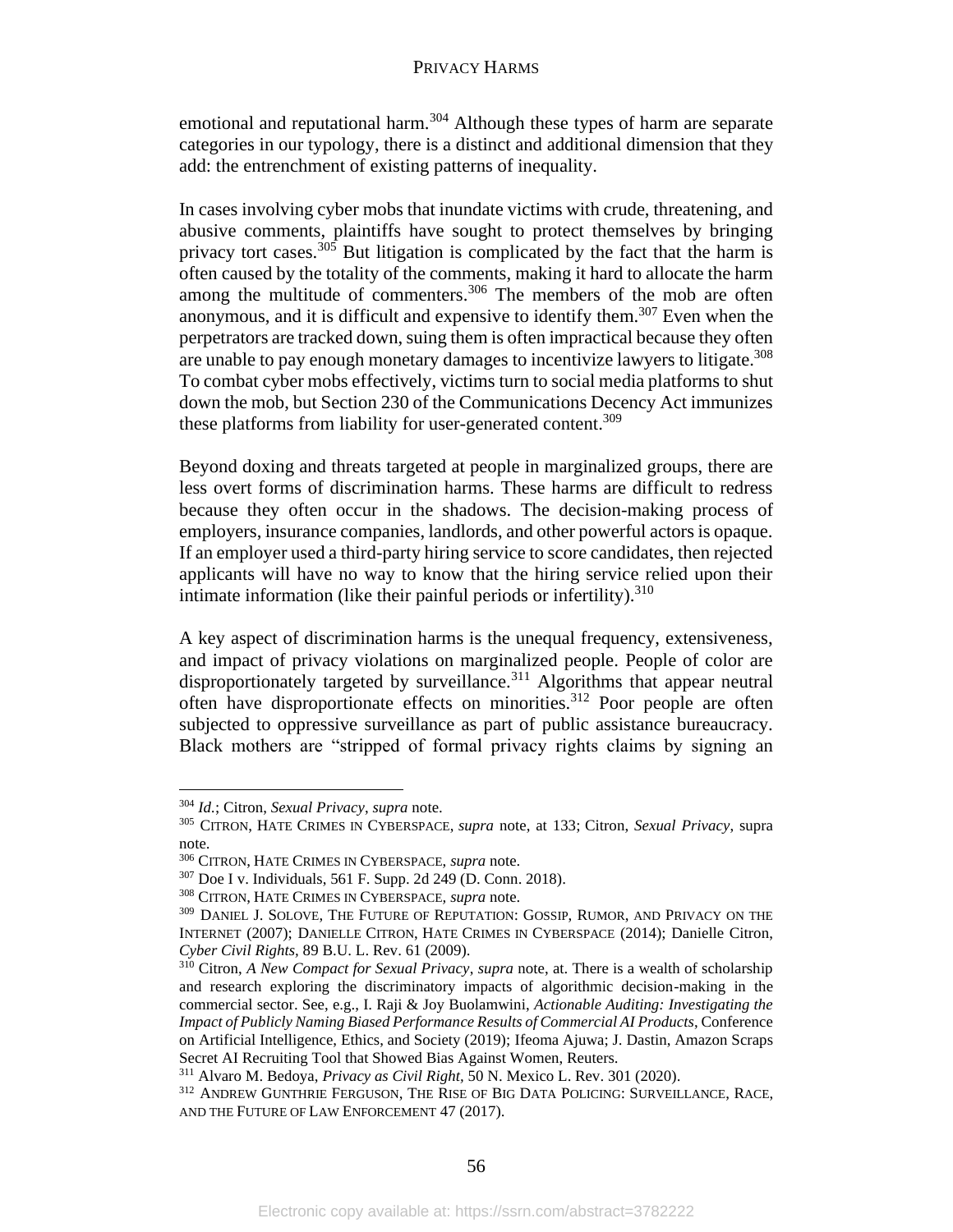emotional and reputational harm.<sup>304</sup> Although these types of harm are separate categories in our typology, there is a distinct and additional dimension that they add: the entrenchment of existing patterns of inequality.

In cases involving cyber mobs that inundate victims with crude, threatening, and abusive comments, plaintiffs have sought to protect themselves by bringing privacy tort cases.<sup>305</sup> But litigation is complicated by the fact that the harm is often caused by the totality of the comments, making it hard to allocate the harm among the multitude of commenters.<sup>306</sup> The members of the mob are often anonymous, and it is difficult and expensive to identify them.<sup>307</sup> Even when the perpetrators are tracked down, suing them is often impractical because they often are unable to pay enough monetary damages to incentivize lawyers to litigate. 308 To combat cyber mobs effectively, victims turn to social media platforms to shut down the mob, but Section 230 of the Communications Decency Act immunizes these platforms from liability for user-generated content.<sup>309</sup>

Beyond doxing and threats targeted at people in marginalized groups, there are less overt forms of discrimination harms. These harms are difficult to redress because they often occur in the shadows. The decision-making process of employers, insurance companies, landlords, and other powerful actors is opaque. If an employer used a third-party hiring service to score candidates, then rejected applicants will have no way to know that the hiring service relied upon their intimate information (like their painful periods or infertility). $310$ 

A key aspect of discrimination harms is the unequal frequency, extensiveness, and impact of privacy violations on marginalized people. People of color are disproportionately targeted by surveillance.<sup>311</sup> Algorithms that appear neutral often have disproportionate effects on minorities.<sup>312</sup> Poor people are often subjected to oppressive surveillance as part of public assistance bureaucracy. Black mothers are "stripped of formal privacy rights claims by signing an

<sup>304</sup> *Id.*; Citron, *Sexual Privacy*, *supra* note.

<sup>305</sup> CITRON, HATE CRIMES IN CYBERSPACE, *supra* note, at 133; Citron, *Sexual Privacy*, supra note.

<sup>306</sup> CITRON, HATE CRIMES IN CYBERSPACE, *supra* note.

<sup>307</sup> Doe I v. Individuals, 561 F. Supp. 2d 249 (D. Conn. 2018).

<sup>308</sup> CITRON, HATE CRIMES IN CYBERSPACE*, supra* note.

<sup>309</sup> DANIEL J. SOLOVE, THE FUTURE OF REPUTATION: GOSSIP, RUMOR, AND PRIVACY ON THE INTERNET (2007); DANIELLE CITRON, HATE CRIMES IN CYBERSPACE (2014); Danielle Citron, *Cyber Civil Rights,* 89 B.U. L. Rev. 61 (2009).

<sup>310</sup> Citron, *A New Compact for Sexual Privacy*, *supra* note, at. There is a wealth of scholarship and research exploring the discriminatory impacts of algorithmic decision-making in the commercial sector. See, e.g., I. Raji & Joy Buolamwini, *Actionable Auditing: Investigating the Impact of Publicly Naming Biased Performance Results of Commercial AI Products*, Conference on Artificial Intelligence, Ethics, and Society (2019); Ifeoma Ajuwa; J. Dastin, Amazon Scraps Secret AI Recruiting Tool that Showed Bias Against Women, Reuters.

<sup>311</sup> Alvaro M. Bedoya, *Privacy as Civil Right,* 50 N. Mexico L. Rev. 301 (2020).

<sup>312</sup> ANDREW GUNTHRIE FERGUSON, THE RISE OF BIG DATA POLICING: SURVEILLANCE, RACE, AND THE FUTURE OF LAW ENFORCEMENT 47 (2017).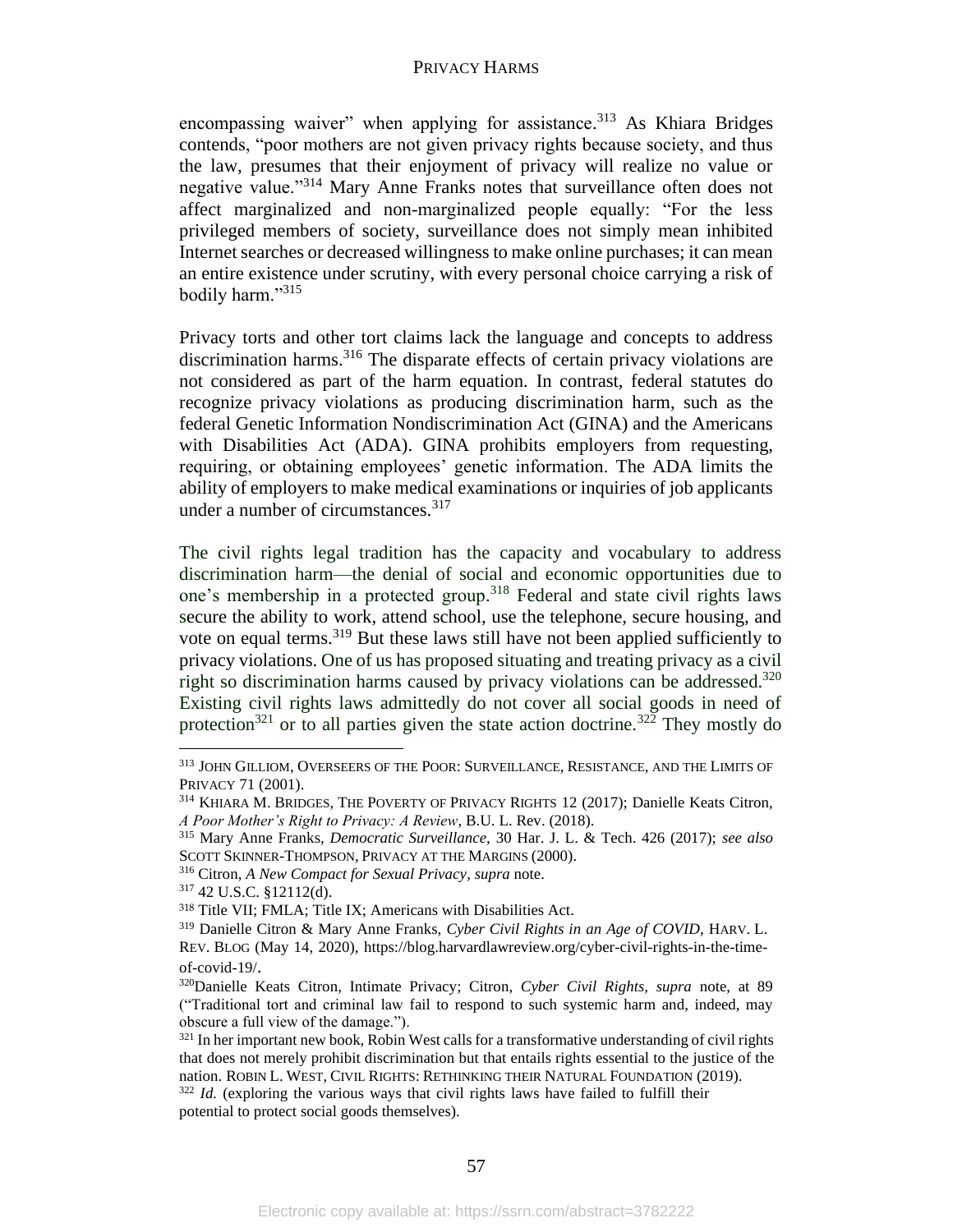encompassing waiver" when applying for assistance.<sup>313</sup> As Khiara Bridges contends, "poor mothers are not given privacy rights because society, and thus the law, presumes that their enjoyment of privacy will realize no value or negative value."<sup>314</sup> Mary Anne Franks notes that surveillance often does not affect marginalized and non-marginalized people equally: "For the less privileged members of society, surveillance does not simply mean inhibited Internet searches or decreased willingness to make online purchases; it can mean an entire existence under scrutiny, with every personal choice carrying a risk of bodily harm."<sup>315</sup>

Privacy torts and other tort claims lack the language and concepts to address discrimination harms.<sup>316</sup> The disparate effects of certain privacy violations are not considered as part of the harm equation. In contrast, federal statutes do recognize privacy violations as producing discrimination harm, such as the federal Genetic Information Nondiscrimination Act (GINA) and the Americans with Disabilities Act (ADA). GINA prohibits employers from requesting, requiring, or obtaining employees' genetic information. The ADA limits the ability of employers to make medical examinations or inquiries of job applicants under a number of circumstances.<sup>317</sup>

The civil rights legal tradition has the capacity and vocabulary to address discrimination harm—the denial of social and economic opportunities due to one's membership in a protected group. <sup>318</sup> Federal and state civil rights laws secure the ability to work, attend school, use the telephone, secure housing, and vote on equal terms.<sup>319</sup> But these laws still have not been applied sufficiently to privacy violations. One of us has proposed situating and treating privacy as a civil right so discrimination harms caused by privacy violations can be addressed. 320 Existing civil rights laws admittedly do not cover all social goods in need of protection<sup>321</sup> or to all parties given the state action doctrine.<sup>322</sup> They mostly do

<sup>313</sup> JOHN GILLIOM, OVERSEERS OF THE POOR: SURVEILLANCE, RESISTANCE, AND THE LIMITS OF PRIVACY 71 (2001).

<sup>&</sup>lt;sup>314</sup> KHIARA M. BRIDGES, THE POVERTY OF PRIVACY RIGHTS 12 (2017); Danielle Keats Citron, *A Poor Mother's Right to Privacy: A Review*, B.U. L. Rev. (2018).

<sup>315</sup> Mary Anne Franks, *Democratic Surveillance,* 30 Har. J. L. & Tech. 426 (2017); *see also*  SCOTT SKINNER-THOMPSON, PRIVACY AT THE MARGINS (2000).

<sup>316</sup> Citron, *A New Compact for Sexual Privacy*, *supra* note.

<sup>317</sup> 42 U.S.C. §12112(d).

<sup>318</sup> Title VII; FMLA; Title IX; Americans with Disabilities Act.

<sup>319</sup> Danielle Citron & Mary Anne Franks, *Cyber Civil Rights in an Age of COVID*, HARV. L. REV. BLOG (May 14, 2020), https://blog.harvardlawreview.org/cyber-civil-rights-in-the-timeof-covid-19/.

<sup>320</sup>Danielle Keats Citron, Intimate Privacy; Citron, *Cyber Civil Rights, supra* note, at 89 ("Traditional tort and criminal law fail to respond to such systemic harm and, indeed, may obscure a full view of the damage.").

<sup>&</sup>lt;sup>321</sup> In her important new book, Robin West calls for a transformative understanding of civil rights that does not merely prohibit discrimination but that entails rights essential to the justice of the nation. ROBIN L. WEST, CIVIL RIGHTS: RETHINKING THEIR NATURAL FOUNDATION (2019). <sup>322</sup> *Id.* (exploring the various ways that civil rights laws have failed to fulfill their

potential to protect social goods themselves).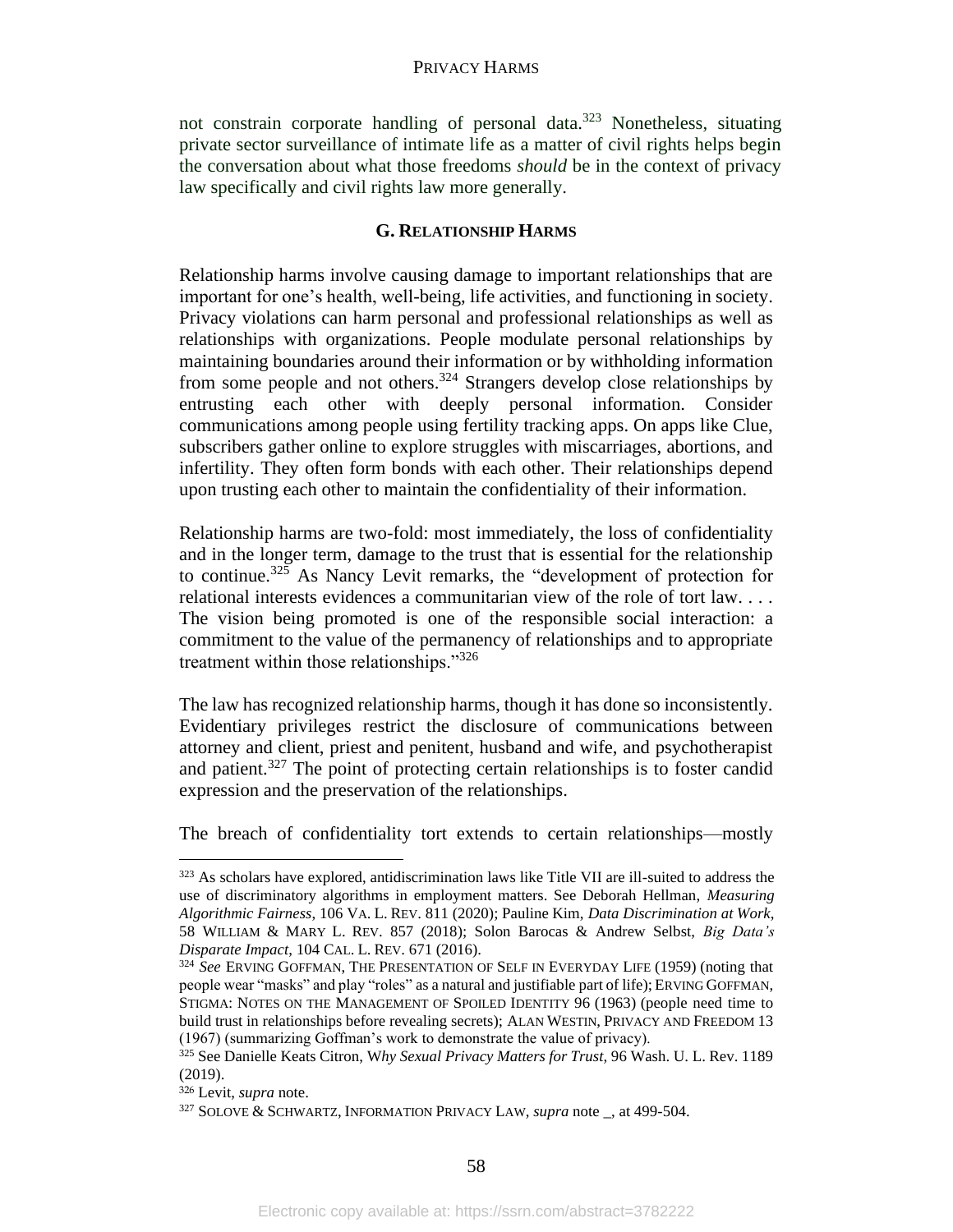not constrain corporate handling of personal data.<sup>323</sup> Nonetheless, situating private sector surveillance of intimate life as a matter of civil rights helps begin the conversation about what those freedoms *should* be in the context of privacy law specifically and civil rights law more generally.

# **G. RELATIONSHIP HARMS**

Relationship harms involve causing damage to important relationships that are important for one's health, well-being, life activities, and functioning in society. Privacy violations can harm personal and professional relationships as well as relationships with organizations. People modulate personal relationships by maintaining boundaries around their information or by withholding information from some people and not others.<sup>324</sup> Strangers develop close relationships by entrusting each other with deeply personal information. Consider communications among people using fertility tracking apps. On apps like Clue, subscribers gather online to explore struggles with miscarriages, abortions, and infertility. They often form bonds with each other. Their relationships depend upon trusting each other to maintain the confidentiality of their information.

Relationship harms are two-fold: most immediately, the loss of confidentiality and in the longer term, damage to the trust that is essential for the relationship to continue.<sup>325</sup> As Nancy Levit remarks, the "development of protection for relational interests evidences a communitarian view of the role of tort law. . . . The vision being promoted is one of the responsible social interaction: a commitment to the value of the permanency of relationships and to appropriate treatment within those relationships."<sup>326</sup>

The law has recognized relationship harms, though it has done so inconsistently. Evidentiary privileges restrict the disclosure of communications between attorney and client, priest and penitent, husband and wife, and psychotherapist and patient.<sup>327</sup> The point of protecting certain relationships is to foster candid expression and the preservation of the relationships.

The breach of confidentiality tort extends to certain relationships—mostly

<sup>&</sup>lt;sup>323</sup> As scholars have explored, antidiscrimination laws like Title VII are ill-suited to address the use of discriminatory algorithms in employment matters. See Deborah Hellman, *Measuring Algorithmic Fairness*, 106 VA. L. REV. 811 (2020); Pauline Kim, *Data Discrimination at Work*, 58 WILLIAM & MARY L. REV. 857 (2018); Solon Barocas & Andrew Selbst, *Big Data's Disparate Impact*, 104 CAL. L. REV. 671 (2016).

<sup>324</sup> *See* ERVING GOFFMAN, THE PRESENTATION OF SELF IN EVERYDAY LIFE (1959) (noting that people wear "masks" and play "roles" as a natural and justifiable part of life); ERVING GOFFMAN, STIGMA: NOTES ON THE MANAGEMENT OF SPOILED IDENTITY 96 (1963) (people need time to build trust in relationships before revealing secrets); ALAN WESTIN, PRIVACY AND FREEDOM 13 (1967) (summarizing Goffman's work to demonstrate the value of privacy).

<sup>325</sup> See Danielle Keats Citron, W*hy Sexual Privacy Matters for Trust,* 96 Wash. U. L. Rev. 1189 (2019).

<sup>326</sup> Levit, *supra* note.

<sup>327</sup> SOLOVE & SCHWARTZ, INFORMATION PRIVACY LAW, *supra* note \_, at 499-504.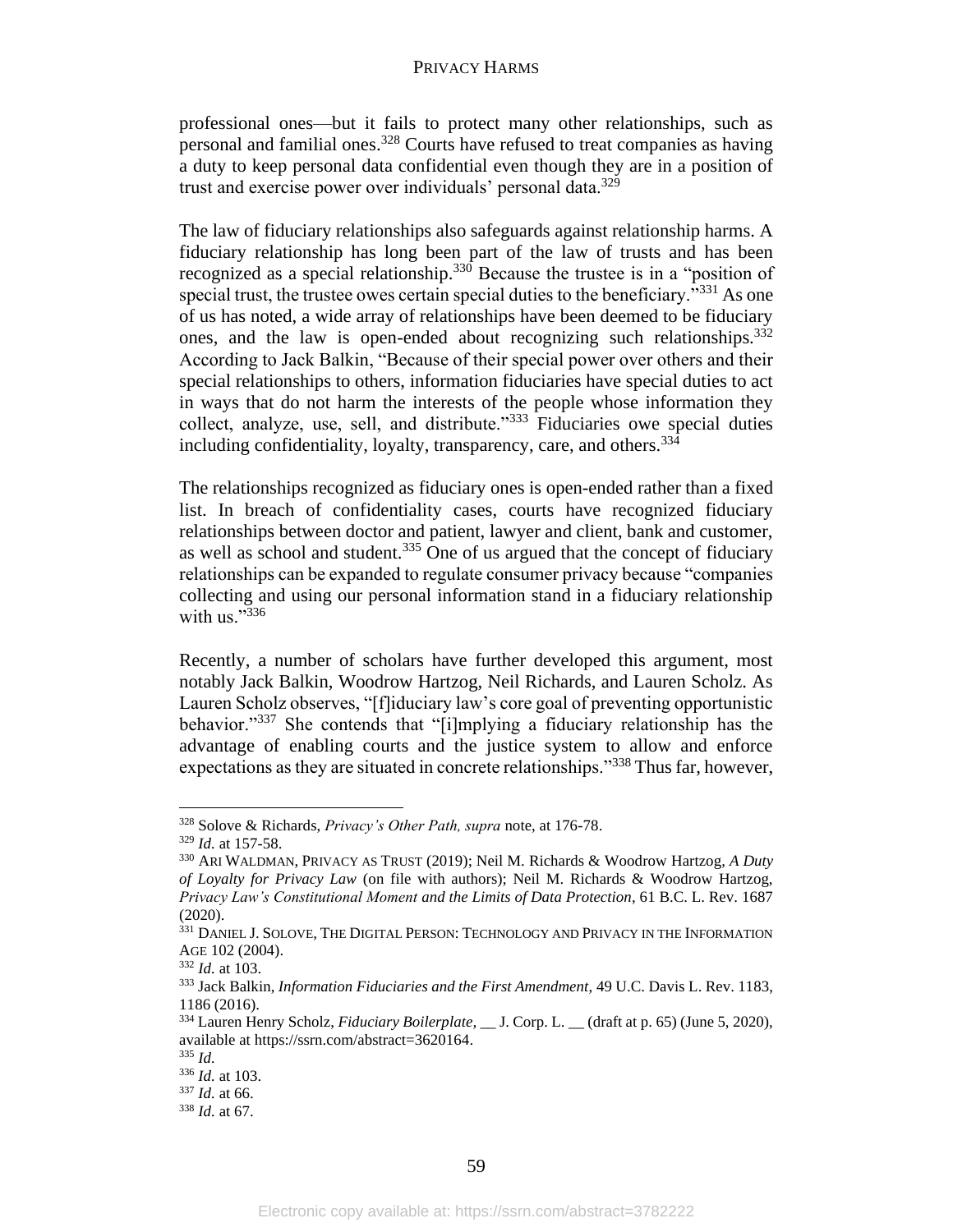professional ones—but it fails to protect many other relationships, such as personal and familial ones.<sup>328</sup> Courts have refused to treat companies as having a duty to keep personal data confidential even though they are in a position of trust and exercise power over individuals' personal data.<sup>329</sup>

The law of fiduciary relationships also safeguards against relationship harms. A fiduciary relationship has long been part of the law of trusts and has been recognized as a special relationship.<sup>330</sup> Because the trustee is in a "position of special trust, the trustee owes certain special duties to the beneficiary."<sup>331</sup> As one of us has noted, a wide array of relationships have been deemed to be fiduciary ones, and the law is open-ended about recognizing such relationships.<sup>332</sup> According to Jack Balkin, "Because of their special power over others and their special relationships to others, information fiduciaries have special duties to act in ways that do not harm the interests of the people whose information they collect, analyze, use, sell, and distribute."<sup>333</sup> Fiduciaries owe special duties including confidentiality, loyalty, transparency, care, and others.<sup>334</sup>

The relationships recognized as fiduciary ones is open-ended rather than a fixed list. In breach of confidentiality cases, courts have recognized fiduciary relationships between doctor and patient, lawyer and client, bank and customer, as well as school and student.<sup>335</sup> One of us argued that the concept of fiduciary relationships can be expanded to regulate consumer privacy because "companies collecting and using our personal information stand in a fiduciary relationship with us." $336$ 

Recently, a number of scholars have further developed this argument, most notably Jack Balkin, Woodrow Hartzog, Neil Richards, and Lauren Scholz. As Lauren Scholz observes, "[f]iduciary law's core goal of preventing opportunistic behavior."<sup>337</sup> She contends that "[i]mplying a fiduciary relationship has the advantage of enabling courts and the justice system to allow and enforce expectations as they are situated in concrete relationships."<sup>338</sup> Thus far, however,

<sup>328</sup> Solove & Richards, *Privacy's Other Path, supra* note, at 176-78.

<sup>329</sup> *Id.* at 157-58.

<sup>330</sup> ARI WALDMAN, PRIVACY AS TRUST (2019); Neil M. Richards & Woodrow Hartzog, *A Duty of Loyalty for Privacy Law* (on file with authors); Neil M. Richards & Woodrow Hartzog, *Privacy Law's Constitutional Moment and the Limits of Data Protection*, 61 B.C. L. Rev. 1687 (2020).

<sup>331</sup> DANIEL J. SOLOVE, THE DIGITAL PERSON: TECHNOLOGY AND PRIVACY IN THE INFORMATION AGE 102 (2004).

<sup>332</sup> *Id.* at 103.

<sup>333</sup> Jack Balkin, *Information Fiduciaries and the First Amendment*, 49 U.C. Davis L. Rev. 1183, 1186 (2016).

<sup>334</sup> Lauren Henry Scholz, *Fiduciary Boilerplate, \_\_* J. Corp. L. \_\_ (draft at p. 65) (June 5, 2020), available at https://ssrn.com/abstract=3620164.

<sup>335</sup> *Id.*

<sup>336</sup> *Id.* at 103.

<sup>337</sup> *Id.* at 66.

<sup>338</sup> *Id.* at 67.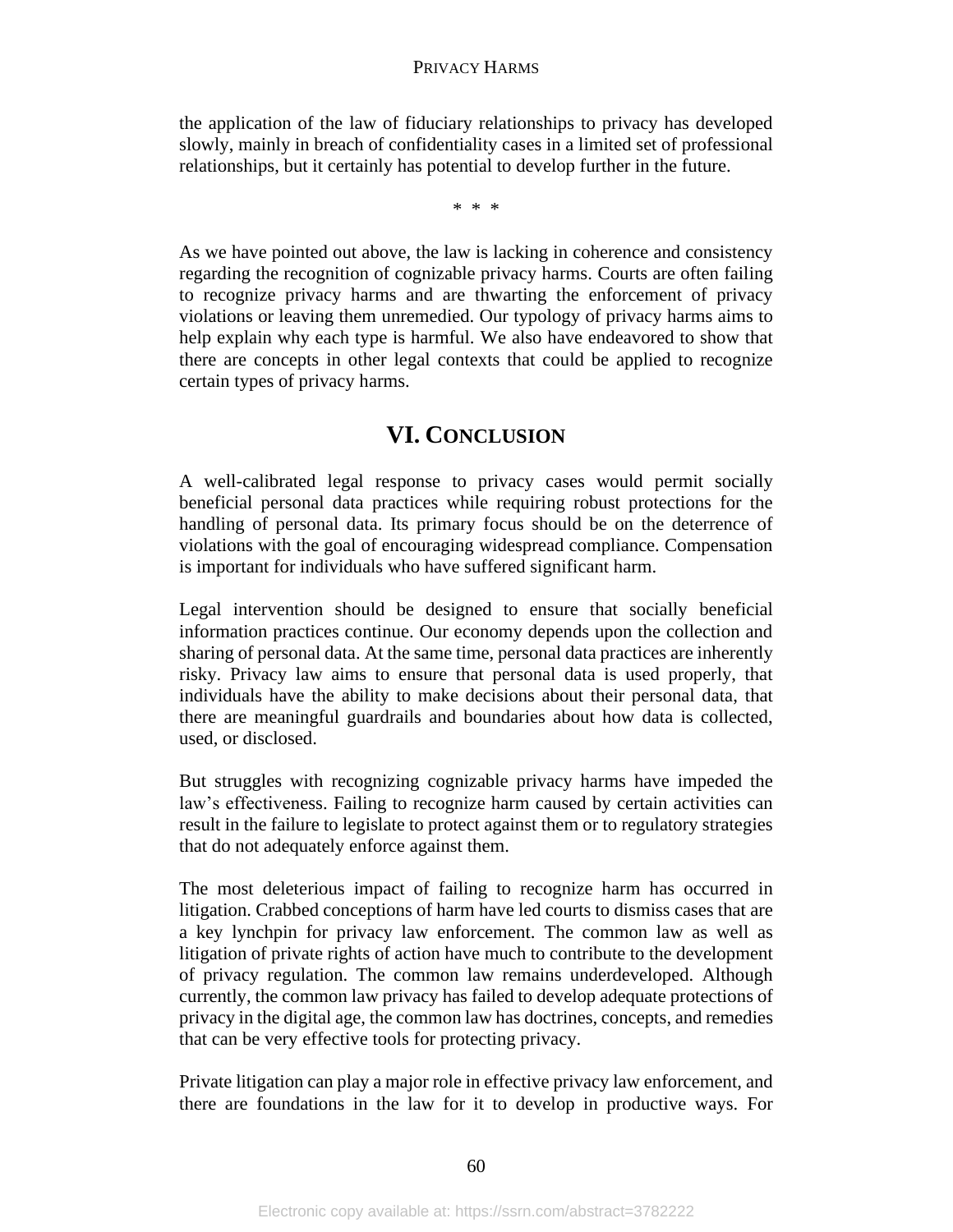the application of the law of fiduciary relationships to privacy has developed slowly, mainly in breach of confidentiality cases in a limited set of professional relationships, but it certainly has potential to develop further in the future.

\* \* \*

As we have pointed out above, the law is lacking in coherence and consistency regarding the recognition of cognizable privacy harms. Courts are often failing to recognize privacy harms and are thwarting the enforcement of privacy violations or leaving them unremedied. Our typology of privacy harms aims to help explain why each type is harmful. We also have endeavored to show that there are concepts in other legal contexts that could be applied to recognize certain types of privacy harms.

# **VI. CONCLUSION**

A well-calibrated legal response to privacy cases would permit socially beneficial personal data practices while requiring robust protections for the handling of personal data. Its primary focus should be on the deterrence of violations with the goal of encouraging widespread compliance. Compensation is important for individuals who have suffered significant harm.

Legal intervention should be designed to ensure that socially beneficial information practices continue. Our economy depends upon the collection and sharing of personal data. At the same time, personal data practices are inherently risky. Privacy law aims to ensure that personal data is used properly, that individuals have the ability to make decisions about their personal data, that there are meaningful guardrails and boundaries about how data is collected, used, or disclosed.

But struggles with recognizing cognizable privacy harms have impeded the law's effectiveness. Failing to recognize harm caused by certain activities can result in the failure to legislate to protect against them or to regulatory strategies that do not adequately enforce against them.

The most deleterious impact of failing to recognize harm has occurred in litigation. Crabbed conceptions of harm have led courts to dismiss cases that are a key lynchpin for privacy law enforcement. The common law as well as litigation of private rights of action have much to contribute to the development of privacy regulation. The common law remains underdeveloped. Although currently, the common law privacy has failed to develop adequate protections of privacy in the digital age, the common law has doctrines, concepts, and remedies that can be very effective tools for protecting privacy.

Private litigation can play a major role in effective privacy law enforcement, and there are foundations in the law for it to develop in productive ways. For